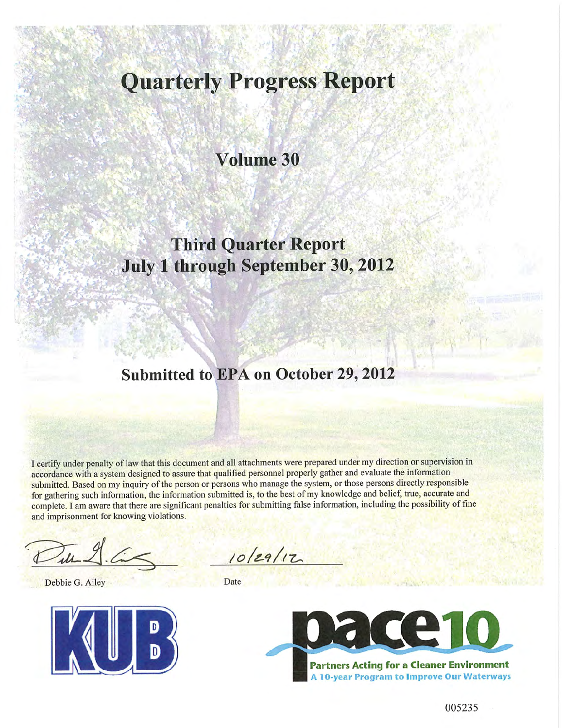# **Quarterly Progress Report**

# **Volume 30**

# **Third Quarter Report July 1 through September 30, 2012**

## **Submitted to EPA on October 29, 2012**

I certify under penalty of law that this document and all attachments were prepared under my direction or supervision in accordance with a system designed to assure that qualified personnel properly gather and evaluate the information submitted. Based on my inquiry of the person or persons who manage the system, or those persons directly responsible for gathering such information, the information submitted is, to the best of my knowledge and belief, true, accurate and complete. I am aware that there are significant penalties for submitting false information, including the possibility of fine and imprisonment for knowing violations.

Debbie G. Ailey Date



10/29/12

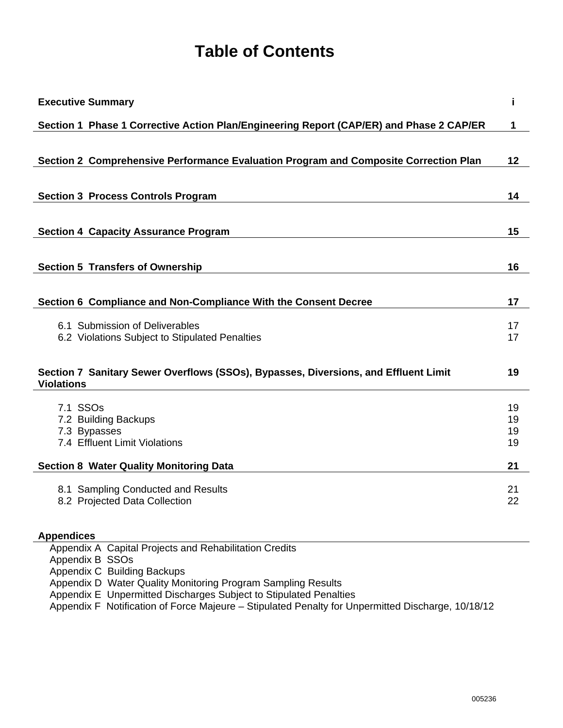## **Table of Contents**

| <b>Executive Summary</b>                                                                                 | i        |
|----------------------------------------------------------------------------------------------------------|----------|
| Section 1 Phase 1 Corrective Action Plan/Engineering Report (CAP/ER) and Phase 2 CAP/ER                  | 1        |
|                                                                                                          |          |
| Section 2 Comprehensive Performance Evaluation Program and Composite Correction Plan                     | 12       |
|                                                                                                          |          |
| <b>Section 3 Process Controls Program</b>                                                                | 14       |
|                                                                                                          |          |
| <b>Section 4 Capacity Assurance Program</b>                                                              | 15       |
|                                                                                                          |          |
| <b>Section 5 Transfers of Ownership</b>                                                                  | 16       |
|                                                                                                          |          |
| Section 6 Compliance and Non-Compliance With the Consent Decree                                          | 17       |
| 6.1 Submission of Deliverables                                                                           | 17       |
| 6.2 Violations Subject to Stipulated Penalties                                                           | 17       |
|                                                                                                          |          |
| Section 7 Sanitary Sewer Overflows (SSOs), Bypasses, Diversions, and Effluent Limit<br><b>Violations</b> | 19       |
|                                                                                                          |          |
| 7.1 SSOs<br>7.2 Building Backups                                                                         | 19<br>19 |
| 7.3 Bypasses                                                                                             | 19       |
| 7.4 Effluent Limit Violations                                                                            | 19       |
| <b>Section 8 Water Quality Monitoring Data</b>                                                           | 21       |
| 8.1 Sampling Conducted and Results                                                                       | 21       |
| 8.2 Projected Data Collection                                                                            | 22       |
|                                                                                                          |          |
| <b>Appendices</b>                                                                                        |          |

Appendix A Capital Projects and Rehabilitation Credits

Appendix B SSOs

Appendix C Building Backups

Appendix D Water Quality Monitoring Program Sampling Results

Appendix E Unpermitted Discharges Subject to Stipulated Penalties

Appendix F Notification of Force Majeure – Stipulated Penalty for Unpermitted Discharge, 10/18/12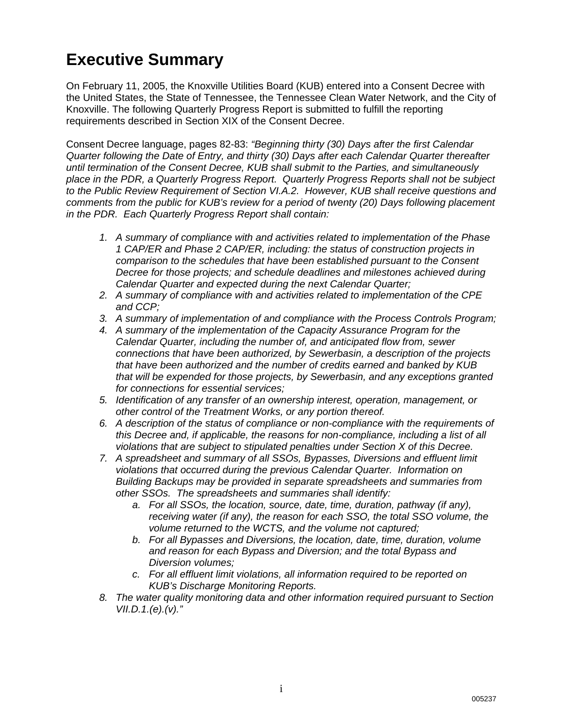# **Executive Summary**

On February 11, 2005, the Knoxville Utilities Board (KUB) entered into a Consent Decree with the United States, the State of Tennessee, the Tennessee Clean Water Network, and the City of Knoxville. The following Quarterly Progress Report is submitted to fulfill the reporting requirements described in Section XIX of the Consent Decree.

Consent Decree language, pages 82-83: *"Beginning thirty (30) Days after the first Calendar Quarter following the Date of Entry, and thirty (30) Days after each Calendar Quarter thereafter until termination of the Consent Decree, KUB shall submit to the Parties, and simultaneously place in the PDR, a Quarterly Progress Report. Quarterly Progress Reports shall not be subject to the Public Review Requirement of Section VI.A.2. However, KUB shall receive questions and comments from the public for KUB's review for a period of twenty (20) Days following placement in the PDR. Each Quarterly Progress Report shall contain:* 

- *1. A summary of compliance with and activities related to implementation of the Phase 1 CAP/ER and Phase 2 CAP/ER, including: the status of construction projects in comparison to the schedules that have been established pursuant to the Consent Decree for those projects; and schedule deadlines and milestones achieved during Calendar Quarter and expected during the next Calendar Quarter;*
- *2. A summary of compliance with and activities related to implementation of the CPE and CCP;*
- *3. A summary of implementation of and compliance with the Process Controls Program;*
- *4. A summary of the implementation of the Capacity Assurance Program for the Calendar Quarter, including the number of, and anticipated flow from, sewer connections that have been authorized, by Sewerbasin, a description of the projects that have been authorized and the number of credits earned and banked by KUB that will be expended for those projects, by Sewerbasin, and any exceptions granted for connections for essential services;*
- *5. Identification of any transfer of an ownership interest, operation, management, or other control of the Treatment Works, or any portion thereof.*
- *6. A description of the status of compliance or non-compliance with the requirements of this Decree and, if applicable, the reasons for non-compliance, including a list of all violations that are subject to stipulated penalties under Section X of this Decree.*
- *7. A spreadsheet and summary of all SSOs, Bypasses, Diversions and effluent limit violations that occurred during the previous Calendar Quarter. Information on Building Backups may be provided in separate spreadsheets and summaries from other SSOs. The spreadsheets and summaries shall identify:* 
	- *a. For all SSOs, the location, source, date, time, duration, pathway (if any), receiving water (if any), the reason for each SSO, the total SSO volume, the volume returned to the WCTS, and the volume not captured;*
	- *b. For all Bypasses and Diversions, the location, date, time, duration, volume and reason for each Bypass and Diversion; and the total Bypass and Diversion volumes;*
	- *c. For all effluent limit violations, all information required to be reported on KUB's Discharge Monitoring Reports.*
- *8. The water quality monitoring data and other information required pursuant to Section VII.D.1.(e).(v)."*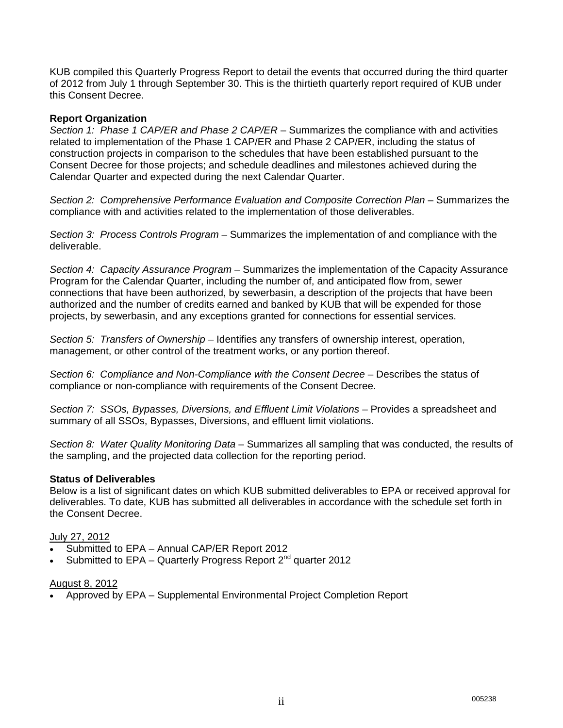KUB compiled this Quarterly Progress Report to detail the events that occurred during the third quarter of 2012 from July 1 through September 30. This is the thirtieth quarterly report required of KUB under this Consent Decree.

#### **Report Organization**

*Section 1: Phase 1 CAP/ER and Phase 2 CAP/ER* – Summarizes the compliance with and activities related to implementation of the Phase 1 CAP/ER and Phase 2 CAP/ER, including the status of construction projects in comparison to the schedules that have been established pursuant to the Consent Decree for those projects; and schedule deadlines and milestones achieved during the Calendar Quarter and expected during the next Calendar Quarter.

*Section 2: Comprehensive Performance Evaluation and Composite Correction Plan* – Summarizes the compliance with and activities related to the implementation of those deliverables.

*Section 3: Process Controls Program* – Summarizes the implementation of and compliance with the deliverable.

*Section 4: Capacity Assurance Program* – Summarizes the implementation of the Capacity Assurance Program for the Calendar Quarter, including the number of, and anticipated flow from, sewer connections that have been authorized, by sewerbasin, a description of the projects that have been authorized and the number of credits earned and banked by KUB that will be expended for those projects, by sewerbasin, and any exceptions granted for connections for essential services.

*Section 5: Transfers of Ownership* – Identifies any transfers of ownership interest, operation, management, or other control of the treatment works, or any portion thereof.

Section 6: Compliance and Non-Compliance with the Consent Decree - Describes the status of compliance or non-compliance with requirements of the Consent Decree.

*Section 7: SSOs, Bypasses, Diversions, and Effluent Limit Violations* – Provides a spreadsheet and summary of all SSOs, Bypasses, Diversions, and effluent limit violations.

*Section 8: Water Quality Monitoring Data* – Summarizes all sampling that was conducted, the results of the sampling, and the projected data collection for the reporting period.

#### **Status of Deliverables**

Below is a list of significant dates on which KUB submitted deliverables to EPA or received approval for deliverables. To date, KUB has submitted all deliverables in accordance with the schedule set forth in the Consent Decree.

#### July 27, 2012

- Submitted to EPA Annual CAP/ER Report 2012
- Submitted to EPA Quarterly Progress Report  $2^{nd}$  quarter 2012

#### August 8, 2012

Approved by EPA – Supplemental Environmental Project Completion Report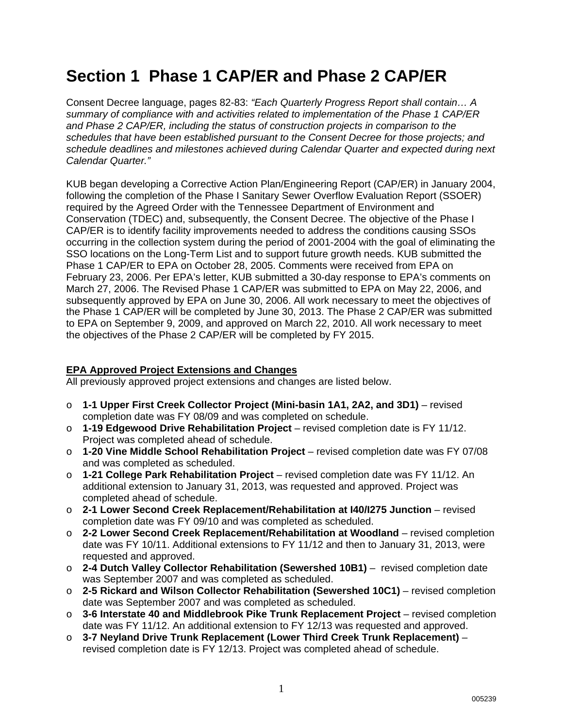# **Section 1 Phase 1 CAP/ER and Phase 2 CAP/ER**

Consent Decree language, pages 82-83: *"Each Quarterly Progress Report shall contain… A summary of compliance with and activities related to implementation of the Phase 1 CAP/ER and Phase 2 CAP/ER, including the status of construction projects in comparison to the schedules that have been established pursuant to the Consent Decree for those projects; and schedule deadlines and milestones achieved during Calendar Quarter and expected during next Calendar Quarter."*

KUB began developing a Corrective Action Plan/Engineering Report (CAP/ER) in January 2004, following the completion of the Phase I Sanitary Sewer Overflow Evaluation Report (SSOER) required by the Agreed Order with the Tennessee Department of Environment and Conservation (TDEC) and, subsequently, the Consent Decree. The objective of the Phase I CAP/ER is to identify facility improvements needed to address the conditions causing SSOs occurring in the collection system during the period of 2001-2004 with the goal of eliminating the SSO locations on the Long-Term List and to support future growth needs. KUB submitted the Phase 1 CAP/ER to EPA on October 28, 2005. Comments were received from EPA on February 23, 2006. Per EPA's letter, KUB submitted a 30-day response to EPA's comments on March 27, 2006. The Revised Phase 1 CAP/ER was submitted to EPA on May 22, 2006, and subsequently approved by EPA on June 30, 2006. All work necessary to meet the objectives of the Phase 1 CAP/ER will be completed by June 30, 2013. The Phase 2 CAP/ER was submitted to EPA on September 9, 2009, and approved on March 22, 2010. All work necessary to meet the objectives of the Phase 2 CAP/ER will be completed by FY 2015.

#### **EPA Approved Project Extensions and Changes**

All previously approved project extensions and changes are listed below.

- o **1-1 Upper First Creek Collector Project (Mini-basin 1A1, 2A2, and 3D1)** revised completion date was FY 08/09 and was completed on schedule.
- o **1-19 Edgewood Drive Rehabilitation Project** revised completion date is FY 11/12. Project was completed ahead of schedule.
- o **1-20 Vine Middle School Rehabilitation Project** revised completion date was FY 07/08 and was completed as scheduled.
- o **1-21 College Park Rehabilitation Project** revised completion date was FY 11/12. An additional extension to January 31, 2013, was requested and approved. Project was completed ahead of schedule.
- o **2-1 Lower Second Creek Replacement/Rehabilitation at I40/I275 Junction** revised completion date was FY 09/10 and was completed as scheduled.
- o **2-2 Lower Second Creek Replacement/Rehabilitation at Woodland** revised completion date was FY 10/11. Additional extensions to FY 11/12 and then to January 31, 2013, were requested and approved.
- o **2-4 Dutch Valley Collector Rehabilitation (Sewershed 10B1)** revised completion date was September 2007 and was completed as scheduled.
- o **2-5 Rickard and Wilson Collector Rehabilitation (Sewershed 10C1)** revised completion date was September 2007 and was completed as scheduled.
- o **3-6 Interstate 40 and Middlebrook Pike Trunk Replacement Project** revised completion date was FY 11/12. An additional extension to FY 12/13 was requested and approved.
- o **3-7 Neyland Drive Trunk Replacement (Lower Third Creek Trunk Replacement)** revised completion date is FY 12/13. Project was completed ahead of schedule.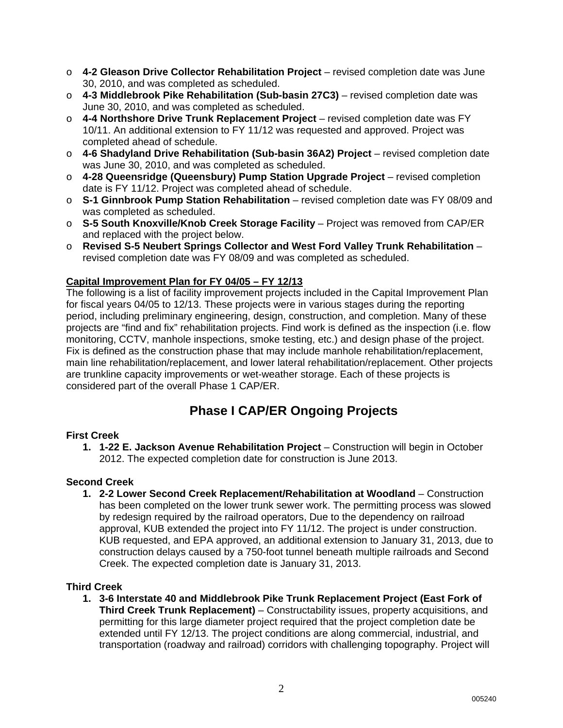- o **4-2 Gleason Drive Collector Rehabilitation Project** revised completion date was June 30, 2010, and was completed as scheduled.
- o **4-3 Middlebrook Pike Rehabilitation (Sub-basin 27C3)** revised completion date was June 30, 2010, and was completed as scheduled.
- o **4-4 Northshore Drive Trunk Replacement Project** revised completion date was FY 10/11. An additional extension to FY 11/12 was requested and approved. Project was completed ahead of schedule.
- o **4-6 Shadyland Drive Rehabilitation (Sub-basin 36A2) Project** revised completion date was June 30, 2010, and was completed as scheduled.
- o **4-28 Queensridge (Queensbury) Pump Station Upgrade Project** revised completion date is FY 11/12. Project was completed ahead of schedule.
- o **S-1 Ginnbrook Pump Station Rehabilitation** revised completion date was FY 08/09 and was completed as scheduled.
- o **S-5 South Knoxville/Knob Creek Storage Facility** Project was removed from CAP/ER and replaced with the project below.
- o **Revised S-5 Neubert Springs Collector and West Ford Valley Trunk Rehabilitation** revised completion date was FY 08/09 and was completed as scheduled.

### **Capital Improvement Plan for FY 04/05 – FY 12/13**

The following is a list of facility improvement projects included in the Capital Improvement Plan for fiscal years 04/05 to 12/13. These projects were in various stages during the reporting period, including preliminary engineering, design, construction, and completion. Many of these projects are "find and fix" rehabilitation projects. Find work is defined as the inspection (i.e. flow monitoring, CCTV, manhole inspections, smoke testing, etc.) and design phase of the project. Fix is defined as the construction phase that may include manhole rehabilitation/replacement, main line rehabilitation/replacement, and lower lateral rehabilitation/replacement. Other projects are trunkline capacity improvements or wet-weather storage. Each of these projects is considered part of the overall Phase 1 CAP/ER.

### **Phase I CAP/ER Ongoing Projects**

### **First Creek**

**1. 1-22 E. Jackson Avenue Rehabilitation Project** – Construction will begin in October 2012. The expected completion date for construction is June 2013.

### **Second Creek**

**1. 2-2 Lower Second Creek Replacement/Rehabilitation at Woodland** – Construction has been completed on the lower trunk sewer work. The permitting process was slowed by redesign required by the railroad operators, Due to the dependency on railroad approval, KUB extended the project into FY 11/12. The project is under construction. KUB requested, and EPA approved, an additional extension to January 31, 2013, due to construction delays caused by a 750-foot tunnel beneath multiple railroads and Second Creek. The expected completion date is January 31, 2013.

### **Third Creek**

**1. 3-6 Interstate 40 and Middlebrook Pike Trunk Replacement Project (East Fork of Third Creek Trunk Replacement)** – Constructability issues, property acquisitions, and permitting for this large diameter project required that the project completion date be extended until FY 12/13. The project conditions are along commercial, industrial, and transportation (roadway and railroad) corridors with challenging topography. Project will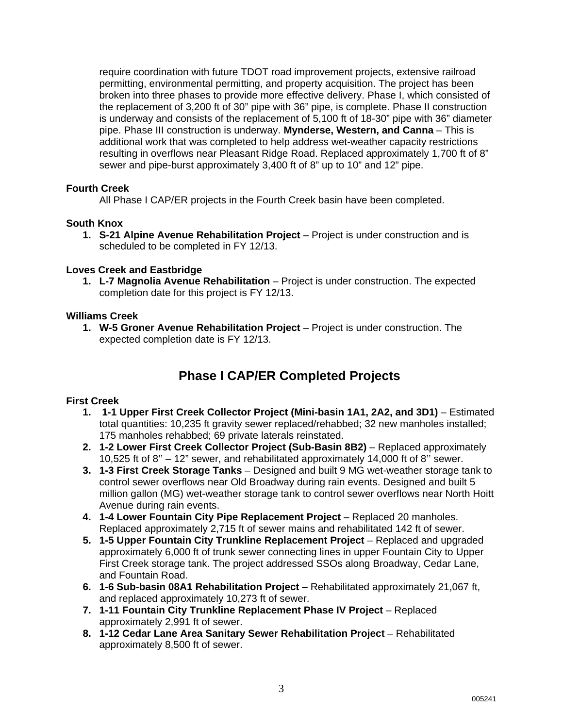require coordination with future TDOT road improvement projects, extensive railroad permitting, environmental permitting, and property acquisition. The project has been broken into three phases to provide more effective delivery. Phase I, which consisted of the replacement of 3,200 ft of 30" pipe with 36" pipe, is complete. Phase II construction is underway and consists of the replacement of 5,100 ft of 18-30" pipe with 36" diameter pipe. Phase III construction is underway. **Mynderse, Western, and Canna** – This is additional work that was completed to help address wet-weather capacity restrictions resulting in overflows near Pleasant Ridge Road. Replaced approximately 1,700 ft of 8" sewer and pipe-burst approximately 3,400 ft of 8" up to 10" and 12" pipe.

#### **Fourth Creek**

All Phase I CAP/ER projects in the Fourth Creek basin have been completed.

#### **South Knox**

**1. S-21 Alpine Avenue Rehabilitation Project** – Project is under construction and is scheduled to be completed in FY 12/13.

#### **Loves Creek and Eastbridge**

**1. L-7 Magnolia Avenue Rehabilitation** – Project is under construction. The expected completion date for this project is FY 12/13.

#### **Williams Creek**

**1. W-5 Groner Avenue Rehabilitation Project** – Project is under construction. The expected completion date is FY 12/13.

### **Phase I CAP/ER Completed Projects**

#### **First Creek**

- **1. 1-1 Upper First Creek Collector Project (Mini-basin 1A1, 2A2, and 3D1)** Estimated total quantities: 10,235 ft gravity sewer replaced/rehabbed; 32 new manholes installed; 175 manholes rehabbed; 69 private laterals reinstated.
- **2. 1-2 Lower First Creek Collector Project (Sub-Basin 8B2)** Replaced approximately 10,525 ft of 8'' – 12" sewer, and rehabilitated approximately 14,000 ft of 8'' sewer.
- **3. 1-3 First Creek Storage Tanks** Designed and built 9 MG wet-weather storage tank to control sewer overflows near Old Broadway during rain events. Designed and built 5 million gallon (MG) wet-weather storage tank to control sewer overflows near North Hoitt Avenue during rain events.
- **4. 1-4 Lower Fountain City Pipe Replacement Project** Replaced 20 manholes. Replaced approximately 2,715 ft of sewer mains and rehabilitated 142 ft of sewer.
- **5. 1-5 Upper Fountain City Trunkline Replacement Project** Replaced and upgraded approximately 6,000 ft of trunk sewer connecting lines in upper Fountain City to Upper First Creek storage tank. The project addressed SSOs along Broadway, Cedar Lane, and Fountain Road.
- **6. 1-6 Sub-basin 08A1 Rehabilitation Project** Rehabilitated approximately 21,067 ft, and replaced approximately 10,273 ft of sewer.
- **7. 1-11 Fountain City Trunkline Replacement Phase IV Project** Replaced approximately 2,991 ft of sewer.
- **8. 1-12 Cedar Lane Area Sanitary Sewer Rehabilitation Project** Rehabilitated approximately 8,500 ft of sewer.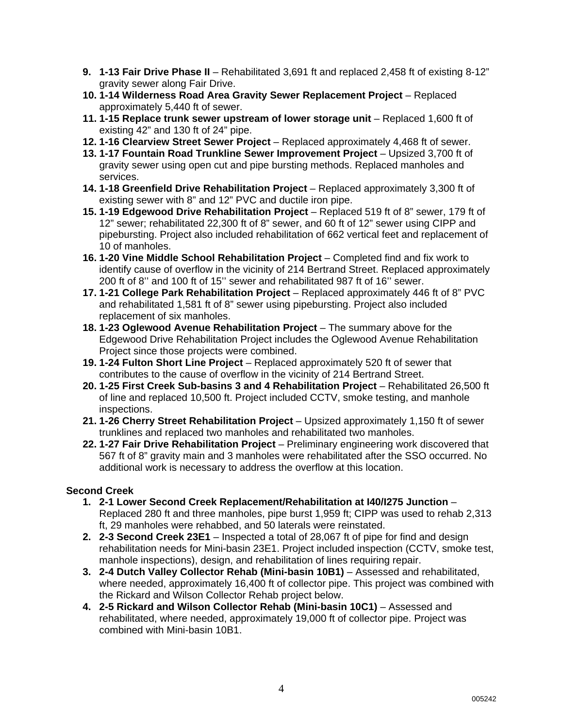- **9. 1-13 Fair Drive Phase II** Rehabilitated 3,691 ft and replaced 2,458 ft of existing 8-12" gravity sewer along Fair Drive.
- **10. 1-14 Wilderness Road Area Gravity Sewer Replacement Project**  Replaced approximately 5,440 ft of sewer.
- **11. 1-15 Replace trunk sewer upstream of lower storage unit** Replaced 1,600 ft of existing 42" and 130 ft of 24" pipe.
- **12. 1-16 Clearview Street Sewer Project** Replaced approximately 4,468 ft of sewer.
- **13. 1-17 Fountain Road Trunkline Sewer Improvement Project** Upsized 3,700 ft of gravity sewer using open cut and pipe bursting methods. Replaced manholes and services.
- **14. 1-18 Greenfield Drive Rehabilitation Project** Replaced approximately 3,300 ft of existing sewer with 8" and 12" PVC and ductile iron pipe.
- **15. 1-19 Edgewood Drive Rehabilitation Project** Replaced 519 ft of 8" sewer, 179 ft of 12" sewer; rehabilitated 22,300 ft of 8" sewer, and 60 ft of 12" sewer using CIPP and pipebursting. Project also included rehabilitation of 662 vertical feet and replacement of 10 of manholes.
- **16. 1-20 Vine Middle School Rehabilitation Project** Completed find and fix work to identify cause of overflow in the vicinity of 214 Bertrand Street. Replaced approximately 200 ft of 8'' and 100 ft of 15'' sewer and rehabilitated 987 ft of 16'' sewer.
- **17. 1-21 College Park Rehabilitation Project** Replaced approximately 446 ft of 8" PVC and rehabilitated 1,581 ft of 8" sewer using pipebursting. Project also included replacement of six manholes.
- **18. 1-23 Oglewood Avenue Rehabilitation Project** The summary above for the Edgewood Drive Rehabilitation Project includes the Oglewood Avenue Rehabilitation Project since those projects were combined.
- **19. 1-24 Fulton Short Line Project** Replaced approximately 520 ft of sewer that contributes to the cause of overflow in the vicinity of 214 Bertrand Street.
- **20. 1-25 First Creek Sub-basins 3 and 4 Rehabilitation Project** Rehabilitated 26,500 ft of line and replaced 10,500 ft. Project included CCTV, smoke testing, and manhole inspections.
- **21. 1-26 Cherry Street Rehabilitation Project** Upsized approximately 1,150 ft of sewer trunklines and replaced two manholes and rehabilitated two manholes.
- **22. 1-27 Fair Drive Rehabilitation Project** Preliminary engineering work discovered that 567 ft of 8" gravity main and 3 manholes were rehabilitated after the SSO occurred. No additional work is necessary to address the overflow at this location.

### **Second Creek**

- **1. 2-1 Lower Second Creek Replacement/Rehabilitation at I40/I275 Junction** Replaced 280 ft and three manholes, pipe burst 1,959 ft; CIPP was used to rehab 2,313 ft, 29 manholes were rehabbed, and 50 laterals were reinstated.
- **2. 2-3 Second Creek 23E1** Inspected a total of 28,067 ft of pipe for find and design rehabilitation needs for Mini-basin 23E1. Project included inspection (CCTV, smoke test, manhole inspections), design, and rehabilitation of lines requiring repair.
- **3. 2-4 Dutch Valley Collector Rehab (Mini-basin 10B1)** Assessed and rehabilitated, where needed, approximately 16,400 ft of collector pipe. This project was combined with the Rickard and Wilson Collector Rehab project below.
- **4. 2-5 Rickard and Wilson Collector Rehab (Mini-basin 10C1)** Assessed and rehabilitated, where needed, approximately 19,000 ft of collector pipe. Project was combined with Mini-basin 10B1.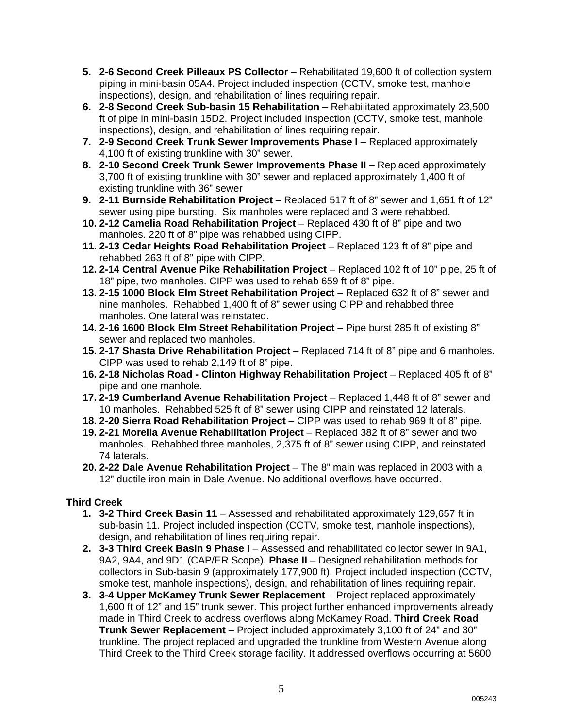- **5. 2-6 Second Creek Pilleaux PS Collector** Rehabilitated 19,600 ft of collection system piping in mini-basin 05A4. Project included inspection (CCTV, smoke test, manhole inspections), design, and rehabilitation of lines requiring repair.
- **6. 2-8 Second Creek Sub-basin 15 Rehabilitation** Rehabilitated approximately 23,500 ft of pipe in mini-basin 15D2. Project included inspection (CCTV, smoke test, manhole inspections), design, and rehabilitation of lines requiring repair.
- **7. 2-9 Second Creek Trunk Sewer Improvements Phase I** Replaced approximately 4,100 ft of existing trunkline with 30" sewer.
- **8. 2-10 Second Creek Trunk Sewer Improvements Phase II** Replaced approximately 3,700 ft of existing trunkline with 30" sewer and replaced approximately 1,400 ft of existing trunkline with 36" sewer
- **9. 2-11 Burnside Rehabilitation Project** Replaced 517 ft of 8" sewer and 1,651 ft of 12" sewer using pipe bursting. Six manholes were replaced and 3 were rehabbed.
- **10. 2-12 Camelia Road Rehabilitation Project** Replaced 430 ft of 8" pipe and two manholes. 220 ft of 8" pipe was rehabbed using CIPP.
- **11. 2-13 Cedar Heights Road Rehabilitation Project**  Replaced 123 ft of 8" pipe and rehabbed 263 ft of 8" pipe with CIPP.
- **12. 2-14 Central Avenue Pike Rehabilitation Project**  Replaced 102 ft of 10" pipe, 25 ft of 18" pipe, two manholes. CIPP was used to rehab 659 ft of 8" pipe.
- **13. 2-15 1000 Block Elm Street Rehabilitation Project**  Replaced 632 ft of 8" sewer and nine manholes. Rehabbed 1,400 ft of 8" sewer using CIPP and rehabbed three manholes. One lateral was reinstated.
- **14. 2-16 1600 Block Elm Street Rehabilitation Project**  Pipe burst 285 ft of existing 8" sewer and replaced two manholes.
- **15. 2-17 Shasta Drive Rehabilitation Project**  Replaced 714 ft of 8" pipe and 6 manholes. CIPP was used to rehab 2,149 ft of 8" pipe.
- 16. 2-18 Nicholas Road Clinton Highway Rehabilitation Project Replaced 405 ft of 8" pipe and one manhole.
- **17. 2-19 Cumberland Avenue Rehabilitation Project**  Replaced 1,448 ft of 8" sewer and 10 manholes. Rehabbed 525 ft of 8" sewer using CIPP and reinstated 12 laterals.
- **18. 2-20 Sierra Road Rehabilitation Project**  CIPP was used to rehab 969 ft of 8" pipe.
- **19. 2-21 Morelia Avenue Rehabilitation Project** Replaced 382 ft of 8" sewer and two manholes. Rehabbed three manholes, 2,375 ft of 8" sewer using CIPP, and reinstated 74 laterals.
- **20. 2-22 Dale Avenue Rehabilitation Project**  The 8" main was replaced in 2003 with a 12" ductile iron main in Dale Avenue. No additional overflows have occurred.

### **Third Creek**

- **1. 3-2 Third Creek Basin 11** Assessed and rehabilitated approximately 129,657 ft in sub-basin 11. Project included inspection (CCTV, smoke test, manhole inspections), design, and rehabilitation of lines requiring repair.
- **2. 3-3 Third Creek Basin 9 Phase I** Assessed and rehabilitated collector sewer in 9A1, 9A2, 9A4, and 9D1 (CAP/ER Scope). **Phase II** – Designed rehabilitation methods for collectors in Sub-basin 9 (approximately 177,900 ft). Project included inspection (CCTV, smoke test, manhole inspections), design, and rehabilitation of lines requiring repair.
- **3. 3-4 Upper McKamey Trunk Sewer Replacement**  Project replaced approximately 1,600 ft of 12" and 15" trunk sewer. This project further enhanced improvements already made in Third Creek to address overflows along McKamey Road. **Third Creek Road Trunk Sewer Replacement** – Project included approximately 3,100 ft of 24" and 30" trunkline. The project replaced and upgraded the trunkline from Western Avenue along Third Creek to the Third Creek storage facility. It addressed overflows occurring at 5600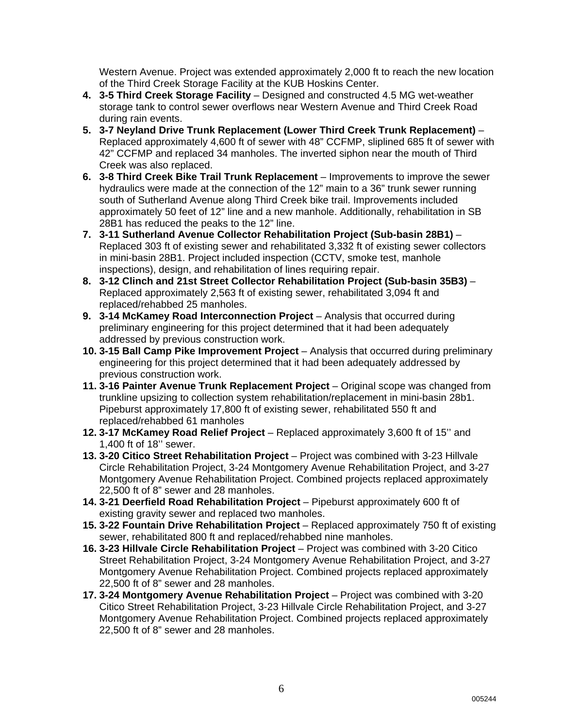Western Avenue. Project was extended approximately 2,000 ft to reach the new location of the Third Creek Storage Facility at the KUB Hoskins Center.

- **4. 3-5 Third Creek Storage Facility** Designed and constructed 4.5 MG wet-weather storage tank to control sewer overflows near Western Avenue and Third Creek Road during rain events.
- **5. 3-7 Neyland Drive Trunk Replacement (Lower Third Creek Trunk Replacement)** Replaced approximately 4,600 ft of sewer with 48" CCFMP, sliplined 685 ft of sewer with 42" CCFMP and replaced 34 manholes. The inverted siphon near the mouth of Third Creek was also replaced.
- **6. 3-8 Third Creek Bike Trail Trunk Replacement** Improvements to improve the sewer hydraulics were made at the connection of the 12" main to a 36" trunk sewer running south of Sutherland Avenue along Third Creek bike trail. Improvements included approximately 50 feet of 12" line and a new manhole. Additionally, rehabilitation in SB 28B1 has reduced the peaks to the 12" line.
- **7. 3-11 Sutherland Avenue Collector Rehabilitation Project (Sub-basin 28B1)** Replaced 303 ft of existing sewer and rehabilitated 3,332 ft of existing sewer collectors in mini-basin 28B1. Project included inspection (CCTV, smoke test, manhole inspections), design, and rehabilitation of lines requiring repair.
- **8. 3-12 Clinch and 21st Street Collector Rehabilitation Project (Sub-basin 35B3)** Replaced approximately 2,563 ft of existing sewer, rehabilitated 3,094 ft and replaced/rehabbed 25 manholes.
- **9. 3-14 McKamey Road Interconnection Project** Analysis that occurred during preliminary engineering for this project determined that it had been adequately addressed by previous construction work.
- **10. 3-15 Ball Camp Pike Improvement Project** Analysis that occurred during preliminary engineering for this project determined that it had been adequately addressed by previous construction work.
- **11. 3-16 Painter Avenue Trunk Replacement Project** Original scope was changed from trunkline upsizing to collection system rehabilitation/replacement in mini-basin 28b1. Pipeburst approximately 17,800 ft of existing sewer, rehabilitated 550 ft and replaced/rehabbed 61 manholes
- **12. 3-17 McKamey Road Relief Project** Replaced approximately 3,600 ft of 15'' and 1,400 ft of 18'' sewer.
- **13. 3-20 Citico Street Rehabilitation Project** Project was combined with 3-23 Hillvale Circle Rehabilitation Project, 3-24 Montgomery Avenue Rehabilitation Project, and 3-27 Montgomery Avenue Rehabilitation Project. Combined projects replaced approximately 22,500 ft of 8" sewer and 28 manholes.
- **14. 3-21 Deerfield Road Rehabilitation Project** Pipeburst approximately 600 ft of existing gravity sewer and replaced two manholes.
- **15. 3-22 Fountain Drive Rehabilitation Project** Replaced approximately 750 ft of existing sewer, rehabilitated 800 ft and replaced/rehabbed nine manholes.
- **16. 3-23 Hillvale Circle Rehabilitation Project** Project was combined with 3-20 Citico Street Rehabilitation Project, 3-24 Montgomery Avenue Rehabilitation Project, and 3-27 Montgomery Avenue Rehabilitation Project. Combined projects replaced approximately 22,500 ft of 8" sewer and 28 manholes.
- **17. 3-24 Montgomery Avenue Rehabilitation Project**  Project was combined with 3-20 Citico Street Rehabilitation Project, 3-23 Hillvale Circle Rehabilitation Project, and 3-27 Montgomery Avenue Rehabilitation Project. Combined projects replaced approximately 22,500 ft of 8" sewer and 28 manholes.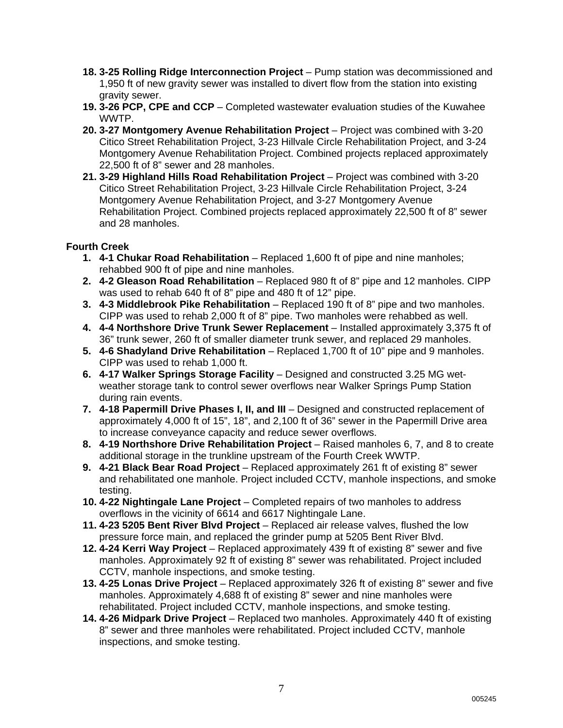- **18. 3-25 Rolling Ridge Interconnection Project** Pump station was decommissioned and 1,950 ft of new gravity sewer was installed to divert flow from the station into existing gravity sewer.
- **19. 3-26 PCP, CPE and CCP** Completed wastewater evaluation studies of the Kuwahee WWTP.
- **20. 3-27 Montgomery Avenue Rehabilitation Project** Project was combined with 3-20 Citico Street Rehabilitation Project, 3-23 Hillvale Circle Rehabilitation Project, and 3-24 Montgomery Avenue Rehabilitation Project. Combined projects replaced approximately 22,500 ft of 8" sewer and 28 manholes.
- **21. 3-29 Highland Hills Road Rehabilitation Project** Project was combined with 3-20 Citico Street Rehabilitation Project, 3-23 Hillvale Circle Rehabilitation Project, 3-24 Montgomery Avenue Rehabilitation Project, and 3-27 Montgomery Avenue Rehabilitation Project. Combined projects replaced approximately 22,500 ft of 8" sewer and 28 manholes.

#### **Fourth Creek**

- **1. 4-1 Chukar Road Rehabilitation** Replaced 1,600 ft of pipe and nine manholes; rehabbed 900 ft of pipe and nine manholes.
- **2. 4-2 Gleason Road Rehabilitation** Replaced 980 ft of 8" pipe and 12 manholes. CIPP was used to rehab 640 ft of 8" pipe and 480 ft of 12" pipe.
- **3. 4-3 Middlebrook Pike Rehabilitation** Replaced 190 ft of 8" pipe and two manholes. CIPP was used to rehab 2,000 ft of 8" pipe. Two manholes were rehabbed as well.
- **4. 4-4 Northshore Drive Trunk Sewer Replacement** Installed approximately 3,375 ft of 36" trunk sewer, 260 ft of smaller diameter trunk sewer, and replaced 29 manholes.
- **5. 4-6 Shadyland Drive Rehabilitation** Replaced 1,700 ft of 10" pipe and 9 manholes. CIPP was used to rehab 1,000 ft.
- **6. 4-17 Walker Springs Storage Facility** Designed and constructed 3.25 MG wetweather storage tank to control sewer overflows near Walker Springs Pump Station during rain events.
- **7. 4-18 Papermill Drive Phases I, II, and III** Designed and constructed replacement of approximately 4,000 ft of 15", 18", and 2,100 ft of 36" sewer in the Papermill Drive area to increase conveyance capacity and reduce sewer overflows.
- **8. 4-19 Northshore Drive Rehabilitation Project** Raised manholes 6, 7, and 8 to create additional storage in the trunkline upstream of the Fourth Creek WWTP.
- **9. 4-21 Black Bear Road Project** Replaced approximately 261 ft of existing 8" sewer and rehabilitated one manhole. Project included CCTV, manhole inspections, and smoke testing.
- **10. 4-22 Nightingale Lane Project** Completed repairs of two manholes to address overflows in the vicinity of 6614 and 6617 Nightingale Lane.
- **11. 4-23 5205 Bent River Blvd Project** Replaced air release valves, flushed the low pressure force main, and replaced the grinder pump at 5205 Bent River Blvd.
- **12. 4-24 Kerri Way Project** Replaced approximately 439 ft of existing 8" sewer and five manholes. Approximately 92 ft of existing 8" sewer was rehabilitated. Project included CCTV, manhole inspections, and smoke testing.
- **13. 4-25 Lonas Drive Project** Replaced approximately 326 ft of existing 8" sewer and five manholes. Approximately 4,688 ft of existing 8" sewer and nine manholes were rehabilitated. Project included CCTV, manhole inspections, and smoke testing.
- **14. 4-26 Midpark Drive Project** Replaced two manholes. Approximately 440 ft of existing 8" sewer and three manholes were rehabilitated. Project included CCTV, manhole inspections, and smoke testing.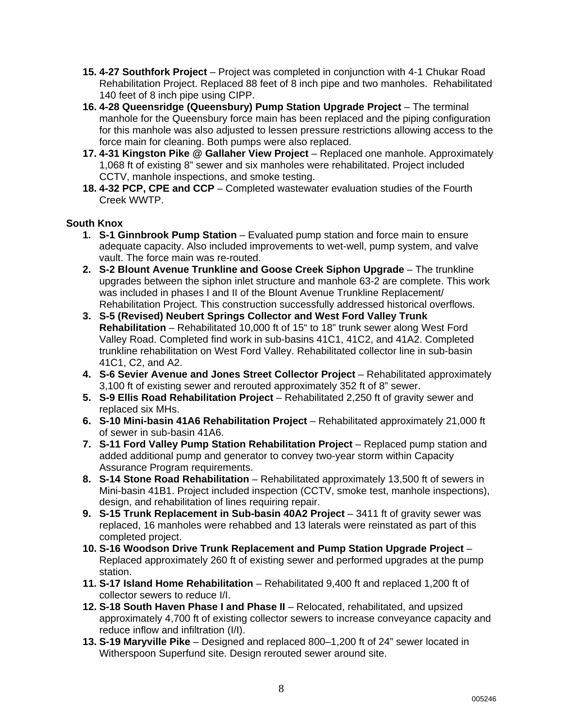- **15. 4-27 Southfork Project** Project was completed in conjunction with 4-1 Chukar Road Rehabilitation Project. Replaced 88 feet of 8 inch pipe and two manholes. Rehabilitated 140 feet of 8 inch pipe using CIPP.
- **16. 4-28 Queensridge (Queensbury) Pump Station Upgrade Project** The terminal manhole for the Queensbury force main has been replaced and the piping configuration for this manhole was also adjusted to lessen pressure restrictions allowing access to the force main for cleaning. Both pumps were also replaced.
- **17. 4-31 Kingston Pike @ Gallaher View Project** Replaced one manhole. Approximately 1,068 ft of existing 8" sewer and six manholes were rehabilitated. Project included CCTV, manhole inspections, and smoke testing.
- **18. 4-32 PCP, CPE and CCP** Completed wastewater evaluation studies of the Fourth Creek WWTP.

### **South Knox**

- **1. S-1 Ginnbrook Pump Station**  Evaluated pump station and force main to ensure adequate capacity. Also included improvements to wet-well, pump system, and valve vault. The force main was re-routed.
- **2. S-2 Blount Avenue Trunkline and Goose Creek Siphon Upgrade** The trunkline upgrades between the siphon inlet structure and manhole 63-2 are complete. This work was included in phases I and II of the Blount Avenue Trunkline Replacement/ Rehabilitation Project. This construction successfully addressed historical overflows.
- **3. S-5 (Revised) Neubert Springs Collector and West Ford Valley Trunk Rehabilitation** – Rehabilitated 10,000 ft of 15" to 18" trunk sewer along West Ford Valley Road. Completed find work in sub-basins 41C1, 41C2, and 41A2. Completed trunkline rehabilitation on West Ford Valley. Rehabilitated collector line in sub-basin 41C1, C2, and A2.
- 4. S-6 Sevier Avenue and Jones Street Collector Project Rehabilitated approximately 3,100 ft of existing sewer and rerouted approximately 352 ft of 8" sewer.
- **5. S-9 Ellis Road Rehabilitation Project** Rehabilitated 2,250 ft of gravity sewer and replaced six MHs.
- **6. S-10 Mini-basin 41A6 Rehabilitation Project** Rehabilitated approximately 21,000 ft of sewer in sub-basin 41A6.
- **7. S-11 Ford Valley Pump Station Rehabilitation Project** Replaced pump station and added additional pump and generator to convey two-year storm within Capacity Assurance Program requirements.
- **8. S-14 Stone Road Rehabilitation** Rehabilitated approximately 13,500 ft of sewers in Mini-basin 41B1. Project included inspection (CCTV, smoke test, manhole inspections), design, and rehabilitation of lines requiring repair.
- **9. S-15 Trunk Replacement in Sub-basin 40A2 Project** 3411 ft of gravity sewer was replaced, 16 manholes were rehabbed and 13 laterals were reinstated as part of this completed project.
- **10. S-16 Woodson Drive Trunk Replacement and Pump Station Upgrade Project** Replaced approximately 260 ft of existing sewer and performed upgrades at the pump station.
- **11. S-17 Island Home Rehabilitation** Rehabilitated 9,400 ft and replaced 1,200 ft of collector sewers to reduce I/I.
- **12. S-18 South Haven Phase I and Phase II** Relocated, rehabilitated, and upsized approximately 4,700 ft of existing collector sewers to increase conveyance capacity and reduce inflow and infiltration (I/I).
- **13. S-19 Maryville Pike** Designed and replaced 800–1,200 ft of 24" sewer located in Witherspoon Superfund site. Design rerouted sewer around site.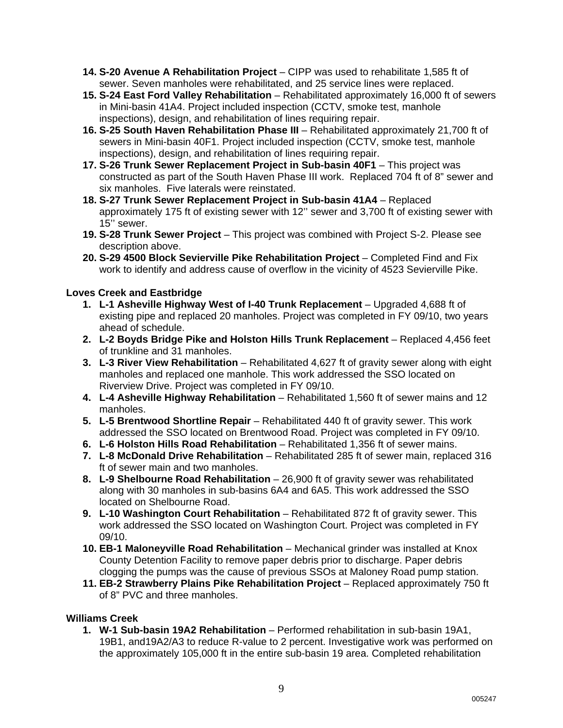- **14. S-20 Avenue A Rehabilitation Project** CIPP was used to rehabilitate 1,585 ft of sewer. Seven manholes were rehabilitated, and 25 service lines were replaced.
- **15. S-24 East Ford Valley Rehabilitation** Rehabilitated approximately 16,000 ft of sewers in Mini-basin 41A4. Project included inspection (CCTV, smoke test, manhole inspections), design, and rehabilitation of lines requiring repair.
- **16. S-25 South Haven Rehabilitation Phase III** Rehabilitated approximately 21,700 ft of sewers in Mini-basin 40F1. Project included inspection (CCTV, smoke test, manhole inspections), design, and rehabilitation of lines requiring repair.
- **17. S-26 Trunk Sewer Replacement Project in Sub-basin 40F1** This project was constructed as part of the South Haven Phase III work. Replaced 704 ft of 8" sewer and six manholes. Five laterals were reinstated.
- **18. S-27 Trunk Sewer Replacement Project in Sub-basin 41A4** Replaced approximately 175 ft of existing sewer with 12'' sewer and 3,700 ft of existing sewer with 15'' sewer.
- **19. S-28 Trunk Sewer Project** This project was combined with Project S-2. Please see description above.
- **20. S-29 4500 Block Sevierville Pike Rehabilitation Project** Completed Find and Fix work to identify and address cause of overflow in the vicinity of 4523 Sevierville Pike.

### **Loves Creek and Eastbridge**

- **1. L-1 Asheville Highway West of I-40 Trunk Replacement** Upgraded 4,688 ft of existing pipe and replaced 20 manholes. Project was completed in FY 09/10, two years ahead of schedule.
- **2. L-2 Boyds Bridge Pike and Holston Hills Trunk Replacement** Replaced 4,456 feet of trunkline and 31 manholes.
- **3. L-3 River View Rehabilitation**  Rehabilitated 4,627 ft of gravity sewer along with eight manholes and replaced one manhole. This work addressed the SSO located on Riverview Drive. Project was completed in FY 09/10.
- **4. L-4 Asheville Highway Rehabilitation** Rehabilitated 1,560 ft of sewer mains and 12 manholes.
- **5. L-5 Brentwood Shortline Repair** Rehabilitated 440 ft of gravity sewer. This work addressed the SSO located on Brentwood Road. Project was completed in FY 09/10.
- **6. L-6 Holston Hills Road Rehabilitation** Rehabilitated 1,356 ft of sewer mains.
- **7. L-8 McDonald Drive Rehabilitation** Rehabilitated 285 ft of sewer main, replaced 316 ft of sewer main and two manholes.
- **8. L-9 Shelbourne Road Rehabilitation** 26,900 ft of gravity sewer was rehabilitated along with 30 manholes in sub-basins 6A4 and 6A5. This work addressed the SSO located on Shelbourne Road.
- **9. L-10 Washington Court Rehabilitation**  Rehabilitated 872 ft of gravity sewer. This work addressed the SSO located on Washington Court. Project was completed in FY 09/10.
- **10. EB-1 Maloneyville Road Rehabilitation** Mechanical grinder was installed at Knox County Detention Facility to remove paper debris prior to discharge. Paper debris clogging the pumps was the cause of previous SSOs at Maloney Road pump station.
- **11. EB-2 Strawberry Plains Pike Rehabilitation Project** Replaced approximately 750 ft of 8" PVC and three manholes.

#### **Williams Creek**

**1. W-1 Sub-basin 19A2 Rehabilitation** – Performed rehabilitation in sub-basin 19A1, 19B1, and19A2/A3 to reduce R-value to 2 percent. Investigative work was performed on the approximately 105,000 ft in the entire sub-basin 19 area. Completed rehabilitation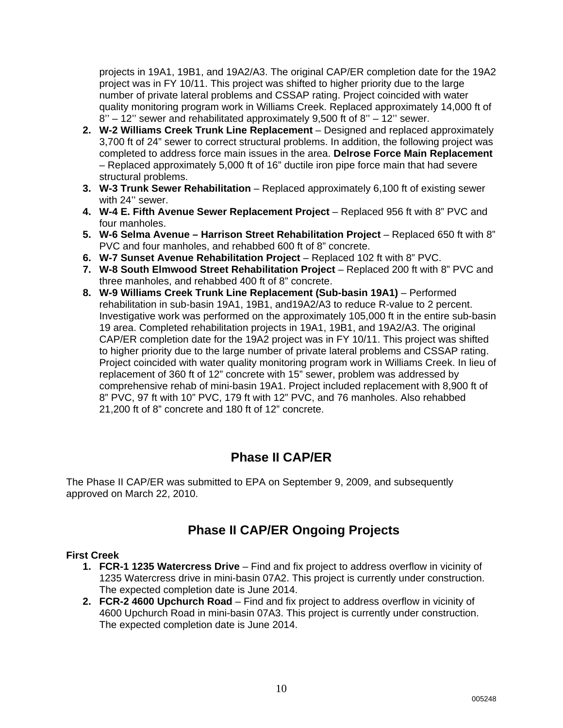projects in 19A1, 19B1, and 19A2/A3. The original CAP/ER completion date for the 19A2 project was in FY 10/11. This project was shifted to higher priority due to the large number of private lateral problems and CSSAP rating. Project coincided with water quality monitoring program work in Williams Creek. Replaced approximately 14,000 ft of 8'' – 12'' sewer and rehabilitated approximately 9,500 ft of 8'' – 12'' sewer.

- **2. W-2 Williams Creek Trunk Line Replacement** Designed and replaced approximately 3,700 ft of 24" sewer to correct structural problems. In addition, the following project was completed to address force main issues in the area. **Delrose Force Main Replacement** – Replaced approximately 5,000 ft of 16" ductile iron pipe force main that had severe structural problems.
- **3. W-3 Trunk Sewer Rehabilitation** Replaced approximately 6,100 ft of existing sewer with 24'' sewer.
- **4. W-4 E. Fifth Avenue Sewer Replacement Project** Replaced 956 ft with 8" PVC and four manholes.
- **5. W-6 Selma Avenue Harrison Street Rehabilitation Project** Replaced 650 ft with 8" PVC and four manholes, and rehabbed 600 ft of 8" concrete.
- **6. W-7 Sunset Avenue Rehabilitation Project** Replaced 102 ft with 8" PVC.
- **7. W-8 South Elmwood Street Rehabilitation Project** Replaced 200 ft with 8" PVC and three manholes, and rehabbed 400 ft of 8" concrete.
- **8. W-9 Williams Creek Trunk Line Replacement (Sub-basin 19A1)** Performed rehabilitation in sub-basin 19A1, 19B1, and19A2/A3 to reduce R-value to 2 percent. Investigative work was performed on the approximately 105,000 ft in the entire sub-basin 19 area. Completed rehabilitation projects in 19A1, 19B1, and 19A2/A3. The original CAP/ER completion date for the 19A2 project was in FY 10/11. This project was shifted to higher priority due to the large number of private lateral problems and CSSAP rating. Project coincided with water quality monitoring program work in Williams Creek. In lieu of replacement of 360 ft of 12" concrete with 15" sewer, problem was addressed by comprehensive rehab of mini-basin 19A1. Project included replacement with 8,900 ft of 8" PVC, 97 ft with 10" PVC, 179 ft with 12" PVC, and 76 manholes. Also rehabbed 21,200 ft of 8" concrete and 180 ft of 12" concrete.

### **Phase II CAP/ER**

The Phase II CAP/ER was submitted to EPA on September 9, 2009, and subsequently approved on March 22, 2010.

### **Phase II CAP/ER Ongoing Projects**

#### **First Creek**

- **1. FCR-1 1235 Watercress Drive**  Find and fix project to address overflow in vicinity of 1235 Watercress drive in mini-basin 07A2. This project is currently under construction. The expected completion date is June 2014.
- **2. FCR-2 4600 Upchurch Road** Find and fix project to address overflow in vicinity of 4600 Upchurch Road in mini-basin 07A3. This project is currently under construction. The expected completion date is June 2014.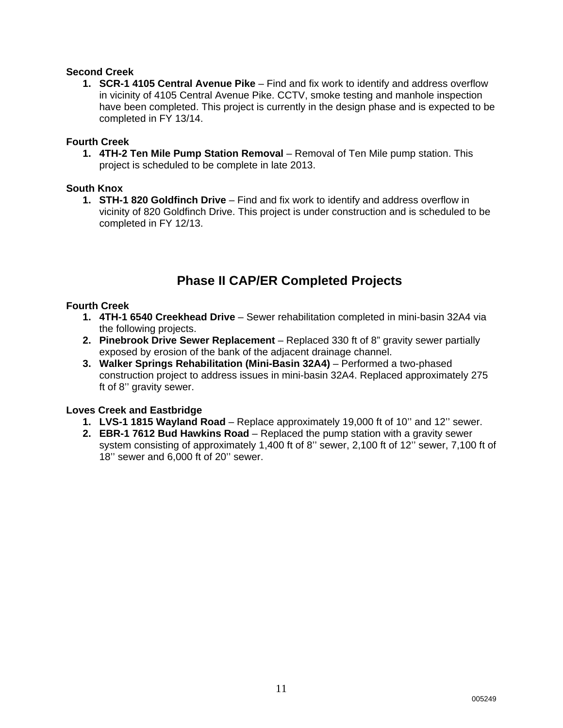#### **Second Creek**

**1. SCR-1 4105 Central Avenue Pike** – Find and fix work to identify and address overflow in vicinity of 4105 Central Avenue Pike. CCTV, smoke testing and manhole inspection have been completed. This project is currently in the design phase and is expected to be completed in FY 13/14.

#### **Fourth Creek**

**1. 4TH-2 Ten Mile Pump Station Removal** – Removal of Ten Mile pump station. This project is scheduled to be complete in late 2013.

#### **South Knox**

**1. STH-1 820 Goldfinch Drive** – Find and fix work to identify and address overflow in vicinity of 820 Goldfinch Drive. This project is under construction and is scheduled to be completed in FY 12/13.

### **Phase II CAP/ER Completed Projects**

#### **Fourth Creek**

- **1. 4TH-1 6540 Creekhead Drive** Sewer rehabilitation completed in mini-basin 32A4 via the following projects.
- **2. Pinebrook Drive Sewer Replacement** Replaced 330 ft of 8" gravity sewer partially exposed by erosion of the bank of the adjacent drainage channel.
- **3. Walker Springs Rehabilitation (Mini-Basin 32A4)** Performed a two-phased construction project to address issues in mini-basin 32A4. Replaced approximately 275 ft of 8'' gravity sewer.

#### **Loves Creek and Eastbridge**

- **1. LVS-1 1815 Wayland Road**  Replace approximately 19,000 ft of 10'' and 12'' sewer.
- **2. EBR-1 7612 Bud Hawkins Road** Replaced the pump station with a gravity sewer system consisting of approximately 1,400 ft of 8'' sewer, 2,100 ft of 12'' sewer, 7,100 ft of 18'' sewer and 6,000 ft of 20'' sewer.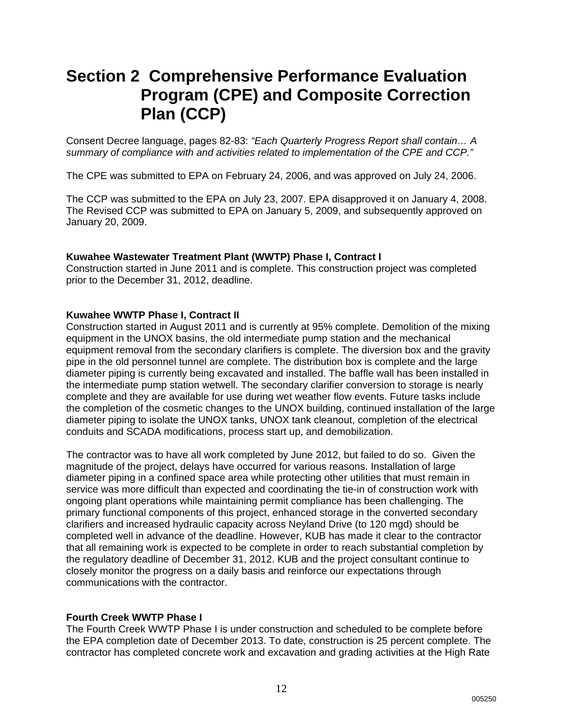## **Section 2 Comprehensive Performance Evaluation Program (CPE) and Composite Correction Plan (CCP)**

Consent Decree language, pages 82-83: *"Each Quarterly Progress Report shall contain… A summary of compliance with and activities related to implementation of the CPE and CCP."*

The CPE was submitted to EPA on February 24, 2006, and was approved on July 24, 2006.

The CCP was submitted to the EPA on July 23, 2007. EPA disapproved it on January 4, 2008. The Revised CCP was submitted to EPA on January 5, 2009, and subsequently approved on January 20, 2009.

#### **Kuwahee Wastewater Treatment Plant (WWTP) Phase I, Contract I**

Construction started in June 2011 and is complete. This construction project was completed prior to the December 31, 2012, deadline.

#### **Kuwahee WWTP Phase I, Contract II**

Construction started in August 2011 and is currently at 95% complete. Demolition of the mixing equipment in the UNOX basins, the old intermediate pump station and the mechanical equipment removal from the secondary clarifiers is complete. The diversion box and the gravity pipe in the old personnel tunnel are complete. The distribution box is complete and the large diameter piping is currently being excavated and installed. The baffle wall has been installed in the intermediate pump station wetwell. The secondary clarifier conversion to storage is nearly complete and they are available for use during wet weather flow events. Future tasks include the completion of the cosmetic changes to the UNOX building, continued installation of the large diameter piping to isolate the UNOX tanks, UNOX tank cleanout, completion of the electrical conduits and SCADA modifications, process start up, and demobilization.

The contractor was to have all work completed by June 2012, but failed to do so. Given the magnitude of the project, delays have occurred for various reasons. Installation of large diameter piping in a confined space area while protecting other utilities that must remain in service was more difficult than expected and coordinating the tie-in of construction work with ongoing plant operations while maintaining permit compliance has been challenging. The primary functional components of this project, enhanced storage in the converted secondary clarifiers and increased hydraulic capacity across Neyland Drive (to 120 mgd) should be completed well in advance of the deadline. However, KUB has made it clear to the contractor that all remaining work is expected to be complete in order to reach substantial completion by the regulatory deadline of December 31, 2012. KUB and the project consultant continue to closely monitor the progress on a daily basis and reinforce our expectations through communications with the contractor.

#### **Fourth Creek WWTP Phase I**

The Fourth Creek WWTP Phase I is under construction and scheduled to be complete before the EPA completion date of December 2013. To date, construction is 25 percent complete. The contractor has completed concrete work and excavation and grading activities at the High Rate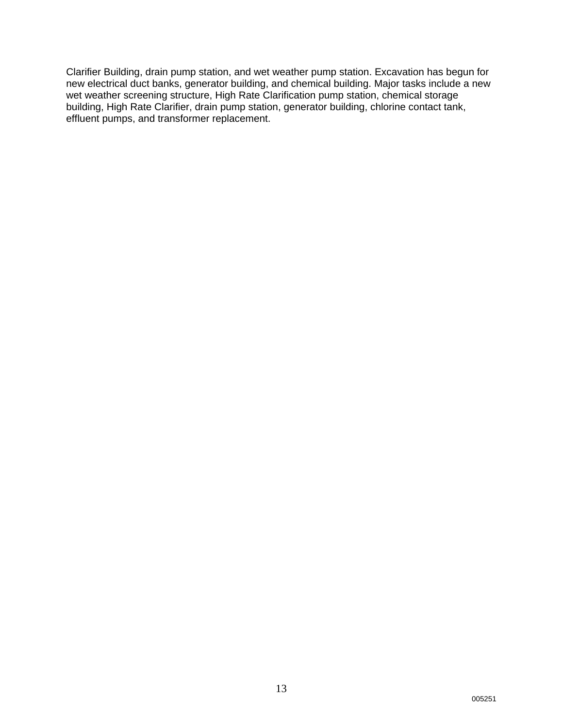Clarifier Building, drain pump station, and wet weather pump station. Excavation has begun for new electrical duct banks, generator building, and chemical building. Major tasks include a new wet weather screening structure, High Rate Clarification pump station, chemical storage building, High Rate Clarifier, drain pump station, generator building, chlorine contact tank, effluent pumps, and transformer replacement.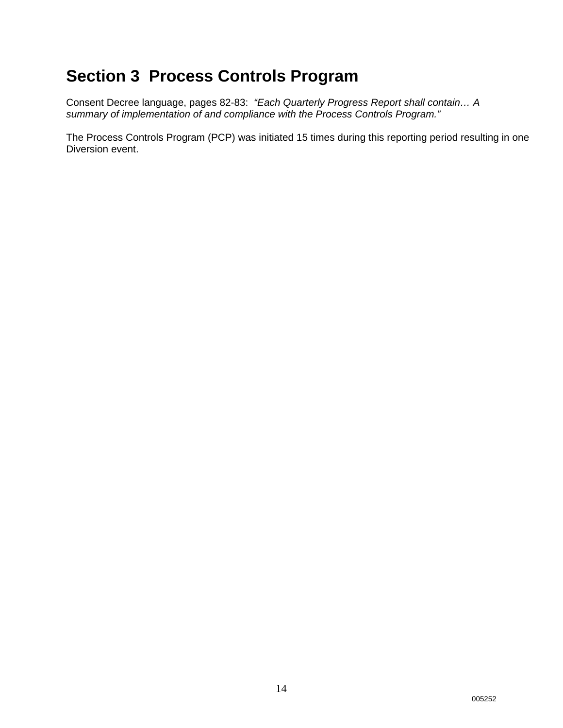# **Section 3 Process Controls Program**

Consent Decree language, pages 82-83: *"Each Quarterly Progress Report shall contain… A summary of implementation of and compliance with the Process Controls Program."*

The Process Controls Program (PCP) was initiated 15 times during this reporting period resulting in one Diversion event.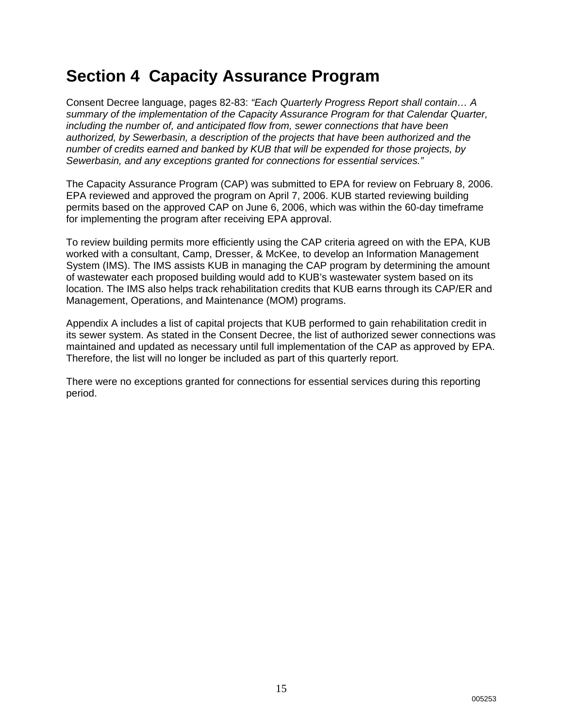# **Section 4 Capacity Assurance Program**

Consent Decree language, pages 82-83: *"Each Quarterly Progress Report shall contain… A summary of the implementation of the Capacity Assurance Program for that Calendar Quarter, including the number of, and anticipated flow from, sewer connections that have been authorized, by Sewerbasin, a description of the projects that have been authorized and the number of credits earned and banked by KUB that will be expended for those projects, by Sewerbasin, and any exceptions granted for connections for essential services."*

The Capacity Assurance Program (CAP) was submitted to EPA for review on February 8, 2006. EPA reviewed and approved the program on April 7, 2006. KUB started reviewing building permits based on the approved CAP on June 6, 2006, which was within the 60-day timeframe for implementing the program after receiving EPA approval.

To review building permits more efficiently using the CAP criteria agreed on with the EPA, KUB worked with a consultant, Camp, Dresser, & McKee, to develop an Information Management System (IMS). The IMS assists KUB in managing the CAP program by determining the amount of wastewater each proposed building would add to KUB's wastewater system based on its location. The IMS also helps track rehabilitation credits that KUB earns through its CAP/ER and Management, Operations, and Maintenance (MOM) programs.

Appendix A includes a list of capital projects that KUB performed to gain rehabilitation credit in its sewer system. As stated in the Consent Decree, the list of authorized sewer connections was maintained and updated as necessary until full implementation of the CAP as approved by EPA. Therefore, the list will no longer be included as part of this quarterly report.

There were no exceptions granted for connections for essential services during this reporting period.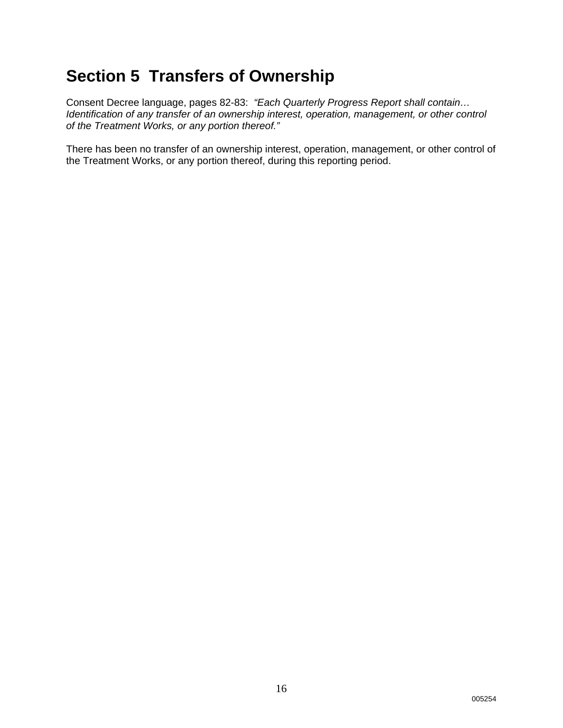# **Section 5 Transfers of Ownership**

Consent Decree language, pages 82-83: *"Each Quarterly Progress Report shall contain… Identification of any transfer of an ownership interest, operation, management, or other control of the Treatment Works, or any portion thereof."* 

There has been no transfer of an ownership interest, operation, management, or other control of the Treatment Works, or any portion thereof, during this reporting period.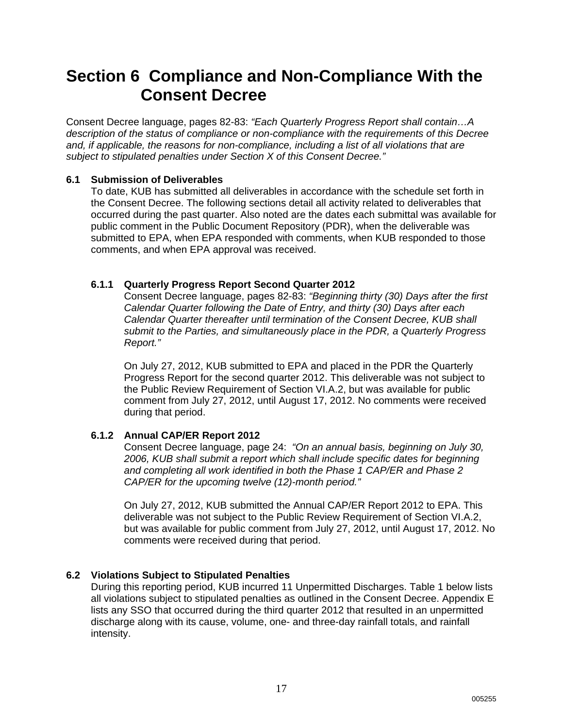## **Section 6 Compliance and Non-Compliance With the Consent Decree**

Consent Decree language, pages 82-83: *"Each Quarterly Progress Report shall contain…A description of the status of compliance or non-compliance with the requirements of this Decree and, if applicable, the reasons for non-compliance, including a list of all violations that are subject to stipulated penalties under Section X of this Consent Decree."*

#### **6.1 Submission of Deliverables**

To date, KUB has submitted all deliverables in accordance with the schedule set forth in the Consent Decree. The following sections detail all activity related to deliverables that occurred during the past quarter. Also noted are the dates each submittal was available for public comment in the Public Document Repository (PDR), when the deliverable was submitted to EPA, when EPA responded with comments, when KUB responded to those comments, and when EPA approval was received.

#### **6.1.1 Quarterly Progress Report Second Quarter 2012**

Consent Decree language, pages 82-83: *"Beginning thirty (30) Days after the first Calendar Quarter following the Date of Entry, and thirty (30) Days after each Calendar Quarter thereafter until termination of the Consent Decree, KUB shall submit to the Parties, and simultaneously place in the PDR, a Quarterly Progress Report."*

On July 27, 2012, KUB submitted to EPA and placed in the PDR the Quarterly Progress Report for the second quarter 2012. This deliverable was not subject to the Public Review Requirement of Section VI.A.2, but was available for public comment from July 27, 2012, until August 17, 2012. No comments were received during that period.

### **6.1.2 Annual CAP/ER Report 2012**

Consent Decree language, page 24: *"On an annual basis, beginning on July 30, 2006, KUB shall submit a report which shall include specific dates for beginning and completing all work identified in both the Phase 1 CAP/ER and Phase 2 CAP/ER for the upcoming twelve (12)-month period."*

On July 27, 2012, KUB submitted the Annual CAP/ER Report 2012 to EPA. This deliverable was not subject to the Public Review Requirement of Section VI.A.2, but was available for public comment from July 27, 2012, until August 17, 2012. No comments were received during that period.

#### **6.2 Violations Subject to Stipulated Penalties**

During this reporting period, KUB incurred 11 Unpermitted Discharges. Table 1 below lists all violations subject to stipulated penalties as outlined in the Consent Decree. Appendix E lists any SSO that occurred during the third quarter 2012 that resulted in an unpermitted discharge along with its cause, volume, one- and three-day rainfall totals, and rainfall intensity.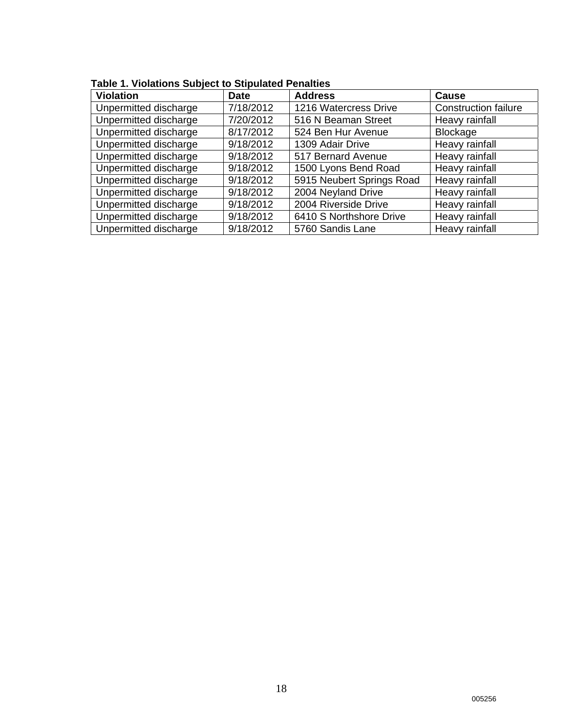| $\alpha$ able 1. Violations Subject to Supulated Ferialties |             |                           |                             |  |  |  |  |  |  |  |  |
|-------------------------------------------------------------|-------------|---------------------------|-----------------------------|--|--|--|--|--|--|--|--|
| <b>Violation</b>                                            | <b>Date</b> | <b>Address</b>            | <b>Cause</b>                |  |  |  |  |  |  |  |  |
| Unpermitted discharge                                       | 7/18/2012   | 1216 Watercress Drive     | <b>Construction failure</b> |  |  |  |  |  |  |  |  |
| Unpermitted discharge                                       | 7/20/2012   | 516 N Beaman Street       | Heavy rainfall              |  |  |  |  |  |  |  |  |
| Unpermitted discharge                                       | 8/17/2012   | 524 Ben Hur Avenue        | Blockage                    |  |  |  |  |  |  |  |  |
| Unpermitted discharge                                       | 9/18/2012   | 1309 Adair Drive          | Heavy rainfall              |  |  |  |  |  |  |  |  |
| Unpermitted discharge                                       | 9/18/2012   | 517 Bernard Avenue        | Heavy rainfall              |  |  |  |  |  |  |  |  |
| Unpermitted discharge                                       | 9/18/2012   | 1500 Lyons Bend Road      | Heavy rainfall              |  |  |  |  |  |  |  |  |
| Unpermitted discharge                                       | 9/18/2012   | 5915 Neubert Springs Road | Heavy rainfall              |  |  |  |  |  |  |  |  |
| Unpermitted discharge                                       | 9/18/2012   | 2004 Neyland Drive        | Heavy rainfall              |  |  |  |  |  |  |  |  |
| Unpermitted discharge                                       | 9/18/2012   | 2004 Riverside Drive      | Heavy rainfall              |  |  |  |  |  |  |  |  |
| Unpermitted discharge                                       | 9/18/2012   | 6410 S Northshore Drive   | Heavy rainfall              |  |  |  |  |  |  |  |  |
| Unpermitted discharge                                       | 9/18/2012   | 5760 Sandis Lane          | Heavy rainfall              |  |  |  |  |  |  |  |  |

### **Table 1. Violations Subject to Stipulated Penalties**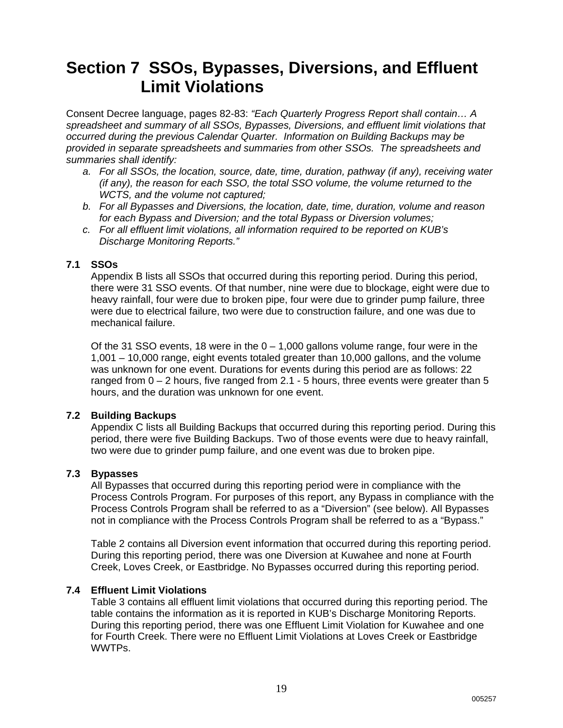## **Section 7 SSOs, Bypasses, Diversions, and Effluent Limit Violations**

Consent Decree language, pages 82-83: *"Each Quarterly Progress Report shall contain… A spreadsheet and summary of all SSOs, Bypasses, Diversions, and effluent limit violations that occurred during the previous Calendar Quarter. Information on Building Backups may be provided in separate spreadsheets and summaries from other SSOs. The spreadsheets and summaries shall identify:* 

- *a. For all SSOs, the location, source, date, time, duration, pathway (if any), receiving water (if any), the reason for each SSO, the total SSO volume, the volume returned to the WCTS, and the volume not captured;*
- *b. For all Bypasses and Diversions, the location, date, time, duration, volume and reason for each Bypass and Diversion; and the total Bypass or Diversion volumes;*
- *c. For all effluent limit violations, all information required to be reported on KUB's Discharge Monitoring Reports."*

#### **7.1 SSOs**

Appendix B lists all SSOs that occurred during this reporting period. During this period, there were 31 SSO events. Of that number, nine were due to blockage, eight were due to heavy rainfall, four were due to broken pipe, four were due to grinder pump failure, three were due to electrical failure, two were due to construction failure, and one was due to mechanical failure.

Of the 31 SSO events, 18 were in the  $0 - 1,000$  gallons volume range, four were in the 1,001 – 10,000 range, eight events totaled greater than 10,000 gallons, and the volume was unknown for one event. Durations for events during this period are as follows: 22 ranged from 0 – 2 hours, five ranged from 2.1 - 5 hours, three events were greater than 5 hours, and the duration was unknown for one event.

#### **7.2 Building Backups**

Appendix C lists all Building Backups that occurred during this reporting period. During this period, there were five Building Backups. Two of those events were due to heavy rainfall, two were due to grinder pump failure, and one event was due to broken pipe.

#### **7.3 Bypasses**

All Bypasses that occurred during this reporting period were in compliance with the Process Controls Program. For purposes of this report, any Bypass in compliance with the Process Controls Program shall be referred to as a "Diversion" (see below). All Bypasses not in compliance with the Process Controls Program shall be referred to as a "Bypass."

Table 2 contains all Diversion event information that occurred during this reporting period. During this reporting period, there was one Diversion at Kuwahee and none at Fourth Creek, Loves Creek, or Eastbridge. No Bypasses occurred during this reporting period.

#### **7.4 Effluent Limit Violations**

Table 3 contains all effluent limit violations that occurred during this reporting period. The table contains the information as it is reported in KUB's Discharge Monitoring Reports. During this reporting period, there was one Effluent Limit Violation for Kuwahee and one for Fourth Creek. There were no Effluent Limit Violations at Loves Creek or Eastbridge WWTPs.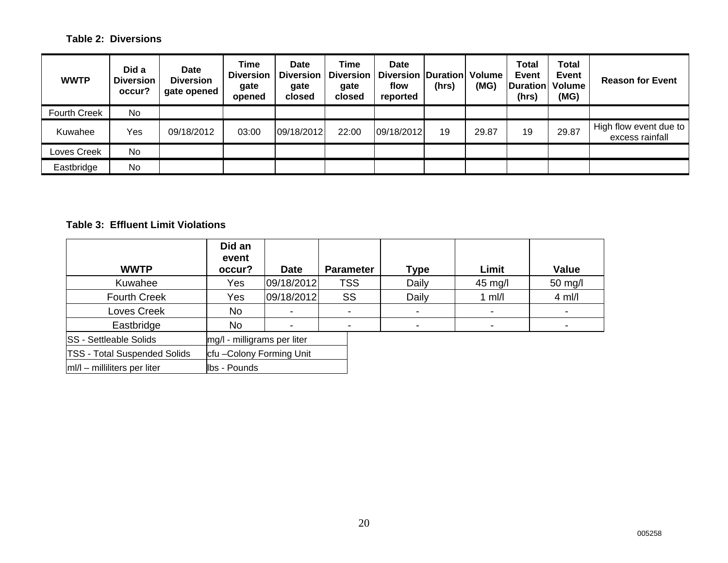#### **Table 2: Diversions**

| <b>WWTP</b>         | Did a<br><b>Diversion</b><br>occur? | <b>Date</b><br><b>Diversion</b><br>gate opened | <b>Time</b><br><b>Diversion</b><br>gate<br>opened | Date<br><b>Diversion</b><br>gate<br>closed | Time<br><b>Diversion</b><br>gate<br>closed | Date<br>Diversion   Duration  <br>flow<br>reported | (hrs) | Volume<br>(MG) | <b>Total</b><br><b>Event</b><br><b>Duration</b><br>(hrs) | <b>Total</b><br>Event<br>Volume<br>(MG) | <b>Reason for Event</b>                   |
|---------------------|-------------------------------------|------------------------------------------------|---------------------------------------------------|--------------------------------------------|--------------------------------------------|----------------------------------------------------|-------|----------------|----------------------------------------------------------|-----------------------------------------|-------------------------------------------|
| <b>Fourth Creek</b> | No.                                 |                                                |                                                   |                                            |                                            |                                                    |       |                |                                                          |                                         |                                           |
| Kuwahee             | Yes                                 | 09/18/2012                                     | 03:00                                             | 09/18/2012                                 | 22:00                                      | 09/18/2012                                         | 19    | 29.87          | 19                                                       | 29.87                                   | High flow event due to<br>excess rainfall |
| Loves Creek         | No                                  |                                                |                                                   |                                            |                                            |                                                    |       |                |                                                          |                                         |                                           |
| Eastbridge          | No                                  |                                                |                                                   |                                            |                                            |                                                    |       |                |                                                          |                                         |                                           |

#### **Table 3: Effluent Limit Violations**

| <b>WWTP</b>                         | Did an<br>event<br>occur?   | <b>Date</b> | <b>Parameter</b> | Type  | Limit             | <b>Value</b> |
|-------------------------------------|-----------------------------|-------------|------------------|-------|-------------------|--------------|
| Kuwahee                             | Yes                         | 09/18/2012  | <b>TSS</b>       | Daily | $45 \text{ mg/l}$ | $50$ mg/l    |
| <b>Fourth Creek</b>                 | Yes                         | 09/18/2012  | SS               | Daily | 1 $mI/I$          | $4$ ml/l     |
| Loves Creek                         | No                          |             |                  |       |                   |              |
| Eastbridge                          | No                          |             | -                |       |                   |              |
| <b>SS</b> - Settleable Solids       | mg/l - milligrams per liter |             |                  |       |                   |              |
| <b>TSS - Total Suspended Solids</b> | cfu-Colony Forming Unit     |             |                  |       |                   |              |
| $ m /l$ – milliliters per liter     | lbs - Pounds                |             |                  |       |                   |              |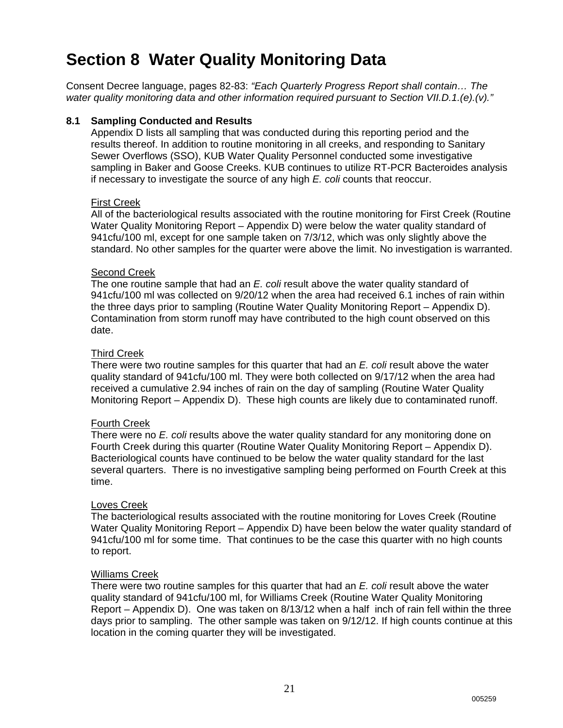# **Section 8 Water Quality Monitoring Data**

Consent Decree language, pages 82-83: *"Each Quarterly Progress Report shall contain… The water quality monitoring data and other information required pursuant to Section VII.D.1.(e).(v)."*

#### **8.1 Sampling Conducted and Results**

Appendix D lists all sampling that was conducted during this reporting period and the results thereof. In addition to routine monitoring in all creeks, and responding to Sanitary Sewer Overflows (SSO), KUB Water Quality Personnel conducted some investigative sampling in Baker and Goose Creeks. KUB continues to utilize RT-PCR Bacteroides analysis if necessary to investigate the source of any high *E. coli* counts that reoccur.

#### First Creek

All of the bacteriological results associated with the routine monitoring for First Creek (Routine Water Quality Monitoring Report – Appendix D) were below the water quality standard of 941cfu/100 ml, except for one sample taken on 7/3/12, which was only slightly above the standard. No other samples for the quarter were above the limit. No investigation is warranted.

#### Second Creek

The one routine sample that had an *E. coli* result above the water quality standard of 941cfu/100 ml was collected on 9/20/12 when the area had received 6.1 inches of rain within the three days prior to sampling (Routine Water Quality Monitoring Report – Appendix D). Contamination from storm runoff may have contributed to the high count observed on this date.

#### Third Creek

There were two routine samples for this quarter that had an *E. coli* result above the water quality standard of 941cfu/100 ml. They were both collected on 9/17/12 when the area had received a cumulative 2.94 inches of rain on the day of sampling (Routine Water Quality Monitoring Report – Appendix D). These high counts are likely due to contaminated runoff.

#### Fourth Creek

There were no *E. coli* results above the water quality standard for any monitoring done on Fourth Creek during this quarter (Routine Water Quality Monitoring Report – Appendix D). Bacteriological counts have continued to be below the water quality standard for the last several quarters. There is no investigative sampling being performed on Fourth Creek at this time.

#### Loves Creek

The bacteriological results associated with the routine monitoring for Loves Creek (Routine Water Quality Monitoring Report – Appendix D) have been below the water quality standard of 941cfu/100 ml for some time. That continues to be the case this quarter with no high counts to report.

#### Williams Creek

There were two routine samples for this quarter that had an *E. coli* result above the water quality standard of 941cfu/100 ml, for Williams Creek (Routine Water Quality Monitoring Report – Appendix D). One was taken on 8/13/12 when a half inch of rain fell within the three days prior to sampling. The other sample was taken on 9/12/12. If high counts continue at this location in the coming quarter they will be investigated.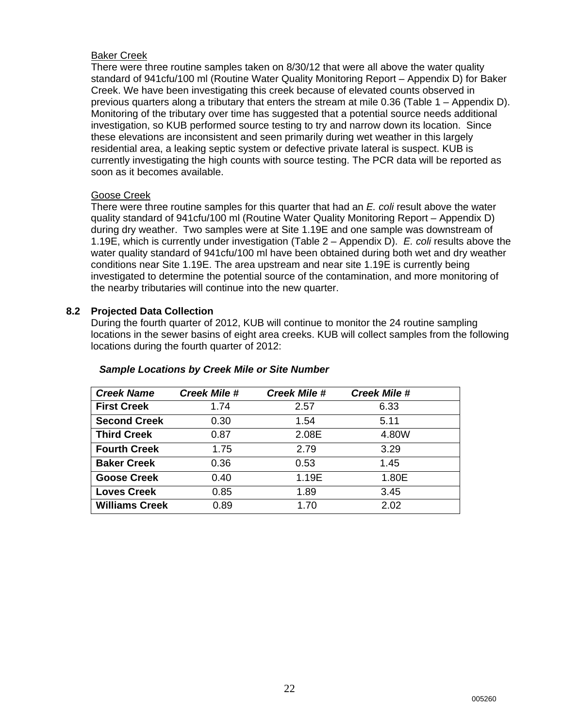#### Baker Creek

There were three routine samples taken on 8/30/12 that were all above the water quality standard of 941cfu/100 ml (Routine Water Quality Monitoring Report – Appendix D) for Baker Creek. We have been investigating this creek because of elevated counts observed in previous quarters along a tributary that enters the stream at mile 0.36 (Table 1 – Appendix D). Monitoring of the tributary over time has suggested that a potential source needs additional investigation, so KUB performed source testing to try and narrow down its location. Since these elevations are inconsistent and seen primarily during wet weather in this largely residential area, a leaking septic system or defective private lateral is suspect. KUB is currently investigating the high counts with source testing. The PCR data will be reported as soon as it becomes available.

#### Goose Creek

There were three routine samples for this quarter that had an *E. coli* result above the water quality standard of 941cfu/100 ml (Routine Water Quality Monitoring Report – Appendix D) during dry weather. Two samples were at Site 1.19E and one sample was downstream of 1.19E, which is currently under investigation (Table 2 – Appendix D). *E. coli* results above the water quality standard of 941cfu/100 ml have been obtained during both wet and dry weather conditions near Site 1.19E. The area upstream and near site 1.19E is currently being investigated to determine the potential source of the contamination, and more monitoring of the nearby tributaries will continue into the new quarter.

#### **8.2 Projected Data Collection**

During the fourth quarter of 2012, KUB will continue to monitor the 24 routine sampling locations in the sewer basins of eight area creeks. KUB will collect samples from the following locations during the fourth quarter of 2012:

| <b>Creek Name</b>     | <b>Creek Mile #</b> | <b>Creek Mile #</b> | <b>Creek Mile #</b> |
|-----------------------|---------------------|---------------------|---------------------|
| <b>First Creek</b>    | 1.74                | 2.57                | 6.33                |
| <b>Second Creek</b>   | 0.30                | 1.54                | 5.11                |
| <b>Third Creek</b>    | 0.87                | 2.08E               | 4.80W               |
| <b>Fourth Creek</b>   | 1.75                | 2.79                | 3.29                |
| <b>Baker Creek</b>    | 0.36                | 0.53                | 1.45                |
| <b>Goose Creek</b>    | 0.40                | 1.19E               | 1.80E               |
| <b>Loves Creek</b>    | 0.85                | 1.89                | 3.45                |
| <b>Williams Creek</b> | 0.89                | 1.70                | 2.02                |

#### *Sample Locations by Creek Mile or Site Number*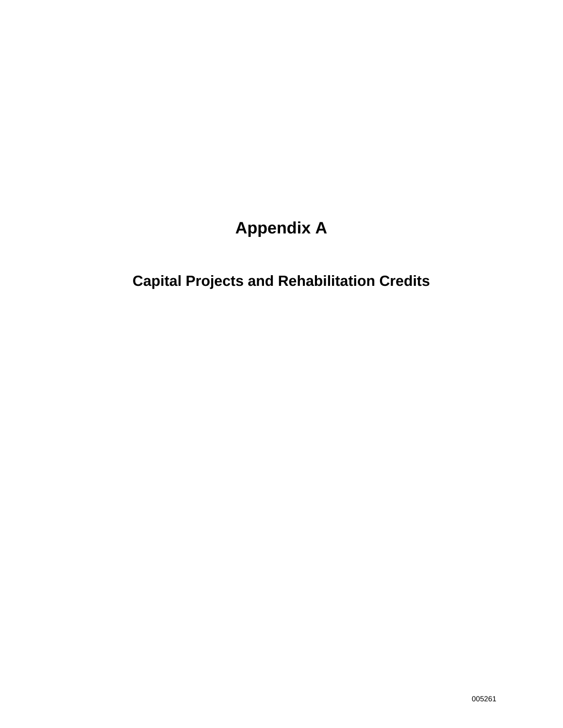# **Appendix A**

# **Capital Projects and Rehabilitation Credits**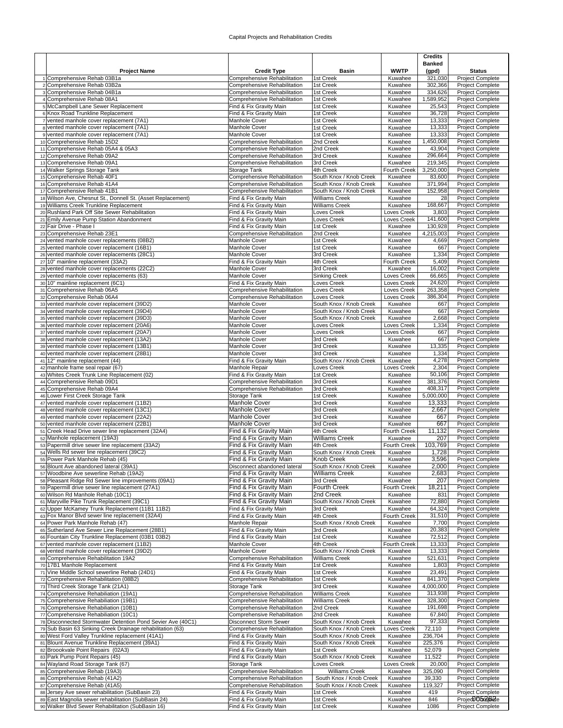#### Capital Projects and Rehabilitation Credits

|                                                                                                                |                                                              |                                                    |                                   | <b>Credits</b>       |                                             |
|----------------------------------------------------------------------------------------------------------------|--------------------------------------------------------------|----------------------------------------------------|-----------------------------------|----------------------|---------------------------------------------|
|                                                                                                                |                                                              |                                                    |                                   | <b>Banked</b>        |                                             |
| <b>Project Name</b><br>1 Comprehensive Rehab 03B1a                                                             | <b>Credit Type</b><br>Comprehensive Rehabilitation           | <b>Basin</b><br>1st Creek                          | <b>WWTP</b><br>Kuwahee            | (gpd)<br>321,030     | <b>Status</b><br>Project Complete           |
| 2 Comprehensive Rehab 03B2a                                                                                    | Comprehensive Rehabilitation                                 | 1st Creek                                          | Kuwahee                           | 302,366              | <b>Project Complete</b>                     |
| 3 Comprehensive Rehab 04B1a                                                                                    | Comprehensive Rehabilitation                                 | 1st Creek                                          | Kuwahee                           | 334,626              | Project Complete                            |
| 4 Comprehensive Rehab 08A1                                                                                     | Comprehensive Rehabilitation                                 | 1st Creek                                          | Kuwahee                           | 1,589,952            | Project Complete                            |
| 5 McCampbell Lane Sewer Replacement                                                                            | Find & Fix Gravity Main                                      | 1st Creek                                          | Kuwahee                           | 25,543               | Project Complete                            |
| 6 Knox Road Trunkline Replacement<br>7 vented manhole cover replacement (7A1)                                  | Find & Fix Gravity Main<br><b>Manhole Cover</b>              | 1st Creek<br>1st Creek                             | Kuwahee<br>Kuwahee                | 36,728<br>13,333     | Project Complete<br>Project Complete        |
| 8 vented manhole cover replacement (7A1)                                                                       | Manhole Cover                                                | 1st Creek                                          | Kuwahee                           | 13,333               | Project Complete                            |
| 9 vented manhole cover replacement (7A1)                                                                       | <b>Manhole Cover</b>                                         | 1st Creek                                          | Kuwahee                           | 13,333               | Project Complete                            |
| 10 Comprehensive Rehab 15D2                                                                                    | Comprehensive Rehabilitation                                 | 2nd Creek                                          | Kuwahee                           | 1,450,008            | Project Complete                            |
| 11 Comprehensive Rehab 05A4 & 05A3                                                                             | Comprehensive Rehabilitation                                 | 2nd Creek                                          | Kuwahee                           | 43,904               | <b>Project Complete</b>                     |
| 12 Comprehensive Rehab 09A2<br>13 Comprehensive Rehab 09A1                                                     | Comprehensive Rehabilitation<br>Comprehensive Rehabilitation | 3rd Creek<br>3rd Creek                             | Kuwahee<br>Kuwahee                | 296,664<br>219,345   | <b>Project Complete</b><br>Project Complete |
| 14 Walker Springs Storage Tank                                                                                 | Storage Tank                                                 | 4th Creek                                          | Fourth Creek                      | 3,250,000            | Project Complete                            |
| 15 Comprehensive Rehab 40F1                                                                                    | Comprehensive Rehabilitation                                 | South Knox / Knob Creek                            | Kuwahee                           | 83,600               | Project Complete                            |
| 16 Comprehensive Rehab 41A4                                                                                    | Comprehensive Rehabilitation                                 | South Knox / Knob Creek                            | Kuwahee                           | 371,994              | Project Complete                            |
| 17 Comprehensive Rehab 41B1<br>18 Wilson Ave, Chesnut St., Donnell St. (Asset Replacement)                     | Comprehensive Rehabilitation<br>Find & Fix Gravity Main      | South Knox / Knob Creek<br><b>Williams Creek</b>   | Kuwahee<br>Kuwahee                | 152,958<br>28        | Project Complete<br>Project Complete        |
| 19 Williams Creek Trunkline Replacement                                                                        | Find & Fix Gravity Main                                      | <b>Williams Creek</b>                              | Kuwahee                           | 168,667              | Project Complete                            |
| 20 Rushland Park Off Site Sewer Rehabilitation                                                                 | Find & Fix Gravity Main                                      | Loves Creek                                        | Loves Creek                       | 3,803                | Project Complete                            |
| 21 Emily Avenue Pump Station Abandonment                                                                       | Find & Fix Gravity Main                                      | Loves Creek                                        | Loves Creek                       | 141,600              | Project Complete                            |
| 22 Fair Drive - Phase I                                                                                        | Find & Fix Gravity Main                                      | 1st Creek                                          | Kuwahee                           | 130,928              | Project Complete                            |
| 23 Comprehensive Rehab 23E1<br>24 vented manhole cover replacements (08B2)                                     | Comprehensive Rehabilitation<br><b>Manhole Cover</b>         | 2nd Creek<br>1st Creek                             | Kuwahee<br>Kuwahee                | 4,215,003<br>4,669   | Project Complete<br><b>Project Complete</b> |
| 25 vented manhole cover replacement (16B1)                                                                     | Manhole Cover                                                | 1st Creek                                          | Kuwahee                           | 667                  | Project Complete                            |
| 26 vented manhole cover replacements (28C1)                                                                    | <b>Manhole Cover</b>                                         | 3rd Creek                                          | Kuwahee                           | 1,334                | Project Complete                            |
| 27 10" mainline replacement (33A2)                                                                             | Find & Fix Gravity Main                                      | 4th Creek                                          | <b>Fourth Creek</b>               | 5,409                | <b>Project Complete</b>                     |
| 28 vented manhole cover replacements (22C2)                                                                    | <b>Manhole Cover</b>                                         | 3rd Creek                                          | Kuwahee                           | 16,002               | Project Complete                            |
| 29 vented manhole cover replacements (63)<br>30 10" mainline replacement (6C1)                                 | <b>Manhole Cover</b><br>Find & Fix Gravity Main              | <b>Sinking Creek</b><br>Loves Creek                | Loves Creek<br><b>Loves Creek</b> | 66,665<br>24,620     | Project Complete<br>Project Complete        |
| 31 Comprehensive Rehab 06A5                                                                                    | Comprehensive Rehabilitation                                 | Loves Creek                                        | Loves Creek                       | 263,358              | Project Complete                            |
| 32 Comprehensive Rehab 06A4                                                                                    | Comprehensive Rehabilitation                                 | Loves Creek                                        | Loves Creek                       | 386,304              | Project Complete                            |
| 33 vented manhole cover replacement (39D2)                                                                     | <b>Manhole Cover</b>                                         | South Knox / Knob Creek                            | Kuwahee                           | 667                  | Project Complete                            |
| 34 vented manhole cover replacement (39D4)                                                                     | Manhole Cover                                                | South Knox / Knob Creek<br>South Knox / Knob Creek | Kuwahee                           | 667<br>2,668         | <b>Project Complete</b>                     |
| 35 vented manhole cover replacement (39D3)<br>36 vented manhole cover replacement (20A6)                       | <b>Manhole Cover</b><br>Manhole Cover                        | Loves Creek                                        | Kuwahee<br>Loves Creek            | 1,334                | Project Complete<br>Project Complete        |
| 37 vented manhole cover replacement (20A7)                                                                     | <b>Manhole Cover</b>                                         | Loves Creek                                        | Loves Creek                       | 667                  | Project Complete                            |
| 38 vented manhole cover replacement (13A2)                                                                     | Manhole Cover                                                | 3rd Creek                                          | Kuwahee                           | 667                  | Project Complete                            |
| 39 vented manhole cover replacement (13B1)                                                                     | <b>Manhole Cover</b>                                         | 3rd Creek                                          | Kuwahee                           | 13,335               | Project Complete                            |
| 40 vented manhole cover replacement (28B1)                                                                     | Manhole Cover                                                | 3rd Creek                                          | Kuwahee                           | 1,334<br>4,278       | Project Complete                            |
| 41 12" mainline replacement (44)<br>42 manhole frame seal repair (67)                                          | Find & Fix Gravity Main<br>Manhole Repair                    | South Knox / Knob Creek<br>Loves Creek             | Kuwahee<br>Loves Creek            | 2,304                | Project Complete<br>Project Complete        |
| 43 Whites Creek Trunk Line Replacement (02)                                                                    | Find & Fix Gravity Main                                      | 1st Creek                                          | Kuwahee                           | 50,106               | Project Complete                            |
| 44 Comprehensive Rehab 09D1                                                                                    | Comprehensive Rehabilitation                                 | 3rd Creek                                          | Kuwahee                           | 381,376              | Project Complete                            |
| 45 Comprehensive Rehab 09A4                                                                                    | Comprehensive Rehabilitation                                 | 3rd Creek                                          | Kuwahee                           | 408,317              | Project Complete                            |
| 46 Lower First Creek Storage Tank<br>47 vented manhole cover replacement (11B2)                                | Storage Tank<br><b>Manhole Cover</b>                         | 1st Creek<br>3rd Creek                             | Kuwahee<br>Kuwahee                | 5,000,000<br>13,333  | <b>Project Complete</b><br>Project Complete |
| 48 vented manhole cover replacement (13C1)                                                                     | <b>Manhole Cover</b>                                         | 3rd Creek                                          | Kuwahee                           | 2,667                | Project Complete                            |
| 49 vented manhole cover replacement (22A2)                                                                     | <b>Manhole Cover</b>                                         | 3rd Creek                                          | Kuwahee                           | 667                  | Project Complete                            |
| 50 vented manhole cover replacement (22B1)                                                                     | <b>Manhole Cover</b>                                         | 3rd Creek                                          | Kuwahee                           | 667                  | Project Complete                            |
| 51 Creek Head Drive sewer line replacement (32A4)<br>52 Manhole replacement (19A3)                             | Find & Fix Gravity Main<br>Find & Fix Gravity Main           | 4th Creek<br><b>Williams Creek</b>                 | Fourth Creek<br>Kuwahee           | 11,132<br>207        | Project Complete<br><b>Project Complete</b> |
| 53 Papermill drive sewer line replacement (33A2)                                                               | Find & Fix Gravity Main                                      | 4th Creek                                          | <b>Fourth Creek</b>               | 103,769              | Project Complete                            |
| 54 Wells Rd sewer line replacement (39C2)                                                                      | Find & Fix Gravity Main                                      | South Knox / Knob Creek                            | Kuwahee                           | 1,728                | Project Complete                            |
| 55 Power Park Manhole Rehab (45)                                                                               | Find & Fix Gravity Main                                      | Knob Creek                                         | Kuwahee                           | 3,596                | Project Complete                            |
| 56 Blount Ave abandoned lateral (39A1)                                                                         | Disconnect abandoned lateral                                 | South Knox / Knob Creek                            | Kuwanee                           | z,uuu                | <b>Project Complete</b>                     |
| 57 Woodbine Ave sewerline Rehab (19A2)<br>58 Pleasant Ridge Rd Sewer line improvements (09A1)                  | Find & Fix Gravity Main<br>Find & Fix Gravity Main           | <b>Williams Creek</b><br>3rd Creek                 | Kuwahee<br>Kuwahee                | 2,683<br>207         | Project Complete<br><b>Project Complete</b> |
| 59 Papermill drive sewer line replacement (27A1)                                                               | Find & Fix Gravity Main                                      | Fourth Creek                                       | Fourth Creek                      | 18,211               | Project Complete                            |
| 60 Wilson Rd Manhole Rehab (10C1)                                                                              | Find & Fix Gravity Main                                      | 2nd Creek                                          | Kuwahee                           | 831                  | Project Complete                            |
| 61 Maryville Pike Trunk Replacement (39C1)                                                                     | Find & Fix Gravity Main                                      | South Knox / Knob Creek                            | Kuwahee                           | 72,880               | <b>Project Complete</b>                     |
| 62 Upper McKamey Trunk Replacement (11B1 11B2)<br>63 Fox Manor Blvd sewer line replacement (32A4)              | Find & Fix Gravity Main<br>Find & Fix Gravity Main           | 3rd Creek<br>4th Creek                             | Kuwahee<br>Fourth Creek           | 64,324<br>31,510     | Project Complete<br>Project Complete        |
| 64 Power Park Manhole Rehab (47)                                                                               | Manhole Repair                                               | South Knox / Knob Creek                            | Kuwahee                           | 7,700                | Project Complete                            |
| 65 Sutherland Ave Sewer Line Replacement (28B1)                                                                | Find & Fix Gravity Main                                      | 3rd Creek                                          | Kuwahee                           | 20,383               | Project Complete                            |
| 66 Fountain City Trunkline Replacement (03B1 03B2)                                                             | Find & Fix Gravity Main                                      | 1st Creek                                          | Kuwahee                           | 72,512               | Project Complete                            |
| 67 vented manhole cover replacement (11B2)                                                                     | Manhole Cover                                                | 4th Creek                                          | Fourth Creek                      | 13,333               | Project Complete                            |
| 68 vented manhole cover replacement (39D2)<br>69 Comprehensive Rehabilitation 19A2                             | Manhole Cover<br>Comprehensive Rehabilitation                | South Knox / Knob Creek<br><b>Williams Creek</b>   | Kuwahee<br>Kuwahee                | 13,333<br>521,631    | Project Complete<br>Project Complete        |
| 70 17B1 Manhole Replacement                                                                                    | Find & Fix Gravity Main                                      | 1st Creek                                          | Kuwahee                           | 1,803                | <b>Project Complete</b>                     |
| 71 Vine Middle School sewerline Rehab (24D1)                                                                   | Find & Fix Gravity Main                                      | 1st Creek                                          | Kuwahee                           | 23,491               | Project Complete                            |
| 72 Comprehensive Rehabilitation (08B2)                                                                         | Comprehensive Rehabilitation                                 | 1st Creek                                          | Kuwahee                           | 841,370              | Project Complete                            |
| 73 Third Creek Storage Tank (21A1)<br>74 Comprehensive Rehabiliation (19A1)                                    | Storage Tank<br>Comprehensive Rehabilitation                 | 3rd Creek<br>Williams Creek                        | Kuwahee<br>Kuwahee                | 4,000,000<br>313,938 | Project Complete<br>Project Complete        |
| 75 Comprehensive Rehabiliation (19B1)                                                                          | Comprehensive Rehabilitation                                 | Williams Creek                                     | Kuwahee                           | 328,300              | Project Complete                            |
| 76 Comprehensive Rehabiliation (10B1)                                                                          | Comprehensive Rehabilitation                                 | 2nd Creek                                          | Kuwahee                           | 191,698              | Project Complete                            |
| 77 Comprehensive Rehabiliation (10C1)                                                                          | Comprehensive Rehabilitation                                 | 2nd Creek                                          | Kuwahee                           | 67,840               | Project Complete                            |
| 78 Disconnected Stormwater Detention Pond Sevier Ave (40C1)                                                    | Disconnect Storm Sewer                                       | South Knox / Knob Creek                            | Kuwahee                           | 97,333               | Project Complete                            |
| 79 Sub Basin 63 Sinking Creek Drainage rehabilitation (63)<br>80 West Ford Valley Trunkline replacement (41A1) | Comprehensive Rehabilitation<br>Find & Fix Gravity Main      | South Knox / Knob Creek<br>South Knox / Knob Creek | oves Creek.<br>Kuwahee            | 72,110<br>236,704    | Project Complete<br>Project Complete        |
| 81 Blount Avenue Trunkline Replacement (39A1)                                                                  | Find & Fix Gravity Main                                      | South Knox / Knob Creek                            | Kuwahee                           | 225,376              | Project Complete                            |
| 82 Broookvale Point Repairs (02A3)                                                                             | Find & Fix Gravity Main                                      | 1st Creek                                          | Kuwahee                           | 52,079               | Project Complete                            |
| 83 Park Pump Point Repairs (45)                                                                                | Find & Fix Gravity Main                                      | South Knox / Knob Creek                            | Kuwahee                           | 11,522               | Project Complete                            |
| 84 Wayland Road Storage Tank (67)                                                                              | Storage Tank                                                 | Loves Creek                                        | Loves Creek                       | 20,000               | Project Complete                            |
| 85 Comprehensive Rehab (19A3)<br>86 Comprehensive Rehab (41A2)                                                 | Comprehensive Rehabilitation<br>Comprehensive Rehabilitation | <b>Williams Creek</b><br>South Knox / Knob Creek   | Kuwahee<br>Kuwahee                | 325,090<br>39,330    | Project Complete<br>Project Complete        |
| 87 Comprehensive Rehab (41A5)                                                                                  | Comprehensive Rehabilitation                                 | South Knox / Knob Creek                            | Kuwahee                           | 119,327              | Project Complete                            |
| 88 Jersey Ave sewer rehabilitation (SubBasin 23)                                                               | Find & Fix Gravity Main                                      | 1st Creek                                          | Kuwahee                           | 419                  | Project Complete                            |
| 89 East Magnolia sewer rehabilitation (SubBasin 24)                                                            | Find & Fix Gravity Main                                      | 1st Creek                                          | Kuwahee                           | 846                  | Project005m26e2e                            |
| 90 Walker Blvd Sewer Rehabilitation (SubBasin 16)                                                              | Find & Fix Gravity Main                                      | 1st Creek                                          | Kuwahee                           | 1086                 | Project Complete                            |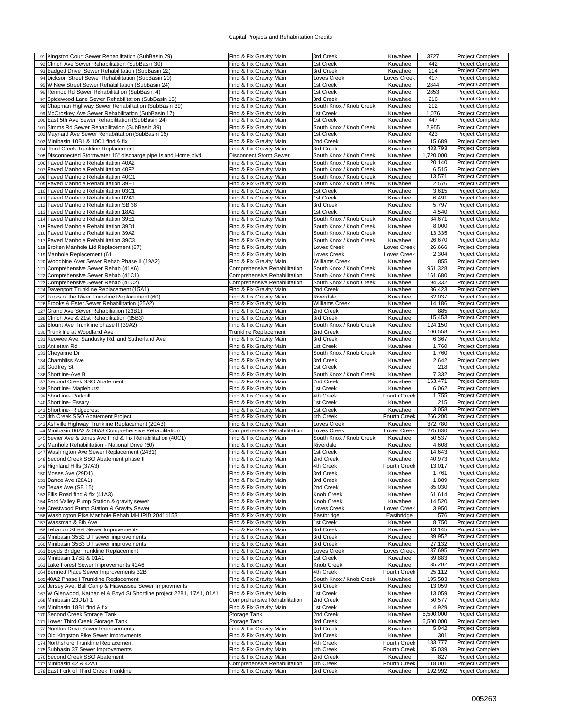#### Capital Projects and Rehabilitation Credits

| 91 Kingston Court Sewer Rehabilitation (SubBasin 29)                   | Find & Fix Gravity Main                                 | 3rd Creek               | Kuwahee                 | 3727               | Project Complete                     |
|------------------------------------------------------------------------|---------------------------------------------------------|-------------------------|-------------------------|--------------------|--------------------------------------|
|                                                                        |                                                         |                         |                         |                    |                                      |
| 92 Clinch Ave Sewer Rehabilitation (SubBasin 30)                       | Find & Fix Gravity Main                                 | 1st Creek               | Kuwahee                 | 442                | <b>Project Complete</b>              |
| 93 Badgett Drive Sewer Rehabilitation (SubBasin 22)                    | Find & Fix Gravity Main                                 | 3rd Creek               | Kuwahee                 | 214                | <b>Project Complete</b>              |
| 94 Dickson Street Sewer Rehabilitation (SubBasin 20)                   | Find & Fix Gravity Main                                 | Loves Creek             | Loves Creek             | 417                | <b>Project Complete</b>              |
| 95 W New Street Sewer Rehabilitation (SubBasin 24)                     | Find & Fix Gravity Main                                 | 1st Creek               | Kuwahee                 | 2844               | <b>Project Complete</b>              |
| 96 Rennoc Rd Sewer Rehabilitation (SubBasin 4)                         | Find & Fix Gravity Main                                 | 1st Creek               | Kuwahee                 | 2853               | <b>Project Complete</b>              |
| 97 Spicewood Lane Sewer Rehabilitation (SubBasin 13)                   | Find & Fix Gravity Main                                 | 3rd Creek               | Kuwahee                 | 216                | <b>Project Complete</b>              |
|                                                                        |                                                         |                         |                         |                    |                                      |
| 98 Chapman Highway Sewer Rehabilitation (SubBasin 39)                  | Find & Fix Gravity Main                                 | South Knox / Knob Creek | Kuwahee                 | 212                | <b>Project Complete</b>              |
| 99 McCroskey Ave Sewer Rehabilitation (SubBasin 17)                    | Find & Fix Gravity Main                                 | 1st Creek               | Kuwahee                 | 1,076              | <b>Project Complete</b>              |
| 100 East 5th Ave Sewer Rehabilitation (SubBasin 24)                    | Find & Fix Gravity Main                                 | 1st Creek               | Kuwahee                 | 447                | <b>Project Complete</b>              |
| 101 Simms Rd Sewer Rehabilitation (SubBasin 39)                        | Find & Fix Gravity Main                                 | South Knox / Knob Creek | Kuwahee                 | 2,955              | Project Complete                     |
| 102 Maynard Ave Sewer Rehabilitation (SubBasin 16)                     | Find & Fix Gravity Main                                 | 1st Creek               | Kuwahee                 | 423                | <b>Project Complete</b>              |
|                                                                        |                                                         |                         |                         |                    | <b>Project Complete</b>              |
| 103 Minibasin 10B1 & 10C1 find & fix                                   | Find & Fix Gravity Main                                 | 2nd Creek               | Kuwahee                 | 15,689             |                                      |
| 104 Third Creek Trunkline Replacement                                  | Find & Fix Gravity Main                                 | 3rd Creek               | Kuwahee                 | 483,793            | Project Complete                     |
| 105 Disconnected Stormwater 15" discharge pipe Island Home blvd        | <b>Disconnect Storm Sewer</b>                           | South Knox / Knob Creek | Kuwahee                 | 1,720,000          | Project Complete                     |
| 106 Paved Manhole Rehabilitation 40A2                                  | Find & Fix Gravity Main                                 | South Knox / Knob Creek | Kuwahee                 | 20,140             | <b>Project Complete</b>              |
| 107 Paved Manhole Rehabilitation 40F2                                  | Find & Fix Gravity Main                                 | South Knox / Knob Creek | Kuwahee                 | 6,515              | <b>Project Complete</b>              |
| 108 Paved Manhole Rehabilitation 40G1                                  | Find & Fix Gravity Main                                 | South Knox / Knob Creek | Kuwahee                 | 13,571             | <b>Project Complete</b>              |
|                                                                        |                                                         |                         |                         |                    |                                      |
| 109 Paved Manhole Rehabilitation 39E1                                  | Find & Fix Gravity Main                                 | South Knox / Knob Creek | Kuwahee                 | 2,576              | <b>Project Complete</b>              |
| 110 Paved Manhole Rehabilitation 03C1                                  | Find & Fix Gravity Main                                 | 1st Creek               | Kuwahee                 | 3,615              | <b>Project Complete</b>              |
| 111 Paved Manhole Rehabilitation 02A1                                  | Find & Fix Gravity Main                                 | 1st Creek               | Kuwahee                 | 6,491              | Project Complete                     |
| 112 Paved Manhole Rehabilitation SB 38                                 | Find & Fix Gravity Main                                 | 3rd Creek               | Kuwahee                 | 5,797              | <b>Project Complete</b>              |
| 113 Paved Manhole Rehabilitation 18A1                                  | Find & Fix Gravity Main                                 | 1st Creek               | Kuwahee                 | 4,540              | <b>Project Complete</b>              |
|                                                                        |                                                         |                         |                         | 34,671             | Project Complete                     |
| 114 Paved Manhole Rehabilitation 39E1                                  | Find & Fix Gravity Main                                 | South Knox / Knob Creek | Kuwahee                 |                    |                                      |
| 115 Paved Manhole Rehabilitation 39D1                                  | Find & Fix Gravity Main                                 | South Knox / Knob Creek | Kuwahee                 | 8,000              | <b>Project Complete</b>              |
| 116 Paved Manhole Rehabilitation 39A2                                  | Find & Fix Gravity Main                                 | South Knox / Knob Creek | Kuwahee                 | 13,335             | <b>Project Complete</b>              |
| 117 Paved Manhole Rehabilitation 39C3                                  | Find & Fix Gravity Main                                 | South Knox / Knob Creek | Kuwahee                 | 26,670             | <b>Project Complete</b>              |
| 118 Broken Manhole Lid Replacement (67)                                | Find & Fix Gravity Main                                 | Loves Creek             | Loves Creek             | 26,666             | <b>Project Complete</b>              |
| 119 Manhole Replacement (61                                            | Find & Fix Gravity Main                                 | Loves Creek             | Loves Creek             | 2,304              | <b>Project Complete</b>              |
| 120 Woodbine Aver Sewer Rehab Phase II (19A2)                          | Find & Fix Gravity Main                                 | <b>Williams Creek</b>   | Kuwahee                 | 855                | <b>Project Complete</b>              |
|                                                                        |                                                         |                         |                         |                    |                                      |
| 121 Comprehensive Sewer Rehab (41A6)                                   | Comprehensive Rehabilitation                            | South Knox / Knob Creek | Kuwahee                 | 951,328            | Project Complete                     |
| 122 Comprehensive Sewer Rehab (41C1)                                   | Comprehensive Rehabilitation                            | South Knox / Knob Creek | Kuwahee                 | 161,680            | <b>Project Complete</b>              |
| 123 Comprehensive Sewer Rehab (41C2)                                   | Comprehensive Rehabilitation                            | South Knox / Knob Creek | Kuwahee                 | 94,332             | <b>Project Complete</b>              |
| 124 Davenport Trunkline Replacement (15A1)                             | Find & Fix Gravity Main                                 | 2nd Creek               | Kuwahee                 | 86,423             | <b>Project Complete</b>              |
| 125 Forks of the River Trunkline Replacement (60)                      | Find & Fix Gravity Main                                 | Riverdale               | Kuwahee                 | 62,037             | <b>Project Complete</b>              |
|                                                                        |                                                         |                         |                         |                    |                                      |
| 126 Brooks & Ester Sewer Rehabilitation (25A2)                         | Find & Fix Gravity Main                                 | Williams Creek          | Kuwahee                 | 14,186             | <b>Project Complete</b>              |
| 127 Grand Ave Sewer Rehabiliation (23B1)                               | Find & Fix Gravity Main                                 | 2nd Creek               | Kuwahee                 | 885                | <b>Project Complete</b>              |
| 128 Clinch Ave & 21st Rehabilitation (35B3)                            | Find & Fix Gravity Main                                 | 3rd Creek               | Kuwahee                 | 15,453             | <b>Project Complete</b>              |
| 129 Blount Ave Trunkline phase II (39A2)                               | Find & Fix Gravity Main                                 | South Knox / Knob Creek | Kuwahee                 | 124,150            | Project Complete                     |
| 130 Trunkline at Woodland Ave                                          | Trunkline Replacement                                   | 2nd Creek               | Kuwahee                 | 106,558            | Project Complete                     |
| 131 Keowee Ave, Sandusky Rd, and Sutherland Ave                        | Find & Fix Gravity Main                                 | 3rd Creek               | Kuwahee                 | 6,367              | <b>Project Complete</b>              |
|                                                                        |                                                         | 1st Creek               |                         | 1,760              | <b>Project Complete</b>              |
| 132 Antietam Rd                                                        | Find & Fix Gravity Main                                 |                         | Kuwahee                 |                    |                                      |
| 133 Cheyanne Dr                                                        | Find & Fix Gravity Main                                 | South Knox / Knob Creek | Kuwahee                 | 1,760              | <b>Project Complete</b>              |
| 134 Chambliss Ave                                                      | Find & Fix Gravity Main                                 | 3rd Creek               | Kuwahee                 | 2,642              | <b>Project Complete</b>              |
| 135 Godfrey St                                                         | Find & Fix Gravity Main                                 | 1st Creek               | Kuwahee                 | 218                | <b>Project Complete</b>              |
| 136 Shortline-Ave B                                                    | Find & Fix Gravity Main                                 | South Knox / Knob Creek | Kuwahee                 | 7,332              | Project Complete                     |
| 137 Second Creek SSO Abatement                                         | Find & Fix Gravity Main                                 | 2nd Creek               | Kuwahee                 | 163,471            | <b>Project Complete</b>              |
| 138 Shortline- Maplehurst                                              | Find & Fix Gravity Main                                 | 1st Creek               | Kuwahee                 | 6,062              | <b>Project Complete</b>              |
|                                                                        |                                                         |                         |                         |                    |                                      |
| 139 Shortline- Parkhill                                                | Find & Fix Gravity Main                                 | 4th Creek               | Fourth Creek            | 1,755              | <b>Project Complete</b>              |
| 140 Shortline- Essary                                                  | Find & Fix Gravity Main                                 | 1st Creek               | Kuwahee                 | 215                | <b>Project Complete</b>              |
| 141 Shortline-Ridgecrest                                               | Find & Fix Gravity Main                                 | 1st Creek               | Kuwahee                 | 3,058              | <b>Project Complete</b>              |
| 142 4th Creek SSO Abatement Project                                    | Find & Fix Gravity Main                                 | 4th Creek               | Fourth Creek            | 266,200            | <b>Project Complete</b>              |
| 143 Ashville Highway Trunkline Replacement (20A3)                      | Find & Fix Gravity Main                                 | Loves Creek             | Kuwahee                 | 372,780            | <b>Project Complete</b>              |
| 144 Minibasin 06A2 & 06A3 Comprehensive Rehabilitation                 | Comprehensive Rehabilitation                            | Loves Creek             | Loves Creek             | 275,630            | <b>Project Complete</b>              |
|                                                                        |                                                         |                         |                         |                    |                                      |
| 145 Sevier Ave & Jones Ave Find & Fix Rehabilitation (40C1)            | Find & Fix Gravity Main                                 | South Knox / Knob Creek | Kuwahee                 | 50,537             | <b>Project Complete</b>              |
| 146 Manhole Rehabilitation - National Drive (60)                       | Find & Fix Gravity Main                                 | Riverdale               | Kuwahee                 | 4,608              | <b>Project Complete</b>              |
| 147 Washington Ave Sewer Replacement (24B1)                            | Find & Fix Gravity Main                                 | 1st Creek               | Kuwahee                 | 14,643             | <b>Project Complete</b>              |
| 148 Second Creek SSO Abatement phase II                                | Find & Fix Gravity Main                                 | 2nd Creek               |                         |                    |                                      |
| 149 Highland Hills (37A3)                                              |                                                         |                         | Kuwahee                 | 40,973             | Project Complete                     |
|                                                                        | Find & Fix Gravity Main                                 | 4th Creek               | Fourth Creek            | 13,017             | <b>Project Complete</b>              |
|                                                                        |                                                         |                         |                         |                    |                                      |
| 150 Moses Ave (29D1)                                                   | Find & Fix Gravity Main                                 | 3rd Creek               | Kuwahee                 | 1,761              | Project Complete                     |
| 151 Dance Ave (28A1)                                                   | Find & Fix Gravity Main                                 | 3rd Creek               | Kuwahee                 | 1,889              | <b>Project Complete</b>              |
| 152 Texas Ave (SB 15)                                                  | Find & Fix Gravity Main                                 | 2nd Creek               | Kuwahee                 | 85,030             | <b>Project Complete</b>              |
| 153 Ellis Road find & fix (41A3)                                       | Find & Fix Gravity Main                                 | Knob Creek              | Kuwahee                 | 61,614             | Project Complete                     |
| 154 Ford Valley Pump Station & gravity sewer                           | Find & Fix Gravity Main                                 | Knob Creek              | Kuwahee                 | 14,520             | <b>Project Complete</b>              |
| 155 Crestwood Pump Station & Gravity Sewer                             | Find & Fix Gravity Main                                 | Loves Creek             | Loves Creek             | 3,950              | Project Complete                     |
| 156 Washington Pike Manhole Rehab MH IPID 20414153                     | Find & Fix Gravity Main                                 |                         | Eastbridge              | 576                | Project Complete                     |
|                                                                        |                                                         | Eastbridge              |                         |                    |                                      |
| 157 Wassman & 8th Ave                                                  | Find & Fix Gravity Main                                 | 1st Creek               | Kuwahee                 | 8,750              | Project Complete                     |
| 158 Lebanon Street Sewer Improvements                                  | Find & Fix Gravity Main                                 | 3rd Creek               | Kuwahee                 | 13,145             | Project Complete                     |
| 159 Minibasin 35B2 UT sewer improvements                               | Find & Fix Gravity Main                                 | 3rd Creek               | Kuwahee                 | 39,952             | Project Complete                     |
| 160 Minibasin 35B3 UT sewer improvements                               | Find & Fix Gravity Main                                 | 3rd Creek               | Kuwahee                 | 27,132             | Project Complete                     |
| 161 Boyds Bridge Trunkline Replacement                                 | Find & Fix Gravity Main                                 | Loves Creek             | Loves Creek             | 137,695            | <b>Project Complete</b>              |
| 162 Minibasin 17B1 & 01A1                                              | Find & Fix Gravity Main                                 | 1st Creek               | Kuwahee                 | 69,883             | Project Complete                     |
|                                                                        |                                                         |                         |                         |                    |                                      |
| 163 Lake Forest Sewer Improvements 41A6                                | Find & Fix Gravity Main                                 | Knob Creek              | Kuwahee                 | 35,202             | <b>Project Complete</b>              |
| 164 Bennett Place Sewer Improvements 32B                               | Find & Fix Gravity Main                                 | 4th Creek               | Fourth Creek            | 25,112             | Project Complete                     |
| 165 40A2 Phase I Trunkline Replacement                                 | Find & Fix Gravity Main                                 | South Knox / Knob Creek | Kuwahee                 | 195,583            | <b>Project Complete</b>              |
| 166 Jersey Ave, Ball Camp & Hiawassee Sewer Improvments                | Find & Fix Gravity Main                                 | 3rd Creek               | Kuwahee                 | 13,059             | Project Complete                     |
| 167 W Glenwood, Nathaniel & Boyd St Shortline project 22B1, 17A1, 01A1 | Find & Fix Gravity Main                                 | 1st Creek               | Kuwahee                 | 13,059             | <b>Project Complete</b>              |
| 168 Minibasin 23D1/F1                                                  | Comprehensive Rehabilitation                            | 2nd Creek               | Kuwahee                 | 50,577             | Project Complete                     |
|                                                                        |                                                         |                         |                         |                    |                                      |
| 169 Minibasin 18B1 find & fix                                          | Find & Fix Gravity Main                                 | 1st Creek               | Kuwahee                 | 4,929              | Project Complete                     |
| 170 Second Creek Storage Tank                                          | Storage Tank                                            | 2nd Creek               | Kuwahee                 | 5,500,000          | <b>Project Complete</b>              |
| 171 Lower Third Creek Storage Tank                                     | Storage Tank                                            | 3rd Creek               | Kuwahee                 | 6,500,000          | Project Complete                     |
| 172 Noelton Drive Sewer Improvements                                   | Find & Fix Gravity Main                                 | 3rd Creek               | Kuwahee                 | 5,042              | Project Complete                     |
| 173 Old Kingston Pike Sewer improvments                                | Find & Fix Gravity Main                                 | 3rd Creek               | Kuwahee                 | 301                | Project Complete                     |
| 174 Northshore Trunkline Replacement                                   | Find & Fix Gravity Main                                 | 4th Creek               | Fourth Creek            | 183,777            | Project Complete                     |
|                                                                        |                                                         |                         |                         |                    |                                      |
| 175 Subbasin 37 Sewer Improvements                                     | Find & Fix Gravity Main                                 | 4th Creek               | Fourth Creek            | 85,039             | Project Complete                     |
| 176 Second Creek SSO Abatement                                         | Find & Fix Gravity Main                                 | 2nd Creek               | Kuwahee                 | 827                | <b>Project Complete</b>              |
| 177 Minibasin 42 & 42A1<br>178 East Fork of Third Creek Trunkline      | Comprehensive Rehabilitation<br>Find & Fix Gravity Main | 4th Creek<br>3rd Creek  | Fourth Creek<br>Kuwahee | 118,001<br>192,992 | Project Complete<br>Project Complete |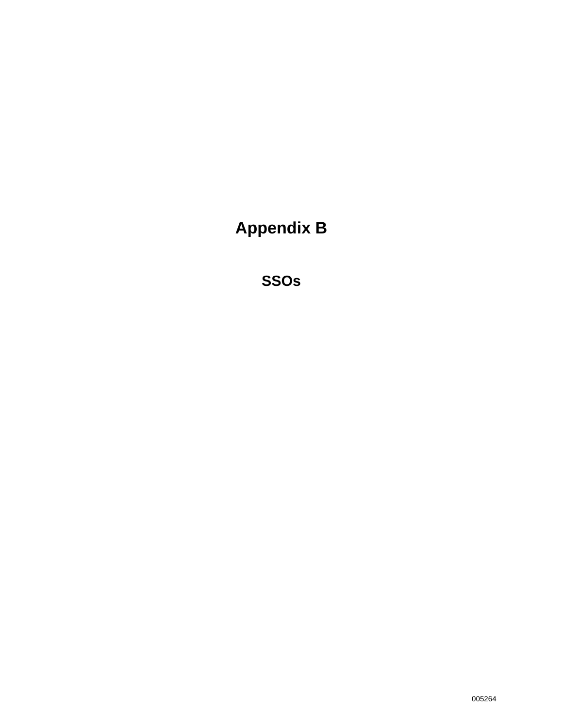**Appendix B** 

**SSOs**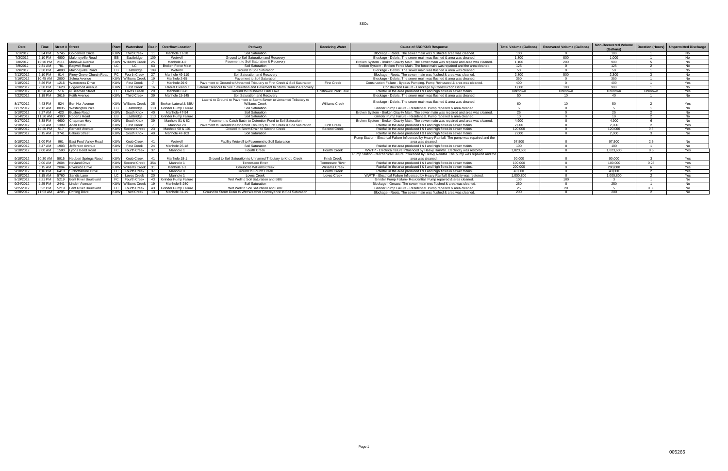|           | <b>Time</b>       |     | Street # Street                    | <b>Plant</b> | Watershed                 |      | <b>Overflow Location</b> | Pathway                                                                     | <b>Receiving Water</b> | <b>Cause of SSO/KUB Response</b>                                                              | <b>Total Volume (Gallons</b> | <b>Recovered Volume (Gallons)</b> | <b>Non-Recovered Volume</b><br>(Gallons) |         | Duration (Hours)   Unpermitted Discharge |
|-----------|-------------------|-----|------------------------------------|--------------|---------------------------|------|--------------------------|-----------------------------------------------------------------------------|------------------------|-----------------------------------------------------------------------------------------------|------------------------------|-----------------------------------|------------------------------------------|---------|------------------------------------------|
| 7/1/2012  | 6:34 PM           |     | 5745 Goldenrod Circle              | KIJW         | Third Creek               |      | Manhole 11-20            | Soil Saturation                                                             |                        | Blockage - Roots. The sewer main was flushed & area was cleaned.                              | $100 -$                      |                                   | 100                                      |         | No.                                      |
| 7/3/2012  | $2:10$ PM         |     | 4800 Malonevville Road             | FB.          | Eastbridge                |      | Wetwell                  | Ground to Soil Saturation and Recovery                                      |                        | Blockage - Debris. The sewer main was flushed & area was cleaned                              | 1.800                        | 800                               | 1.000                                    |         | No.                                      |
| 7/8/2012  |                   |     | 12:10 PM 2111 Mohawk Avenue        |              | <b>KUW</b> Williams Creek | - 25 | Manhole 4-2              | Pavement to Soil Saturation & Recovery                                      |                        | Broken System - Broken Gravity Main. The sewer main was repaired and area was cleaned.        | 1.100                        | 200                               | 900                                      |         | No.                                      |
| 7/9/2012  | 9:31 AM           |     | 781 Bagwell Road                   | LC.          | $\overline{C}$            | 63   | Broken Force Main        | Soil Saturation                                                             |                        | Broken System - Broken Force Main. The force main was repaired and the area cleaned.          | 125                          |                                   | 125                                      |         | No.                                      |
| 7/9/2012  | 9:30 PM           |     | 4800 Malonevville Road             | EB           | Eastbridge                | 109  | Wetwell                  | <b>Ground to Soil Saturation</b>                                            |                        | Blockage - Debris. The sewer main was flushed & area was cleaned.                             | 50                           |                                   | 50                                       |         | N <sub>0</sub>                           |
| 7/13/2012 | $2:10$ PM         |     | 914 Piney Grove Church Road        | EC.          | Fourth Creek              | 27   | Manhole 49-110           | Soil Saturation and Recovery                                                |                        | Blockage - Roots. The sewer main was flushed & area was cleaned.                              | 2.800                        | 500                               | 2.300                                    |         | No.                                      |
| 7/16/2012 |                   |     | 10:45 AM 2800 Selma Avenue         |              | <b>KUW</b> Williams Creek |      | Manhole 2-65             | Payement to Soil Saturation                                                 |                        | Blockage - Debris. The sewer main was flushed & area was cleaned.                             | 350                          |                                   | 350                                      |         | No.                                      |
| 7/18/2012 | 8:26 PM           |     | 1216 Watercress Drive              | KUW          | <b>First Creek</b>        |      | Manhole 29-9             | Payement to Ground to Unnamed Tributary to First Creek & Soil Saturation    | <b>First Creek</b>     | Construction Failure - Bypass Pumping. Pump Reinstated & area was cleaned.                    | 400                          |                                   | 400                                      |         | <b>Yes</b>                               |
| 7/20/2012 | 2:30 PM           |     | 1620 Edgewood Avenue               | KIIV         | <b>First Creek</b>        |      | Lateral Cleanout         | Lateral Cleanout to Soil Saturation and Pavement to Storm Drain to Recovery |                        | Construction Failure - Blockage by Construction Debris                                        | 1.000                        | 100                               | 900                                      |         | No.                                      |
| 7/20/201  | 10:28 AM          |     | 516 N Beaman Street                |              | Loves Creek               |      | Manhole 61-8             | Ground to Chilhowee Park Lake                                               | Chilhowee Park Lake    | Rainfall in the area produced I & I and high flows in sewer mains.                            | Unknown                      | Unknown                           | Unknown                                  | Unknown | Yes                                      |
| 7/22/2012 | 1:18 PM           |     | 3616 Keith Avenue                  | KUW          | <b>Third Creek</b>        | 39   | Manhole 15-145           | Soil Saturation and Recovery                                                |                        | Blockage - Debris. The sewer main was flushed & area was cleaned.                             | 50                           | 10                                | 40                                       |         | No.                                      |
|           |                   |     |                                    |              |                           |      |                          | Lateral to Ground to Pavement to Storm Sewer to Unnamed Tributary to        |                        | Blockage - Debris. The sewer main was flushed & area was cleaned.                             |                              |                                   |                                          |         |                                          |
| 8/17/2012 | 4:43 PM           |     | 524 Ben Hur Avenue                 |              | <b>KUW</b> Williams Creek |      | 25 Broken Lateral & BBI  | Williams Creek                                                              | <b>Williams Creek</b>  |                                                                                               | 60                           | 10                                | 50                                       |         | Yes                                      |
| 8/17/2012 | 9:12 AM           |     | 8035 Washington Pike               |              | Eastbridge                |      | 113 Grinder Pump Failure | Soil Saturation                                                             |                        | Grinder Pump Failure - Residential, Pump repaired & area cleaned.                             |                              |                                   |                                          |         | No.                                      |
| 9/10/2012 | 8:27 AM           |     | 423 Busbee Road                    | KUW          | South Knox                | 40   | Manhole 47-94            | Soil Saturation                                                             |                        | Broken System - Broken Gravity Main. The sewer main was repaired and area was cleaned.        |                              |                                   | 25                                       |         | No.                                      |
| 9/14/2012 |                   |     | 11:20 AM 4300 Roberts Road         |              | Eastbridge                |      | 113 Grinder Pump Failure | Soil Saturation                                                             |                        | Grinder Pump Failure - Residential. Pump repaired & area cleaned.                             | 10                           |                                   | 10                                       |         | No.                                      |
| 9/17/2012 |                   |     | 3:38 PM 4600 Chapman Hwy           | KUW          | South Knox                | 39   | Manhole 81 & 82          | Pavement to Catch Basin to Detention Pond to Soil Saturation                |                        | Broken System - Broken Gravity Main. The sewer main was repaired and area was cleaned.        | 4,900                        |                                   | 4.900                                    |         | No.                                      |
| 9/18/2012 |                   |     | 9:23 AM 1309 Adair Drive           | <b>KUW</b>   | <b>First Creek</b>        |      | Manhole 28               | Payement to Ground to Unnamed Tributary to First Creek & Soil Saturation    | <b>First Creek</b>     | Rainfall in the area produced   &   and high flows in sewer mains.                            | 2.000                        |                                   | 2.000                                    |         | Yes                                      |
| 9/18/2012 |                   |     | 12:20 PM 517 Bernard Avenue        |              | KUW Second Creek          | - 23 | Manhole 98 & 101         | Ground to Storm Drain to Second Creek                                       | Second Creek           | Rainfall in the area produced   &   and high flows in sewer mains.                            | 120.000                      |                                   | 120.000                                  | 0.5     | Yes                                      |
| 9/18/2012 |                   |     | 8:15 AM 3741 Eakers Street         | KIJW         | South Knox                | 40   | Manhole 47-103           | Soil Saturation                                                             |                        | Rainfall in the area produced   &   and high flows in sewer mains.                            | 2.000                        |                                   | 2.000                                    |         | N <sub>0</sub>                           |
|           |                   |     |                                    |              |                           |      |                          |                                                                             |                        | Pump Station - Electrical Failure Influenced by Heavy Rainfall. The pump was repaired and the |                              |                                   |                                          |         |                                          |
| 9/18/201  | 1:00 PM           | 961 | East Ford Valley Road              |              | Knob Creek                |      | Wetwell                  | Facility Wetwell to Pavement to Soil Saturation                             |                        | area was cleaned.                                                                             | 97.500                       |                                   | 97.500                                   |         | No                                       |
| 9/18/2012 |                   |     | 8:47 AM 1903 Jefferson Avenue      | KUW          | <b>First Creek</b>        | 24   | Manhole 25-18            | Soil Saturation                                                             |                        | Rainfall in the area produced   &   and high flows in sewer mains                             | 100                          | $\sim$                            | 100                                      |         | No.                                      |
| 9/18/2012 |                   |     | 9:00 AM 1500 Lyons Bend Road       |              | Fourth Creek              | -37  | Manhole 1                | <b>Fourth Creek</b>                                                         | <b>Fourth Creek</b>    | WWTP - Electrical failure Influenced by Heavy Rainfall. Electricity was restored.             | 1.823.600                    |                                   | 1.823.600                                | 8.5     | Yes                                      |
|           |                   |     |                                    |              |                           |      |                          |                                                                             |                        | Pump Station - Mechanical Failure Influenced by Heavy Rainfall. The pump was repaired and the |                              |                                   |                                          |         |                                          |
| 9/18/2012 |                   |     | 10:30 AM 5915 Neubert Springs Road |              | Knob Creek                |      | Manhole 18-1             | Ground to Soil Saturation to Unnamed Tributary to Knob Creek                | Knob Creek             | area was cleaned.                                                                             | 90.000                       |                                   | 90.000                                   |         | <b>Yes</b>                               |
| 9/18/2012 | $9.00 \text{ AM}$ |     | 2004 Nevland Drive                 | KIW          | Second Creek 35a          |      | Manhole 1                | <b>Tennessee River</b>                                                      | Tennessee River        | Rainfall in the area produced   &   and high flows in sewer mains.                            | 100,000                      |                                   | 100,000                                  | 0.25    | Yes                                      |
| 9/18/2012 | 5:15 AM           |     | 2004 Riverside Drive               | KIM          | Williams Creek            |      | Manhole 1-1              | Ground to Williams Creek                                                    | <b>Williams Creek</b>  | Rainfall in the area produced I & I and high flows in sewer mains.                            | 200.000                      |                                   | 200,000                                  |         | Yes                                      |
| 9/18/2012 | 1:16 PM           |     | 6410 S Northshore Drive            |              | Fourth Creek              |      | Manhole 8                | Ground to Fourth Creek                                                      | Fourth Creek           | Rainfall in the area produced I & I and high flows in sewer mains.                            | 40.000                       |                                   | 40.000                                   |         | Yes                                      |
| 9/18/2012 |                   |     | 8:15 AM 5760 Sandis Lane           |              | Loves Creek               | - 20 | Manhole 1                | <b>Loves Creek</b>                                                          | <b>Loves Creek</b>     | WWTP - Electrical Failure Influenced by Heavy Rainfall. Electricity was restored.             | 1.000.800                    | $\sim$                            | 1.000.800                                |         | Yes                                      |
| 9/19/2012 | 8:21 PM           |     | 5219 Bent River Boulevard          |              | Fourth Creek              |      | 43 Grinder Pump Failure  | Wet Well to Soil Saturation and BBU                                         |                        | Grinder Pump Failure- Residential, Pump repaired & area cleaned.                              | 103                          | 100                               | $\sim$                                   |         | No.                                      |
| 9/24/2012 |                   |     | 2:25 PM 2441 Linden Avenue         |              | <b>KUW</b> Williams Creek |      | Manhole 5-240            | Soil Saturation                                                             |                        | Blockage - Grease. The sewer main was flushed & area was cleaned.                             | 250                          |                                   | 250                                      |         | No.                                      |
| 9/25/2012 |                   |     | 3:22 PM 5219 Bent River Boulevard  |              | Fourth Creek              |      | 43 Grinder Pump Failure  | Wet Well to Soil Saturation and BBL                                         |                        | Grinder Pump Failure - Residential, Pump repaired & area cleaned.                             | つら                           |                                   |                                          | 0.33    | No.                                      |
| 9/28/2012 |                   |     | 11:53 AM 4205 Drifting Drive       | KIJW         | <b>Third Creek</b>        | 13   | Manhole 31-19            | Ground to Storm Drain to Wet Weather Conveyance to Soil Saturation          |                        | Blockage - Roots. The sewer main was flushed & area was cleaned.                              | 200                          |                                   | 200                                      |         | N <sub>0</sub>                           |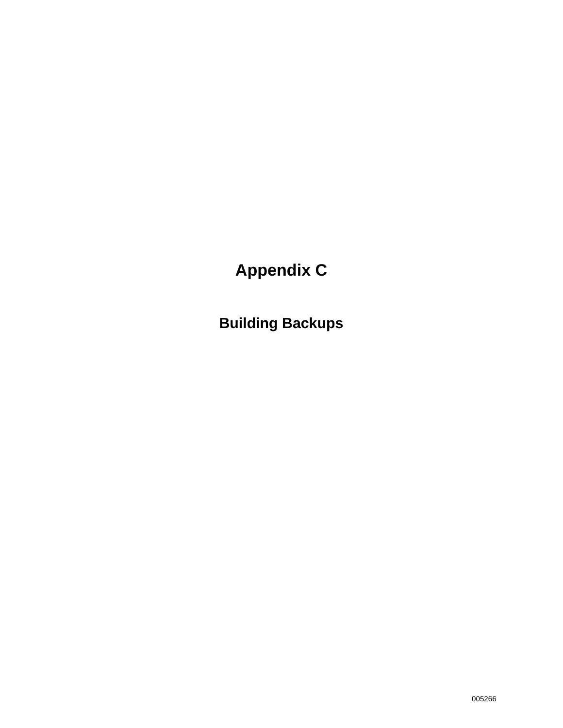# **Appendix C**

**Building Backups**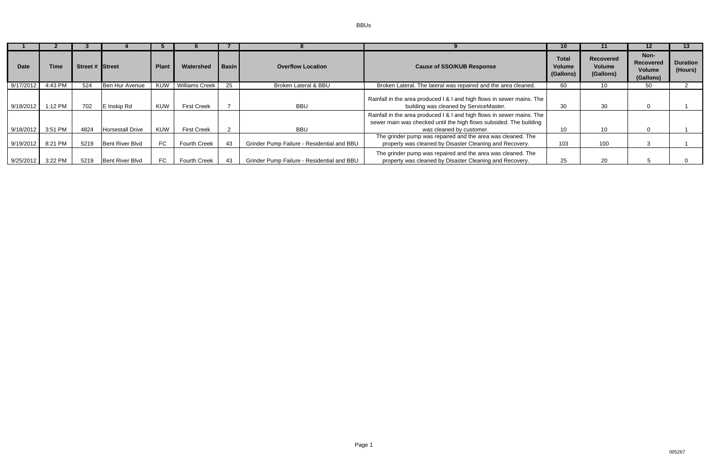BBUs

| <b>Date</b> | Time    | Street # Street |                         | <b>Plant</b> | Watershed             | Basin | <b>Overflow Location</b>                   | <b>Cause of SSO/KUB Response</b>                                                                                                                                         | <b>Total</b><br><b>Volume</b><br>(Gallons) | <b>Recovered</b><br>Volume<br>(Gallons) | Non-<br><b>Recovered</b><br>Volume<br>(Gallons) | <b>Duration</b><br>(Hours) |
|-------------|---------|-----------------|-------------------------|--------------|-----------------------|-------|--------------------------------------------|--------------------------------------------------------------------------------------------------------------------------------------------------------------------------|--------------------------------------------|-----------------------------------------|-------------------------------------------------|----------------------------|
| 8/17/2012   | 4:43 PM | 524             | Ben Hur Avenue          | KUW          | <b>Williams Creek</b> | 25    | <b>Broken Lateral &amp; BBU</b>            | Broken Lateral. The lateral was repaired and the area cleaned.                                                                                                           | 60                                         | 10                                      | 50                                              |                            |
| 9/18/2012   | 1:12 PM | 702             | E Inskip Rd             | <b>KUW</b>   | <b>First Creek</b>    |       | <b>BBU</b>                                 | Rainfall in the area produced I & I and high flows in sewer mains. The<br>building was cleaned by ServiceMaster.                                                         | 30                                         | 30                                      |                                                 |                            |
| 9/18/2012   | 3:51 PM | 4824            | <b>Horsestall Drive</b> | <b>KUW</b>   | <b>First Creek</b>    |       | <b>BBU</b>                                 | Rainfall in the area produced I & I and high flows in sewer mains. The<br>sewer main was checked until the high flows subsided. The building<br>was cleaned by customer. | 10                                         | 10 <sub>1</sub>                         |                                                 |                            |
| 9/19/2012   | 8:21 PM | 5219            | Bent River Blvd         |              | <b>Fourth Creek</b>   | 43    | Grinder Pump Failure - Residential and BBU | The grinder pump was repaired and the area was cleaned. The<br>property was cleaned by Disaster Cleaning and Recovery.                                                   | 103                                        | 100                                     |                                                 |                            |
| 9/25/2012   | 3:22 PM | 5219            | <b>Bent River Blvd</b>  |              | <b>Fourth Creek</b>   | 43    | Grinder Pump Failure - Residential and BBU | The grinder pump was repaired and the area was cleaned. The<br>property was cleaned by Disaster Cleaning and Recovery.                                                   | 25                                         | 20                                      |                                                 |                            |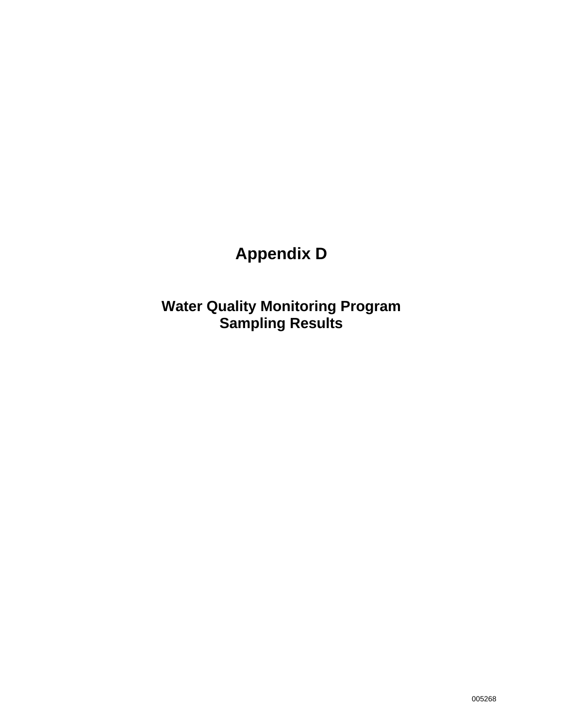# **Appendix D**

**Water Quality Monitoring Program Sampling Results**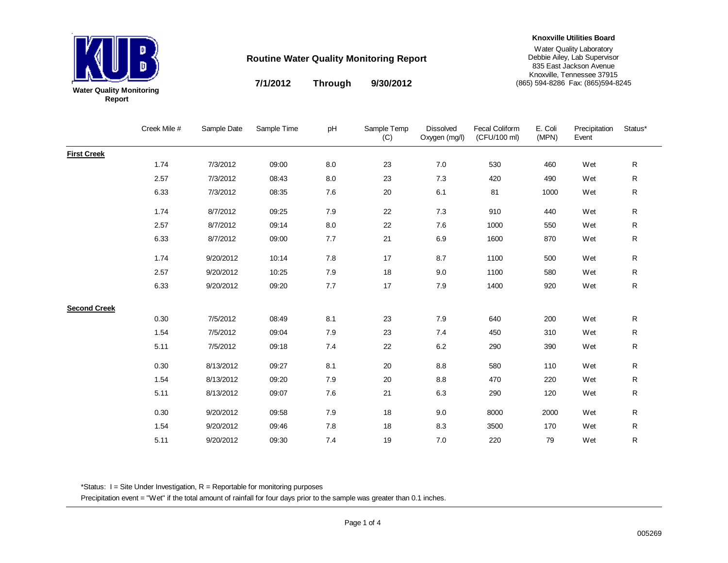

**7/1/2012 9/30/2012 Through**

#### **Knoxville Utilities Board**

Water Quality Laboratory Debbie Ailey, Lab Supervisor 835 East Jackson Avenue Knoxville, Tennessee 37915 (865) 594-8286 Fax: (865)594-8245

Creek Mile # Sample Date Sample Time pH Sample Temp (C) Dissolved Oxygen (mg/l) Fecal Coliform (CFU/100 ml) E. Coli (MPN) Precipitation Event Status\***First Creek** 1.74 7/3/2012 09:00 8.0 23 7.0 530 460 Wet R2.57 7/3/2012 08:43 8.0 23 7.3 420 490 Wet R $\mathsf{R}$ 6.33 7/3/2012 08:35 7.6 20 6.1 81 1000 Wet R1.74 8/7/2012 09:25 7.9 22 7.3 910 440 Wet R2.57 8/7/2012 09:14 8.0 22 7.6 1000 550 Wet R6.33 8/7/2012 09:00 7.7 21 6.9 1600 870 Wet R $\mathsf{R}$ 1.74 9/20/2012 10:14 7.8 17 8.7 1100 500 Wet R2.57 9/20/2012 10:25 7.9 18 9.0 1100 580 Wet R6.33 9/20/2012 09:20 7.7 17 7.9 1400 920 Wet R**Second Creek** 0.30 7/5/2012 08:49 8.1 23 7.9 640 200 Wet R1.54 7/5/2012 09:04 7.9 23 7.4 450 310 Wet R5.11 7/5/2012 09:18 7.4 22 6.2 290 390 Wet R0.30 8/13/2012 09:27 8.1 20 8.8 580 110 Wet R1.54 8/13/2012 09:20 7.9 20 8.8 470 220 Wet R5.11 8/13/2012 09:07 7.6 21 6.3 290 120 Wet R0.30 9/20/2012 09:58 7.9 18 9.0 8000 2000 Wet R1.54 9/20/2012 09:46 7.8 18 8.3 3500 170 Wet R5.119/20/2012 09:30 7.4 19 7.0 220 79 Wet R

\*Status:  $I =$  Site Under Investigation,  $R =$  Reportable for monitoring purposes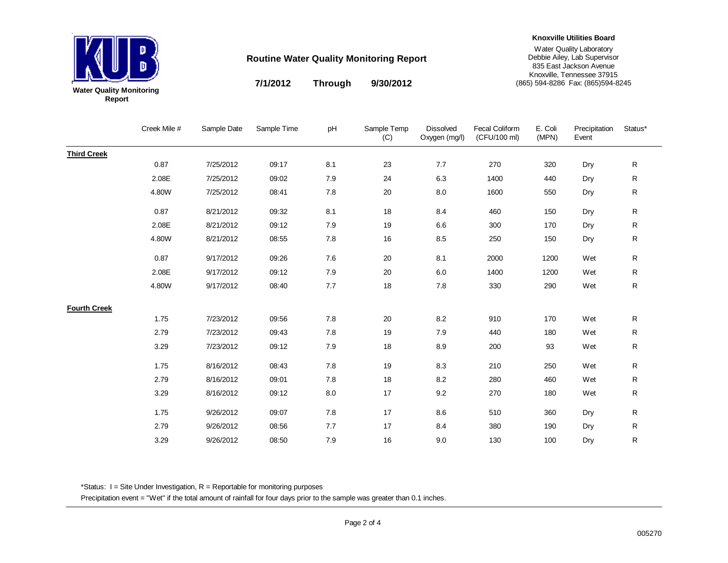

**7/1/2012 9/30/2012 Through**

#### **Knoxville Utilities Board**

Water Quality Laboratory Debbie Ailey, Lab Supervisor 835 East Jackson Avenue Knoxville, Tennessee 37915 (865) 594-8286 Fax: (865)594-8245

Creek Mile # Sample Date Sample Time pH Sample Temp (C) Dissolved Oxygen (mg/l) Fecal Coliform (CFU/100 ml) E. Coli (MPN) Precipitation Event Status\***Third Creek** 0.87 7/25/2012 09:17 8.1 23 7.7 270 320 Dry R2.08E 7/25/2012 09:02 7.9 24 6.3 1400 440 Dry R 4.80W 7/25/2012 08:41 7.8 20 8.0 1600 550 Dry R0.87 8/21/2012 09:32 8.1 18 8.4 460 150 Dry R2.08E 8/21/2012 09:12 7.9 19 6.6 300 170 Dry R4.80W 8/21/2012 08:55 7.8 16 8.5 250 150 Dry R 0.87 9/17/2012 09:26 7.6 20 8.1 2000 1200 Wet R2.08E 9/17/2012 09:12 7.9 20 6.0 1400 1200 Wet R4.80W 9/17/2012 08:40 7.7 18 7.8 330 290 Wet R**Fourth Creek** 1.75 7/23/2012 09:56 7.8 20 8.2 910 170 Wet R2.79 7/23/2012 09:43 7.8 19 7.9 440 180 Wet R3.29 7/23/2012 09:12 7.9 18 8.9 200 93 Wet R1.75 8/16/2012 08:43 7.8 19 8.3 210 250 Wet R2.79 8/16/2012 09:01 7.8 18 8.2 280 460 Wet R3.29 8/16/2012 09:12 8.0 17 9.2 270 180 Wet R1.75 9/26/2012 09:07 7.8 17 8.6 510 360 Dry R2.79 9/26/2012 08:56 7.7 17 8.4 380 190 Dry R3.29 9/26/2012 08:50 7.9 16 9.0 130 100 Dry R

\*Status:  $I =$  Site Under Investigation,  $R =$  Reportable for monitoring purposes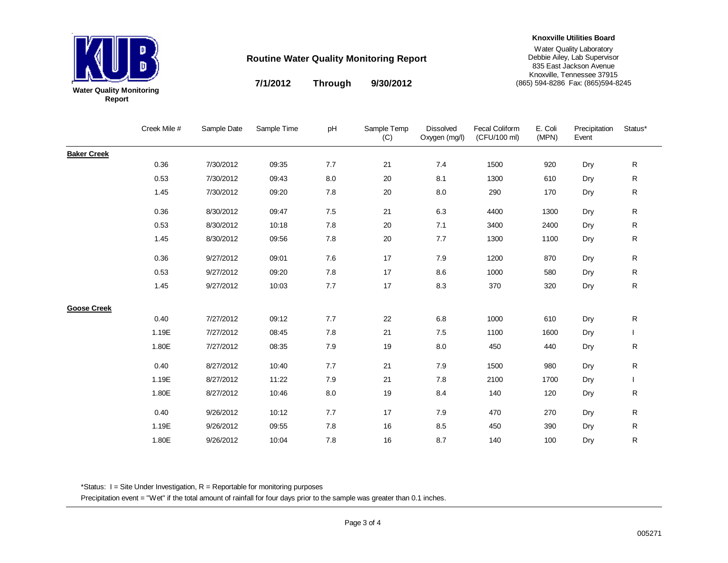

**7/1/2012 9/30/2012 Through**

#### **Knoxville Utilities Board**

Water Quality Laboratory Debbie Ailey, Lab Supervisor 835 East Jackson Avenue Knoxville, Tennessee 37915 (865) 594-8286 Fax: (865)594-8245

Creek Mile # Sample Date Sample Time pH Sample Temp (C) Dissolved Oxygen (mg/l) Fecal Coliform (CFU/100 ml) E. Coli (MPN) Precipitation Event Status\***Baker Creek** 0.36 7/30/2012 09:35 7.7 21 7.4 1500 920 Dry R0.53 7/30/2012 09:43 8.0 20 8.1 1300 610 Dry R 1.45 7/30/2012 09:20 7.8 20 8.0 290 170 Dry R0.36 8/30/2012 09:47 7.5 21 6.3 4400 1300 Dry R0.53 8/30/2012 10:18 7.8 20 7.1 3400 2400 Dry R1.45 8/30/2012 09:56 7.8 20 7.7 1300 1100 Dry R 0.36 9/27/2012 09:01 7.6 17 7.9 1200 870 Dry R0.53 9/27/2012 09:20 7.8 17 8.6 1000 580 Dry R1.45 9/27/2012 10:03 7.7 17 8.3 370 320 Dry R**Goose Creek** 0.40 7/27/2012 09:12 7.7 22 6.8 1000 610 Dry R1.19E 7/27/2012 08:45 7.8 21 7.5 1100 1600 Dry I 1.80E 7/27/2012 08:35 7.9 19 8.0 450 440 Dry R0.40 8/27/2012 10:40 7.7 21 7.9 1500 980 Dry R1.19E 8/27/2012 11:22 7.9 21 7.8 2100 1700 Dry I 1.80E 8/27/2012 10:46 8.0 19 8.4 140 120 Dry R0.40 9/26/2012 10:12 7.7 17 7.9 470 270 Dry R1.19E 9/26/2012 09:55 7.8 16 8.5 450 390 Dry R1.80E 9/26/2012 10:04 7.8 16 8.7 140 100 Dry R

\*Status:  $I =$  Site Under Investigation,  $R =$  Reportable for monitoring purposes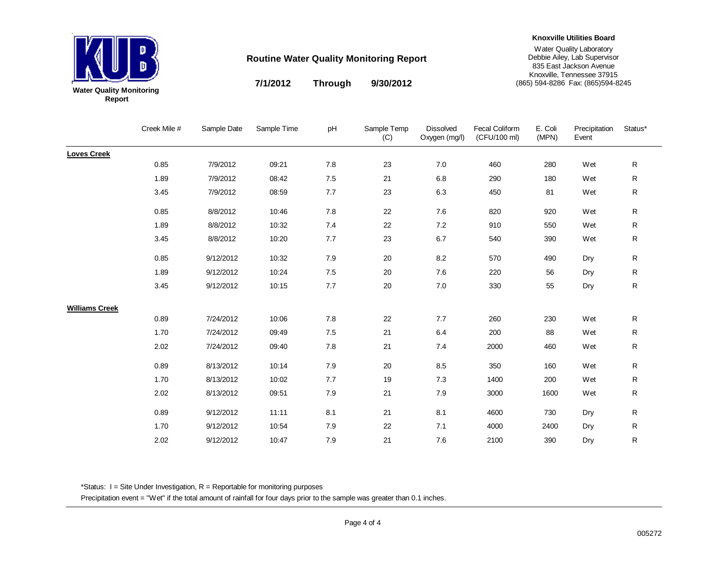

**7/1/2012 9/30/2012 Through**

#### **Knoxville Utilities Board**

Water Quality Laboratory Debbie Ailey, Lab Supervisor 835 East Jackson Avenue Knoxville, Tennessee 37915 (865) 594-8286 Fax: (865)594-8245

Creek Mile # Sample Date Sample Time pH Sample Temp (C) Dissolved Oxygen (mg/l) Fecal Coliform (CFU/100 ml) E. Coli (MPN) Precipitation Event Status\***Loves Creek** 0.85 7/9/2012 09:21 7.8 23 7.0 460 280 Wet R1.89 7/9/2012 08:42 7.5 21 6.8 290 180 Wet R $\mathsf{R}$ 3.45 7/9/2012 08:59 7.7 23 6.3 450 81 Wet R0.85 8/8/2012 10:46 7.8 22 7.6 820 920 Wet R1.89 8/8/2012 10:32 7.4 22 7.2 910 550 Wet R3.45 8/8/2012 10:20 7.7 23 6.7 540 390 Wet R0.85 9/12/2012 10:32 7.9 20 8.2 570 490 Dry R1.89 9/12/2012 10:24 7.5 20 7.6 220 56 Dry R3.45 9/12/2012 10:15 7.7 20 7.0 330 55 Dry R**Williams Creek** 0.89 7/24/2012 10:06 7.8 22 7.7 260 230 Wet R1.70 7/24/2012 09:49 7.5 21 6.4 200 88 Wet R2.02 7/24/2012 09:40 7.8 21 7.4 2000 460 Wet R0.89 8/13/2012 10:14 7.9 20 8.5 350 160 Wet R1.70 8/13/2012 10:02 7.7 19 7.3 1400 200 Wet R2.02 8/13/2012 09:51 7.9 21 7.9 3000 1600 Wet R0.89 9/12/2012 11:11 8.1 21 8.1 4600 730 Dry R1.70 9/12/2012 10:54 7.9 22 7.1 4000 2400 Dry R2.02 9/12/2012 10:47 7.9 21 7.6 2100 390 Dry R

\*Status:  $I =$  Site Under Investigation,  $R =$  Reportable for monitoring purposes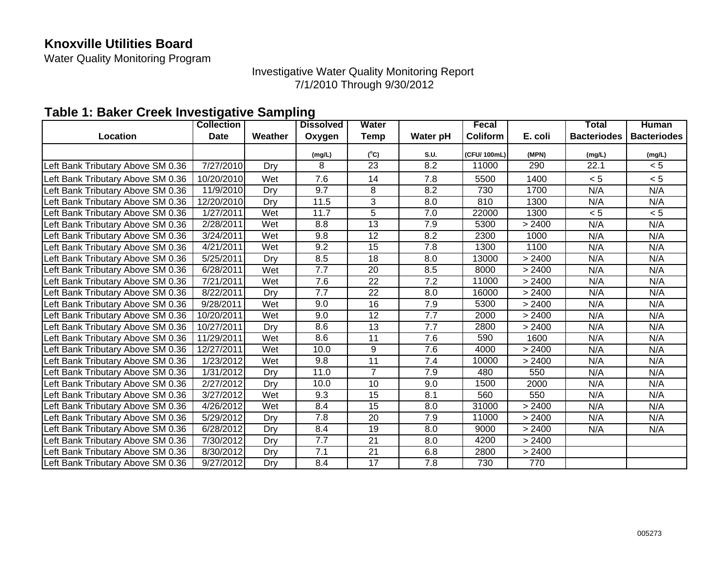### **Knoxville Utilities Board**

Water Quality Monitoring Program

Investigative Water Quality Monitoring Report 7/1/2010 Through 9/30/2012

### **Table 1: Baker Creek Investigative Sampling**

|                                   | <b>Collection</b> |         | <b>Dissolved</b> | Water           |                  | Fecal        |         | Total              | <b>Human</b>       |
|-----------------------------------|-------------------|---------|------------------|-----------------|------------------|--------------|---------|--------------------|--------------------|
| <b>Location</b>                   | <b>Date</b>       | Weather | Oxygen           | <b>Temp</b>     | Water pH         | Coliform     | E. coli | <b>Bacteriodes</b> | <b>Bacteriodes</b> |
|                                   |                   |         | (mg/L)           | $(^{\circ}C)$   | S.U.             | (CFU/ 100mL) | (MPN)   | (mg/L)             | (mg/L)             |
| Left Bank Tributary Above SM 0.36 | 7/27/2010         | Dry     | 8                | 23              | 8.2              | 11000        | 290     | 22.1               | < 5                |
| Left Bank Tributary Above SM 0.36 | 10/20/2010        | Wet     | 7.6              | 14              | 7.8              | 5500         | 1400    | < 5                | < 5                |
| Left Bank Tributary Above SM 0.36 | 11/9/2010         | Dry     | 9.7              | 8               | 8.2              | 730          | 1700    | N/A                | N/A                |
| Left Bank Tributary Above SM 0.36 | 12/20/2010        | Dry     | 11.5             | 3               | 8.0              | 810          | 1300    | N/A                | N/A                |
| Left Bank Tributary Above SM 0.36 | 1/27/2011         | Wet     | 11.7             | $\overline{5}$  | 7.0              | 22000        | 1300    | < 5                | < 5                |
| Left Bank Tributary Above SM 0.36 | 2/28/2011         | Wet     | 8.8              | $\overline{13}$ | 7.9              | 5300         | > 2400  | N/A                | N/A                |
| Left Bank Tributary Above SM 0.36 | 3/24/2011         | Wet     | 9.8              | 12              | 8.2              | 2300         | 1000    | N/A                | N/A                |
| Left Bank Tributary Above SM 0.36 | 4/21/2011         | Wet     | 9.2              | 15              | 7.8              | 1300         | 1100    | N/A                | N/A                |
| Left Bank Tributary Above SM 0.36 | 5/25/2011         | Dry     | 8.5              | 18              | $\overline{8.0}$ | 13000        | > 2400  | N/A                | N/A                |
| Left Bank Tributary Above SM 0.36 | 6/28/2011         | Wet     | 7.7              | 20              | 8.5              | 8000         | > 2400  | N/A                | N/A                |
| Left Bank Tributary Above SM 0.36 | 7/21/2011         | Wet     | 7.6              | 22              | 7.2              | 11000        | > 2400  | N/A                | N/A                |
| Left Bank Tributary Above SM 0.36 | 8/22/2011         | Dry     | 7.7              | 22              | 8.0              | 16000        | > 2400  | N/A                | N/A                |
| Left Bank Tributary Above SM 0.36 | 9/28/2011         | Wet     | 9.0              | 16              | 7.9              | 5300         | > 2400  | N/A                | N/A                |
| Left Bank Tributary Above SM 0.36 | 10/20/2011        | Wet     | 9.0              | $\overline{12}$ | 7.7              | 2000         | > 2400  | N/A                | N/A                |
| Left Bank Tributary Above SM 0.36 | 10/27/2011        | Dry     | 8.6              | 13              | 7.7              | 2800         | > 2400  | N/A                | N/A                |
| Left Bank Tributary Above SM 0.36 | 11/29/2011        | Wet     | 8.6              | $\overline{11}$ | $\overline{7.6}$ | 590          | 1600    | N/A                | N/A                |
| Left Bank Tributary Above SM 0.36 | 12/27/2011        | Wet     | 10.0             | 9               | 7.6              | 4000         | > 2400  | N/A                | N/A                |
| Left Bank Tributary Above SM 0.36 | 1/23/2012         | Wet     | 9.8              | $\overline{11}$ | 7.4              | 10000        | > 2400  | N/A                | N/A                |
| Left Bank Tributary Above SM 0.36 | 1/31/2012         | Dry     | 11.0             | $\overline{7}$  | 7.9              | 480          | 550     | N/A                | N/A                |
| Left Bank Tributary Above SM 0.36 | 2/27/2012         | Dry     | 10.0             | 10              | 9.0              | 1500         | 2000    | N/A                | N/A                |
| Left Bank Tributary Above SM 0.36 | 3/27/2012         | Wet     | 9.3              | 15              | 8.1              | 560          | 550     | N/A                | N/A                |
| Left Bank Tributary Above SM 0.36 | 4/26/2012         | Wet     | 8.4              | 15              | 8.0              | 31000        | > 2400  | N/A                | N/A                |
| Left Bank Tributary Above SM 0.36 | 5/29/2012         | Dry     | 7.8              | 20              | 7.9              | 11000        | > 2400  | N/A                | N/A                |
| Left Bank Tributary Above SM 0.36 | 6/28/2012         | Dry     | 8.4              | 19              | 8.0              | 9000         | > 2400  | N/A                | N/A                |
| Left Bank Tributary Above SM 0.36 | 7/30/2012         | Dry     | 7.7              | 21              | 8.0              | 4200         | > 2400  |                    |                    |
| Left Bank Tributary Above SM 0.36 | 8/30/2012         | Dry     | 7.1              | 21              | 6.8              | 2800         | > 2400  |                    |                    |
| Left Bank Tributary Above SM 0.36 | 9/27/2012         | Dry     | 8.4              | 17              | 7.8              | 730          | 770     |                    |                    |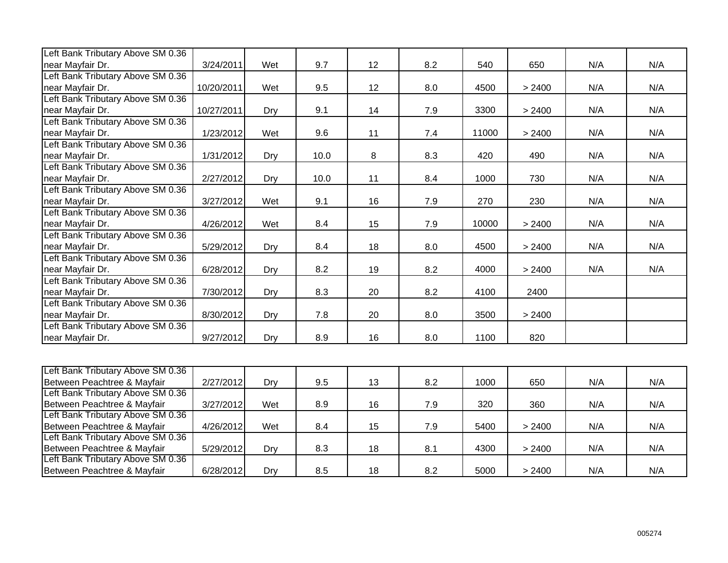| Left Bank Tributary Above SM 0.36                                |            |     |      |        |     |       |        |     |     |
|------------------------------------------------------------------|------------|-----|------|--------|-----|-------|--------|-----|-----|
| near Mayfair Dr.                                                 | 3/24/2011  | Wet | 9.7  | 12     | 8.2 | 540   | 650    | N/A | N/A |
| Left Bank Tributary Above SM 0.36                                |            |     |      |        |     |       |        |     |     |
| near Mayfair Dr.                                                 | 10/20/2011 | Wet | 9.5  | 12     | 8.0 | 4500  | > 2400 | N/A | N/A |
| Left Bank Tributary Above SM 0.36                                |            |     |      |        |     |       |        |     |     |
| near Mayfair Dr.                                                 | 10/27/2011 | Dry | 9.1  | 14     | 7.9 | 3300  | > 2400 | N/A | N/A |
| Left Bank Tributary Above SM 0.36                                |            |     |      |        |     |       |        |     |     |
| near Mayfair Dr.                                                 | 1/23/2012  | Wet | 9.6  | 11     | 7.4 | 11000 | > 2400 | N/A | N/A |
| Left Bank Tributary Above SM 0.36                                |            |     |      |        |     |       |        |     |     |
| near Mayfair Dr.                                                 | 1/31/2012  | Dry | 10.0 | $\, 8$ | 8.3 | 420   | 490    | N/A | N/A |
| Left Bank Tributary Above SM 0.36                                |            |     |      |        |     |       |        |     |     |
| near Mayfair Dr.                                                 | 2/27/2012  | Dry | 10.0 | 11     | 8.4 | 1000  | 730    | N/A | N/A |
| Left Bank Tributary Above SM 0.36                                |            |     |      |        |     |       |        |     |     |
| near Mayfair Dr.                                                 | 3/27/2012  | Wet | 9.1  | 16     | 7.9 | 270   | 230    | N/A | N/A |
| Left Bank Tributary Above SM 0.36                                |            |     |      |        |     |       |        |     |     |
| near Mayfair Dr.                                                 | 4/26/2012  | Wet | 8.4  | 15     | 7.9 | 10000 | > 2400 | N/A | N/A |
| Left Bank Tributary Above SM 0.36                                |            |     |      |        |     |       |        |     |     |
| near Mayfair Dr.                                                 | 5/29/2012  | Dry | 8.4  | 18     | 8.0 | 4500  | > 2400 | N/A | N/A |
| Left Bank Tributary Above SM 0.36                                |            |     |      |        |     |       |        |     |     |
| near Mayfair Dr.                                                 | 6/28/2012  | Dry | 8.2  | 19     | 8.2 | 4000  | > 2400 | N/A | N/A |
| Left Bank Tributary Above SM 0.36                                |            |     |      |        |     |       |        |     |     |
| near Mayfair Dr.                                                 | 7/30/2012  | Dry | 8.3  | 20     | 8.2 | 4100  | 2400   |     |     |
| Left Bank Tributary Above SM 0.36                                |            |     |      |        |     |       |        |     |     |
| near Mayfair Dr.                                                 | 8/30/2012  | Dry | 7.8  | 20     | 8.0 | 3500  | > 2400 |     |     |
| Left Bank Tributary Above SM 0.36                                |            |     |      |        |     |       |        |     |     |
| near Mayfair Dr.                                                 | 9/27/2012  | Dry | 8.9  | 16     | 8.0 | 1100  | 820    |     |     |
|                                                                  |            |     |      |        |     |       |        |     |     |
|                                                                  |            |     |      |        |     |       |        |     |     |
| Left Bank Tributary Above SM 0.36                                |            |     |      |        |     |       |        |     |     |
| Between Peachtree & Mayfair                                      | 2/27/2012  | Dry | 9.5  | 13     | 8.2 | 1000  | 650    | N/A | N/A |
| Left Bank Tributary Above SM 0.36                                |            |     |      |        |     |       |        |     |     |
| Between Peachtree & Mayfair<br>Left Bank Tributary Above SM 0.36 | 3/27/2012  | Wet | 8.9  | 16     | 7.9 | 320   | 360    | N/A | N/A |
|                                                                  |            |     |      |        |     |       |        |     |     |
| Between Peachtree & Mayfair<br>Left Bank Tributary Above SM 0.36 | 4/26/2012  | Wet | 8.4  | 15     | 7.9 | 5400  | > 2400 | N/A | N/A |
|                                                                  |            |     |      |        |     |       |        |     |     |

Between Peachtree & Mayfair | 5/29/2012| Dry | 8.3 | 18 | 8.1 | 4300 | > 2400 | N/A | N/A

Between Peachtree & Mayfair 6/28/2012 Dry 8.5 18 8.2 5000 > 2400 N/A N/A

Left Bank Tributary Above SM 0.36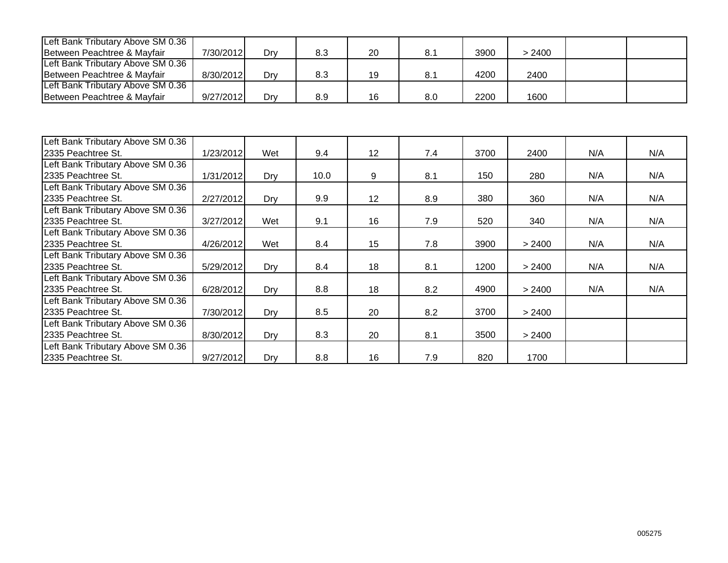| Left Bank Tributary Above SM 0.36 |           |     |     |    |     |      |        |  |
|-----------------------------------|-----------|-----|-----|----|-----|------|--------|--|
| Between Peachtree & Mayfair       | 7/30/2012 | Drv | 8.3 | 20 | 8.1 | 3900 | 2400 > |  |
| Left Bank Tributary Above SM 0.36 |           |     |     |    |     |      |        |  |
| Between Peachtree & Mayfair       | 8/30/2012 | Drv | 8.3 | 19 | 8.1 | 4200 | 2400   |  |
| Left Bank Tributary Above SM 0.36 |           |     |     |    |     |      |        |  |
| Between Peachtree & Mayfair       | 9/27/2012 | Drv | 8.9 | 16 | 8.0 | 2200 | 1600   |  |

| Left Bank Tributary Above SM 0.36 |           |     |      |                 |     |      |        |     |     |
|-----------------------------------|-----------|-----|------|-----------------|-----|------|--------|-----|-----|
| 2335 Peachtree St.                | 1/23/2012 | Wet | 9.4  | 12 <sup>°</sup> | 7.4 | 3700 | 2400   | N/A | N/A |
| Left Bank Tributary Above SM 0.36 |           |     |      |                 |     |      |        |     |     |
| 2335 Peachtree St.                | 1/31/2012 | Dry | 10.0 | 9               | 8.1 | 150  | 280    | N/A | N/A |
| Left Bank Tributary Above SM 0.36 |           |     |      |                 |     |      |        |     |     |
| 2335 Peachtree St.                | 2/27/2012 | Dry | 9.9  | 12              | 8.9 | 380  | 360    | N/A | N/A |
| Left Bank Tributary Above SM 0.36 |           |     |      |                 |     |      |        |     |     |
| 2335 Peachtree St.                | 3/27/2012 | Wet | 9.1  | 16              | 7.9 | 520  | 340    | N/A | N/A |
| Left Bank Tributary Above SM 0.36 |           |     |      |                 |     |      |        |     |     |
| 2335 Peachtree St.                | 4/26/2012 | Wet | 8.4  | 15              | 7.8 | 3900 | > 2400 | N/A | N/A |
| Left Bank Tributary Above SM 0.36 |           |     |      |                 |     |      |        |     |     |
| 2335 Peachtree St.                | 5/29/2012 | Dry | 8.4  | 18              | 8.1 | 1200 | > 2400 | N/A | N/A |
| Left Bank Tributary Above SM 0.36 |           |     |      |                 |     |      |        |     |     |
| 2335 Peachtree St.                | 6/28/2012 | Dry | 8.8  | 18              | 8.2 | 4900 | > 2400 | N/A | N/A |
| Left Bank Tributary Above SM 0.36 |           |     |      |                 |     |      |        |     |     |
| 2335 Peachtree St.                | 7/30/2012 | Dry | 8.5  | 20              | 8.2 | 3700 | > 2400 |     |     |
| Left Bank Tributary Above SM 0.36 |           |     |      |                 |     |      |        |     |     |
| 2335 Peachtree St.                | 8/30/2012 | Dry | 8.3  | 20              | 8.1 | 3500 | > 2400 |     |     |
| Left Bank Tributary Above SM 0.36 |           |     |      |                 |     |      |        |     |     |
| 2335 Peachtree St.                | 9/27/2012 | Dry | 8.8  | 16              | 7.9 | 820  | 1700   |     |     |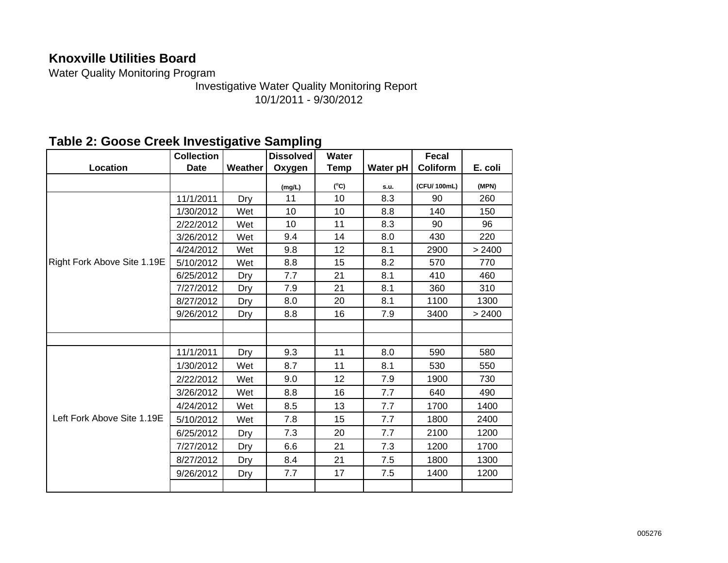### **Knoxville Utilities Board**

Water Quality Monitoring Program

Investigative Water Quality Monitoring Report 10/1/2011 - 9/30/2012

### **Table 2: Goose Creek Investigative Sampling**

|                             | <b>Collection</b> |            | <b>Dissolved</b> | Water         |          | Fecal           |         |
|-----------------------------|-------------------|------------|------------------|---------------|----------|-----------------|---------|
| Location                    | <b>Date</b>       | Weather    | Oxygen           | Temp          | Water pH | <b>Coliform</b> | E. coli |
|                             |                   |            | (mg/L)           | $(^{\circ}C)$ | s.u.     | (CFU/ 100mL)    | (MPN)   |
|                             | 11/1/2011         | Dry        | 11               | 10            | 8.3      | 90              | 260     |
|                             | 1/30/2012         | Wet        | 10               | 10            | 8.8      | 140             | 150     |
|                             | 2/22/2012         | Wet        | 10               | 11            | 8.3      | 90              | 96      |
|                             | 3/26/2012         | Wet        | 9.4              | 14            | 8.0      | 430             | 220     |
|                             | 4/24/2012         | Wet        | 9.8              | 12            | 8.1      | 2900            | > 2400  |
| Right Fork Above Site 1.19E | 5/10/2012         | Wet        | 8.8              | 15            | 8.2      | 570             | 770     |
|                             | 6/25/2012         | Dry        | 7.7              | 21            | 8.1      | 410             | 460     |
|                             | 7/27/2012         | Dry        | 7.9              | 21            | 8.1      | 360             | 310     |
|                             | 8/27/2012         | Dry        | 8.0              | 20            | 8.1      | 1100            | 1300    |
|                             | 9/26/2012         | Dry        | 8.8              | 16            | 7.9      | 3400            | > 2400  |
|                             |                   |            |                  |               |          |                 |         |
|                             |                   |            |                  |               |          |                 |         |
|                             | 11/1/2011         | Dry        | 9.3              | 11            | 8.0      | 590             | 580     |
|                             | 1/30/2012         | Wet        | 8.7              | 11            | 8.1      | 530             | 550     |
|                             | 2/22/2012         | Wet        | 9.0              | 12            | 7.9      | 1900            | 730     |
|                             | 3/26/2012         | Wet        | 8.8              | 16            | 7.7      | 640             | 490     |
|                             | 4/24/2012         | Wet        | 8.5              | 13            | 7.7      | 1700            | 1400    |
| Left Fork Above Site 1.19E  | 5/10/2012         | Wet        | 7.8              | 15            | 7.7      | 1800            | 2400    |
|                             | 6/25/2012         | Dry        | 7.3              | 20            | 7.7      | 2100            | 1200    |
|                             | 7/27/2012         | Dry        | 6.6              | 21            | 7.3      | 1200            | 1700    |
|                             | 8/27/2012         | Dry        | 8.4              | 21            | 7.5      | 1800            | 1300    |
|                             | 9/26/2012         | <b>Dry</b> | 7.7              | 17            | 7.5      | 1400            | 1200    |
|                             |                   |            |                  |               |          |                 |         |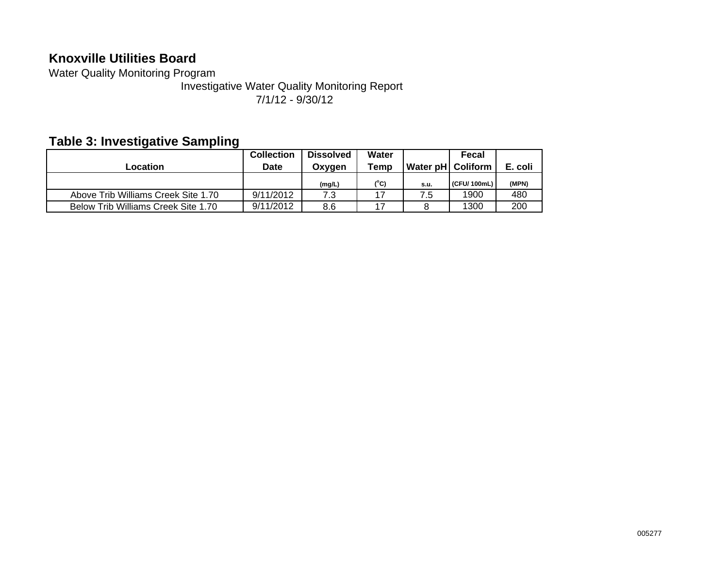### **Knoxville Utilities Board**

Water Quality Monitoring Program

Investigative Water Quality Monitoring Report 7/1/12 - 9/30/12

### **Table 3: Investigative Sampling**

| Location                            | <b>Collection</b><br><b>Date</b> | <b>Dissolved</b><br>Oxygen | Water<br>Temp | Water pH   Coliform | Fecal       | E. coli |
|-------------------------------------|----------------------------------|----------------------------|---------------|---------------------|-------------|---------|
|                                     |                                  | (mg/L)                     | (°C)          | s.u.                | (CFU/100mL) | (MPN)   |
| Above Trib Williams Creek Site 1.70 | 9/11/2012                        | 7.3                        | 17            | 7.5                 | 1900        | 480     |
| Below Trib Williams Creek Site 1.70 | 9/11/2012                        | 8.6                        |               |                     | 1300        | 200     |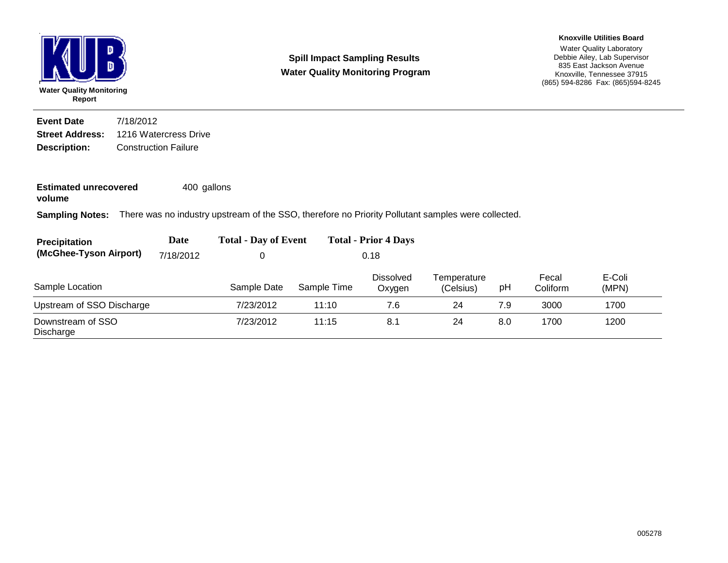

**Spill Impact Sampling Results Water Quality Monitoring Program**

#### Water Quality Laboratory Debbie Ailey, Lab Supervisor 835 East Jackson Avenue Knoxville, Tennessee 37915 (865) 594-8286 Fax: (865)594-8245 **Knoxville Utilities Board**

**Description:** Construction Failure **Street Address:** 1216 Watercress Drive **Event Date**7/18/2012

**Estimated unrecovered** 400 gallons

**volume**

**Sampling Notes:** There was no industry upstream of the SSO, therefore no Priority Pollutant samples were collected.

| <b>Precipitation</b>             | Date | <b>Total - Day of Event</b> | <b>Total - Prior 4 Days</b> |
|----------------------------------|------|-----------------------------|-----------------------------|
| (McGhee-Tyson Airport) 7/18/2012 |      |                             | 0.18                        |

| Sample Location                | Sample Date | Sample Time | <b>Dissolved</b><br>Oxygen | Temperature<br>(Celsius) | рH  | Fecal<br>Coliform | E-Coli<br>(MPN) |
|--------------------------------|-------------|-------------|----------------------------|--------------------------|-----|-------------------|-----------------|
| Upstream of SSO Discharge      | 7/23/2012   | 11:10       | 7.6                        | 24                       | 7.9 | 3000              | 1700            |
| Downstream of SSO<br>Discharge | 7/23/2012   | 11:15       | 8.3                        | 24                       | 8.0 | 1700              | 1200            |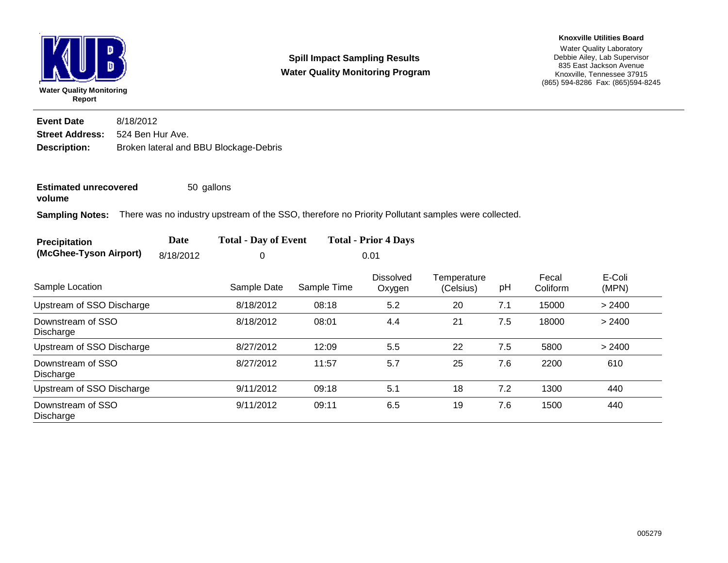

**Spill Impact Sampling Results Water Quality Monitoring Program**

#### Water Quality Laboratory Debbie Ailey, Lab Supervisor 835 East Jackson Avenue Knoxville, Tennessee 37915 (865) 594-8286 Fax: (865)594-8245 **Knoxville Utilities Board**

**Description:** Broken lateral and BBU Blockage-Debris **Street Address:** 524 Ben Hur Ave. **Event Date**8/18/2012

**Estimated unrecovered** 50 gallons

**volume**

**Sampling Notes:** There was no industry upstream of the SSO, therefore no Priority Pollutant samples were collected.

| <b>Precipitation</b>   | Date      | <b>Total - Day of Event</b> | <b>Total - Prior 4 Days</b> |
|------------------------|-----------|-----------------------------|-----------------------------|
| (McGhee-Tyson Airport) | 8/18/2012 |                             | 0.01                        |

| Sample Location                | Sample Date | Sample Time | <b>Dissolved</b><br>Oxygen | Temperature<br>(Celsius) | рH  | Fecal<br>Coliform | E-Coli<br>(MPN) |
|--------------------------------|-------------|-------------|----------------------------|--------------------------|-----|-------------------|-----------------|
| Upstream of SSO Discharge      | 8/18/2012   | 08:18       | 5.2                        | 20                       | 7.1 | 15000             | > 2400          |
| Downstream of SSO<br>Discharge | 8/18/2012   | 08:01       | 4.4                        | 21                       | 7.5 | 18000             | > 2400          |
| Upstream of SSO Discharge      | 8/27/2012   | 12:09       | 5.5                        | 22                       | 7.5 | 5800              | > 2400          |
| Downstream of SSO<br>Discharge | 8/27/2012   | 11:57       | 5.7                        | 25                       | 7.6 | 2200              | 610             |
| Upstream of SSO Discharge      | 9/11/2012   | 09:18       | 5.1                        | 18                       | 7.2 | 1300              | 440             |
| Downstream of SSO<br>Discharge | 9/11/2012   | 09:11       | 6.5                        | 19                       | 7.6 | 1500              | 440             |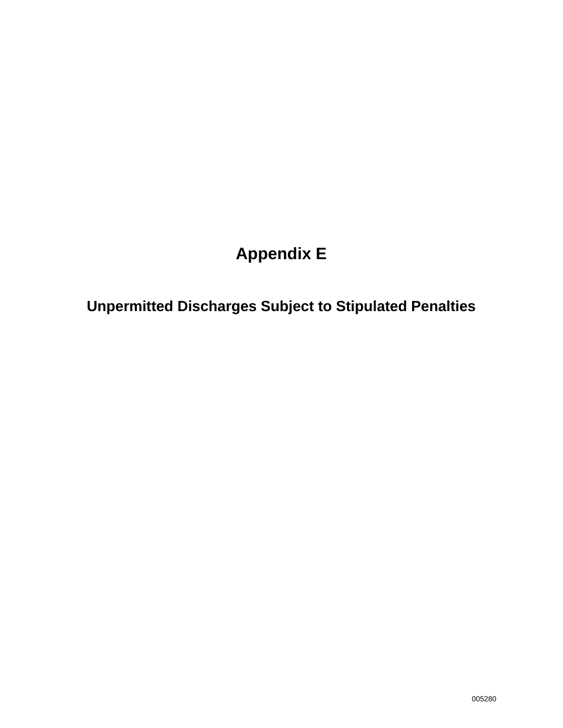# **Appendix E**

**Unpermitted Discharges Subject to Stipulated Penalties**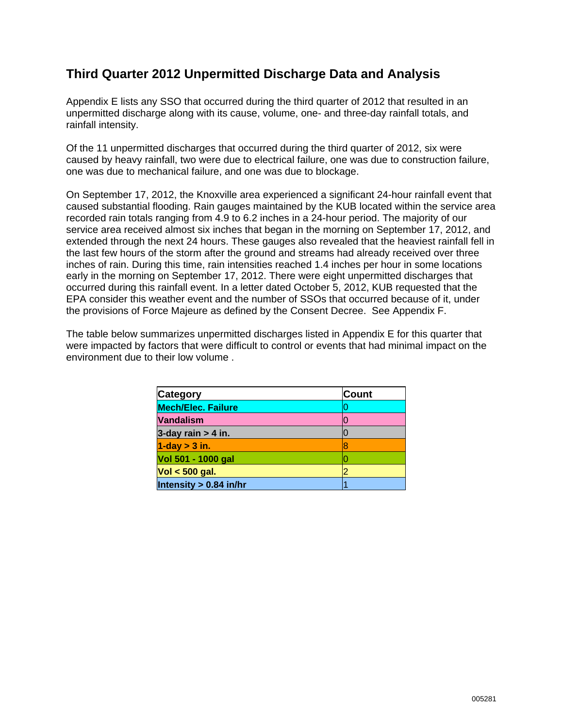### **Third Quarter 2012 Unpermitted Discharge Data and Analysis**

Appendix E lists any SSO that occurred during the third quarter of 2012 that resulted in an unpermitted discharge along with its cause, volume, one- and three-day rainfall totals, and rainfall intensity.

Of the 11 unpermitted discharges that occurred during the third quarter of 2012, six were caused by heavy rainfall, two were due to electrical failure, one was due to construction failure, one was due to mechanical failure, and one was due to blockage.

On September 17, 2012, the Knoxville area experienced a significant 24-hour rainfall event that caused substantial flooding. Rain gauges maintained by the KUB located within the service area recorded rain totals ranging from 4.9 to 6.2 inches in a 24-hour period. The majority of our service area received almost six inches that began in the morning on September 17, 2012, and extended through the next 24 hours. These gauges also revealed that the heaviest rainfall fell in the last few hours of the storm after the ground and streams had already received over three inches of rain. During this time, rain intensities reached 1.4 inches per hour in some locations early in the morning on September 17, 2012. There were eight unpermitted discharges that occurred during this rainfall event. In a letter dated October 5, 2012, KUB requested that the EPA consider this weather event and the number of SSOs that occurred because of it, under the provisions of Force Majeure as defined by the Consent Decree. See Appendix F.

The table below summarizes unpermitted discharges listed in Appendix E for this quarter that were impacted by factors that were difficult to control or events that had minimal impact on the environment due to their low volume .

| <b>Category</b>           | <b>Count</b> |
|---------------------------|--------------|
| <b>Mech/Elec. Failure</b> |              |
| <b>Vandalism</b>          |              |
| 3-day rain $> 4$ in.      |              |
| $1$ -day $>$ 3 in.        |              |
| Vol 501 - 1000 gal        |              |
| $Vol < 500$ gal.          |              |
| Intensity > 0.84 in/hr    |              |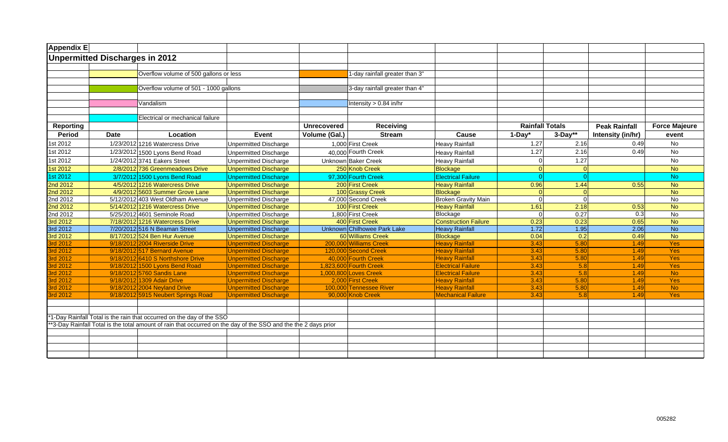| Appendix E |                                |                                                                                                                |                              |                        |                                |                             |                        |           |                      |                      |
|------------|--------------------------------|----------------------------------------------------------------------------------------------------------------|------------------------------|------------------------|--------------------------------|-----------------------------|------------------------|-----------|----------------------|----------------------|
|            | Unpermitted Discharges in 2012 |                                                                                                                |                              |                        |                                |                             |                        |           |                      |                      |
|            |                                |                                                                                                                |                              |                        |                                |                             |                        |           |                      |                      |
|            |                                | Overflow volume of 500 gallons or less                                                                         |                              |                        | 1-day rainfall greater than 3" |                             |                        |           |                      |                      |
|            |                                |                                                                                                                |                              |                        |                                |                             |                        |           |                      |                      |
|            |                                | Overflow volume of 501 - 1000 gallons                                                                          |                              |                        | 3-day rainfall greater than 4" |                             |                        |           |                      |                      |
|            |                                |                                                                                                                |                              |                        |                                |                             |                        |           |                      |                      |
|            |                                | Vandalism                                                                                                      |                              |                        | Intensity $> 0.84$ in/hr       |                             |                        |           |                      |                      |
|            |                                |                                                                                                                |                              |                        |                                |                             |                        |           |                      |                      |
|            |                                | Electrical or mechanical failure                                                                               |                              |                        |                                |                             |                        |           |                      |                      |
| Reporting  |                                |                                                                                                                |                              | <b>Unrecovered</b>     | Receiving                      |                             | <b>Rainfall Totals</b> |           | <b>Peak Rainfall</b> | <b>Force Majeure</b> |
| Period     | <b>Date</b>                    | Location                                                                                                       | Event                        | Volume (Gal.)          | <b>Stream</b>                  | Cause                       | $1-Day^*$              | $3-Day**$ | Intensity (in/hr)    | event                |
| 1st 2012   |                                | 1/23/2012 1216 Watercress Drive                                                                                | <b>Unpermitted Discharge</b> | 1,000 First Creek      |                                | <b>Heavy Rainfall</b>       | 1.27                   | 2.16      | 0.49                 | No                   |
| 1st 2012   |                                | 1/23/2012 1500 Lyons Bend Road                                                                                 | <b>Unpermitted Discharge</b> | 40,000 Fourth Creek    |                                | <b>Heavy Rainfall</b>       | 1.27                   | 2.16      | 0.49                 | No                   |
| 1st 2012   |                                | 1/24/2012 3741 Eakers Street                                                                                   | <b>Unpermitted Discharge</b> | Unknown Baker Creek    |                                | <b>Heavy Rainfall</b>       | $\Omega$               | 1.27      |                      | No                   |
| 1st 2012   |                                | 2/8/2012 736 Greenmeadows Drive                                                                                | <b>Unpermitted Discharge</b> |                        | 250 Knob Creek                 | <b>Blockage</b>             | <sup>0</sup>           | $\Omega$  |                      | <b>No</b>            |
| 1st 2012   |                                | 3/7/2012 1500 Lyons Bend Road                                                                                  | <b>Unpermitted Discharge</b> | 97,300 Fourth Creek    |                                | <b>Electrical Failure</b>   | $\Omega$               |           |                      | <b>No</b>            |
| 2nd 2012   |                                | 4/5/2012 1216 Watercress Drive                                                                                 | <b>Unpermitted Discharge</b> | 200 First Creek        |                                | <b>Heavy Rainfall</b>       | 0.96                   | 1.44      | 0.55                 | <b>No</b>            |
| 2nd 2012   |                                | 4/9/2012 5603 Summer Grove Lane                                                                                | <b>Unpermitted Discharge</b> |                        | 100 Grassy Creek               | <b>Blockage</b>             |                        | $\Omega$  |                      | <b>No</b>            |
| 2nd 2012   |                                | 5/12/2012 403 West Oldham Avenue                                                                               | Unpermitted Discharge        | 47.000 Second Creek    |                                | <b>Broken Gravity Main</b>  | $\Omega$               | $\Omega$  |                      | <b>No</b>            |
| 2nd 2012   |                                | 5/14/2012 1216 Watercress Drive                                                                                | <b>Unpermitted Discharge</b> | 100 First Creek        |                                | <b>Heavy Rainfall</b>       | 1.61                   | 2.18      | 0.53                 | <b>No</b>            |
| 2nd 2012   |                                | 5/25/2012 4601 Seminole Road                                                                                   | Unpermitted Discharge        | 1,800 First Creek      |                                | Blockage                    | $\Omega$               | 0.27      | $\overline{0.3}$     | $\overline{N}$       |
| 3rd 2012   |                                | 7/18/2012 1216 Watercress Drive                                                                                | <b>Unpermitted Discharge</b> | 400 First Creek        |                                | <b>Construction Failure</b> | 0.23                   | 0.23      | 0.65                 | <b>No</b>            |
| 3rd 2012   |                                | 7/20/2012 516 N Beaman Street                                                                                  | <b>Unpermitted Discharge</b> |                        | Unknown Chilhowee Park Lake    | <b>Heavy Rainfall</b>       | 1.72                   | 1.95      | 2.06                 | No                   |
| 3rd 2012   |                                | 8/17/2012 524 Ben Hur Avenue                                                                                   | <b>Unpermitted Discharge</b> |                        | 60 Williams Creek              | <b>Blockage</b>             | 0.04                   | 0.2       | 0.49                 | N <sub>o</sub>       |
| 3rd 2012   |                                | 9/18/2012 2004 Riverside Drive                                                                                 | <b>Unpermitted Discharge</b> | 200,000 Williams Creek |                                | <b>Heavy Rainfall</b>       | 3.43                   | 5.80      | 1.49                 | <b>Yes</b>           |
| 3rd 2012   |                                | 9/18/2012 517 Bernard Avenue                                                                                   | <b>Unpermitted Discharge</b> | 120,000 Second Creek   |                                | <b>Heavy Rainfall</b>       | 3.43                   | 5.80      | 1.49                 | <b>Yes</b>           |
| 3rd 2012   |                                | 9/18/2012 6410 S Northshore Drive                                                                              | <b>Unpermitted Discharge</b> | 40,000 Fourth Creek    |                                | <b>Heavy Rainfall</b>       | 3.43                   | 5.80      | 1.49                 | Yes                  |
| 3rd 2012   |                                | 9/18/2012 1500 Lyons Bend Road                                                                                 | <b>Unpermitted Discharge</b> | 1,823,600 Fourth Creek |                                | <b>Electrical Failure</b>   | 3.43                   | 5.8       | 1.49                 | Yes                  |
| 3rd 2012   |                                | 9/18/2012 5760 Sandis Lane                                                                                     | <b>Unpermitted Discharge</b> | 1,000,800 Loves Creek  |                                | <b>Electrical Failure</b>   | 3.43                   | 5.8       | 1.49                 | <b>No</b>            |
| 3rd 2012   |                                | 9/18/2012 1309 Adair Drive                                                                                     | <b>Unpermitted Discharge</b> | 2,000 First Creek      |                                | <b>Heavy Rainfall</b>       | 3.43                   | 5.80      | 1.49                 | Yes                  |
| 3rd 2012   |                                | 9/18/2012 2004 Neyland Drive                                                                                   | <b>Unpermitted Discharge</b> |                        | 100,000 Tennessee River        | <b>Heavy Rainfall</b>       | 3.43                   | 5.80      | 1.49                 | <b>No</b>            |
| 3rd 2012   |                                | 9/18/2012 5915 Neubert Springs Road                                                                            | <b>Unpermitted Discharge</b> | 90,000 Knob Creek      |                                | <b>Mechanical Failure</b>   | 3.43                   | 5.8       | 1.49                 | <b>Yes</b>           |
|            |                                |                                                                                                                |                              |                        |                                |                             |                        |           |                      |                      |
|            |                                |                                                                                                                |                              |                        |                                |                             |                        |           |                      |                      |
|            |                                | *1-Day Rainfall Total is the rain that occurred on the day of the SSO                                          |                              |                        |                                |                             |                        |           |                      |                      |
|            |                                | *3-Day Rainfall Total is the total amount of rain that occurred on the day of the SSO and the the 2 days prior |                              |                        |                                |                             |                        |           |                      |                      |
|            |                                |                                                                                                                |                              |                        |                                |                             |                        |           |                      |                      |
|            |                                |                                                                                                                |                              |                        |                                |                             |                        |           |                      |                      |
|            |                                |                                                                                                                |                              |                        |                                |                             |                        |           |                      |                      |
|            |                                |                                                                                                                |                              |                        |                                |                             |                        |           |                      |                      |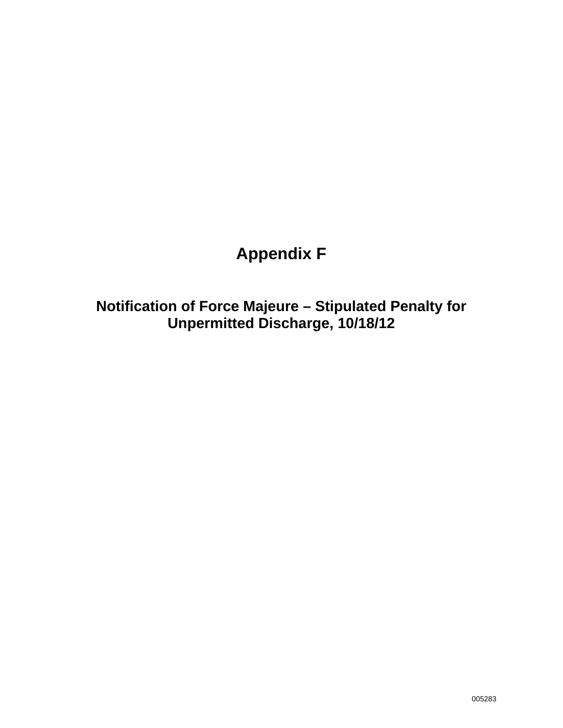# **Appendix F**

**Notification of Force Majeure – Stipulated Penalty for Unpermitted Discharge, 10/18/12**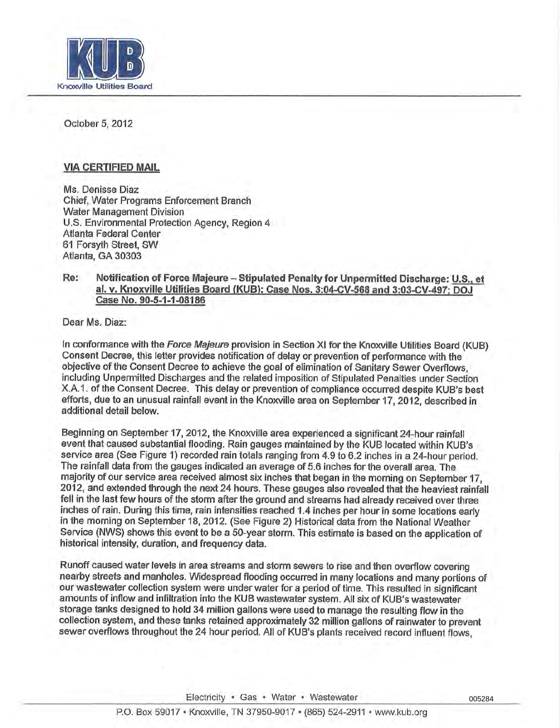

October 5, 2012

#### VIA CERTIFIED MAIL

Ms. Denisse Diaz Chief, Water Programs Enforcement Branch Water Management Division U.S. Environmental Protection Agency, Region 4 Atlanta Federal Center 61 Forsyth Street, SW Atlanta, GA 30303

#### **Re: Notification of Force Majeure - Stipulated Penalty for Unpermitted Discharge: U.S., et al. v. Knoxville Utilities Board (KUB): Case Nos. 3:04-CV-568 and 3:03-CV-497; DOJ Case No. 90-5-1-1-08186**

Dear Ms. Diaz:

In conformance with the Force Majeure provision in Section XI for the Knoxville Utilities Board (KUB) Consent Decree, this letter provides notification of delay or prevention of performance with the objective of the Consent Decree to achieve the goal of elimination of Sanitary Sewer Overflows, including Unpermitted Discharges and the related imposition of Stipulated Penalties under Section X.A.I. of the Consent Decree. This delay or prevention of compliance occurred despite KUB's best efforts, due to an unusual rainfall event in the Knoxville area on September 17, 2012, described in additional detail below.

Beginning on September 17, 2012, the Knoxville area experienced a significant 24-hour rainfall event that caused substantial flooding. Rain gauges maintained by the KUB located within KUB's service area (See Figure 1) recorded rain totals ranging from 4.9 to 6.2 inches in a 24-hour period. The rainfall data from the gauges indicated an average of 5.6 inches for the overall area. The majority of our service area received almost six inches that began in the morning on September 17, 2012, and extended through the next 24 hours. These gauges also revealed that the heaviest rainfall fell in the last few hours of the storm after the ground and streams had already received over three inches of rain. During this time, rain intensities reached 1.4 inches per hour in some locations early in the morning on September 18, 2012. (See Figure 2) Historical data from the National Weather Service (NWS) shows this event to be a 50-year storm. This estimate is based on the application of historical intensity, duration, and frequency data.

Runoff caused water levels in area streams and storm sewers to rise and then overflow covering nearby streets and manholes. Widespread flooding occurred in many locations and many portions of our wastewater collection system were under water for a period of time. This resulted in significant amounts of inflow and infiltration into the KUB wastewater system. All six of KUB's wastewater storage tanks designed to hold 34 million gallons were used to manage the resulting flow in the collection system, and these tanks retained approximately 32 million gallons of rainwater to prevent sewer overflows throughout the 24 hour period. All of KUB's plants received record influent flows,

Electricity · Gas · Water · Wastewater

005284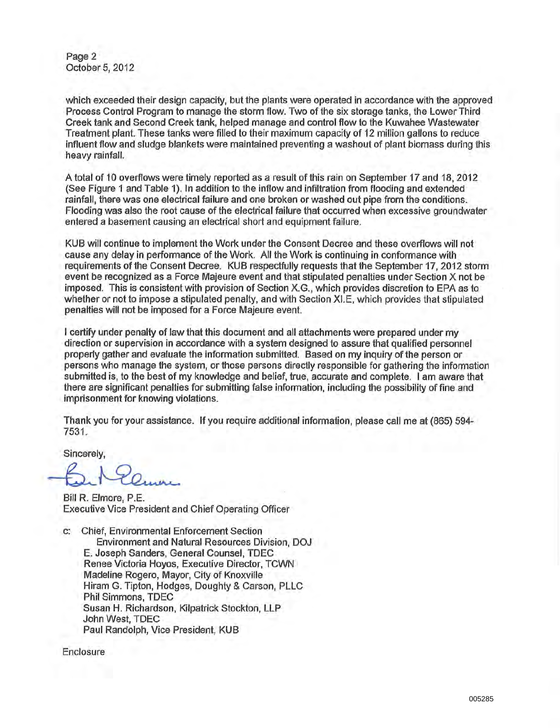Page **2** October 5, 2012

which exceeded their design capacity, but the plants were operated in accordance with the approved Process Control Program to manage the storm flow. Two of the six storage tanks, the Lower Third Creek tank and Second Creek tank, helped manage and control flow to the Kuwahee Wastewater Treatment plant. These tanks were filled to their maximum capacity of 12 million gallons to reduce influent flow and sludge blankets were maintained preventing a washout of plant biomass during this heavy rainfall.

A total of 10 overflows were timely reported as a result of this rain on September 17 and 18, 2012 (See Figure 1 and Table 1). In addition to the inflow and infiltration from flooding and extended rainfall, there was one electrical failure and one broken or washed out pipe from the conditions. Flooding was also the root cause of the electrical failure that occurred when excessive groundwater entered a basement causing an electrical short and equipment failure.

KUB will continue to implement the Work under the Consent Decree and these overflows will not cause any delay in performance of the Work. All the Work is continuing in conformance with requirements of the Consent Decree. KUB respectfully requests that the September 17, 2012 storm event be recognized as a Force Majeure event and that stipulated penalties under Section X not be imposed. This is consistent with provision of Section X.G., which provides discretion to EPA as to whether or not to impose a stipulated penalty, and with Section XI.E, which provides that stipulated penalties will not be imposed for a Force Majeure event.

I certify under penalty of law that this document and all attachments were prepared under my direction or supervision in accordance with a system designed to assure that qualified personnel properly gather and evaluate the information submitted. Based on my inquiry of the person or persons who manage the system, or those persons directly responsible for gathering the information submitted is, to the best of my knowledge and belief, true, accurate and complete. I am aware that there are significant penalties for submitting false information, including the possibility of fine and imprisonment for knowing violations.

Thank you for your assistance. If you require additional information, please call me at (865) 594- 7531.

**Sincerely,**

Bill R. Elmore, P.E. Executive Vice President and Chief Operating Officer

Chief, Environmental Enforcement Section  $C$ Environment and Natural Resources Division, DOJ E. Joseph Sanders, General Counsel, TDEC Renee Victoria Hoyos, Executive Director, TCWN Madeline Rogero, Mayor, City of Knoxville Hiram G. Tipton, Hodges, Doughty & Carson, PLLC Phil Simmons, TDEC Susan H. Richardson, Kilpatrick Stockton, LLP John West, TDEC Paul Randolph, Vice President, KUB

Enclosure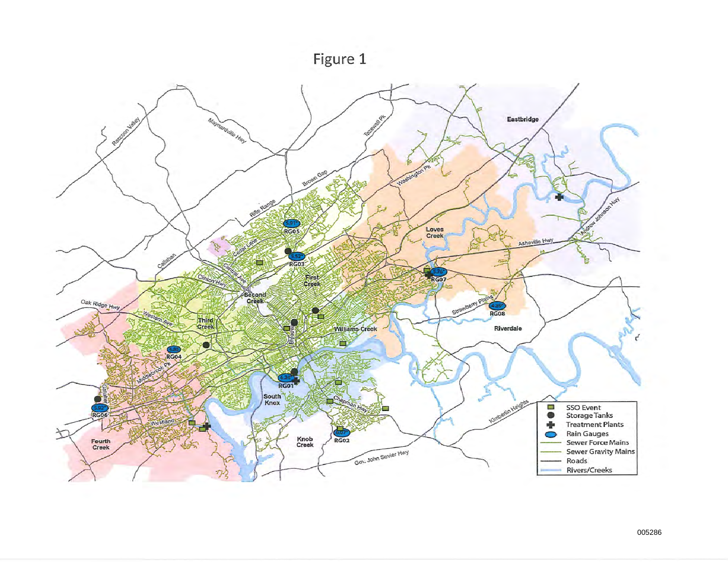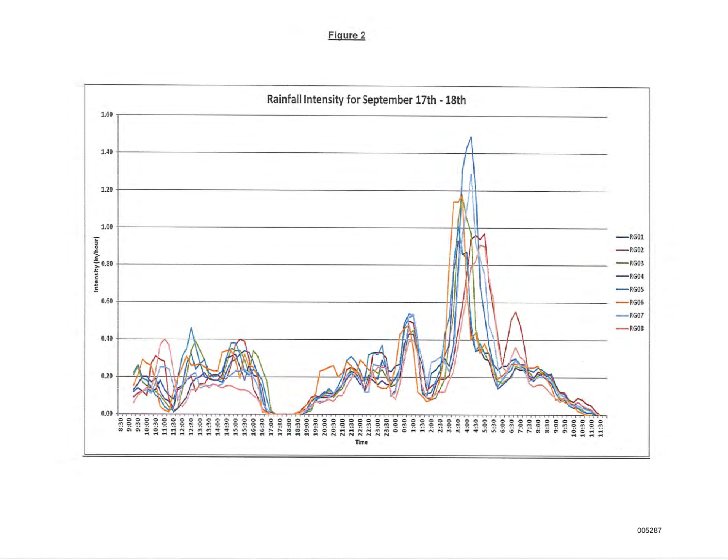Figure 2